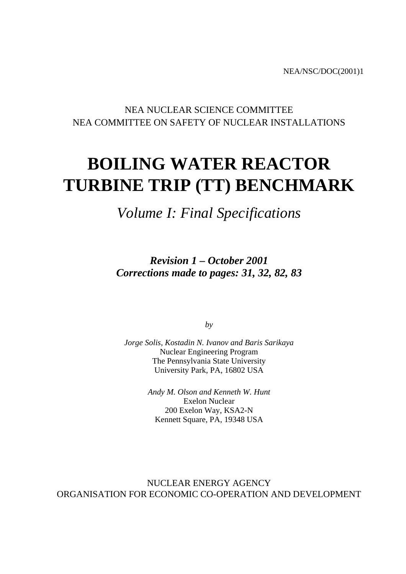NEA/NSC/DOC(2001)1

# NEA NUCLEAR SCIENCE COMMITTEE NEA COMMITTEE ON SAFETY OF NUCLEAR INSTALLATIONS

# **BOILING WATER REACTOR TURBINE TRIP (TT) BENCHMARK**

*Volume I: Final Specifications*

*Revision 1 – October 2001 Corrections made to pages: 31, 32, 82, 83*

*by*

*Jorge Solis, Kostadin N. Ivanov and Baris Sarikaya* Nuclear Engineering Program The Pennsylvania State University University Park, PA, 16802 USA

> *Andy M. Olson and Kenneth W. Hunt* Exelon Nuclear 200 Exelon Way, KSA2-N Kennett Square, PA, 19348 USA

NUCLEAR ENERGY AGENCY ORGANISATION FOR ECONOMIC CO-OPERATION AND DEVELOPMENT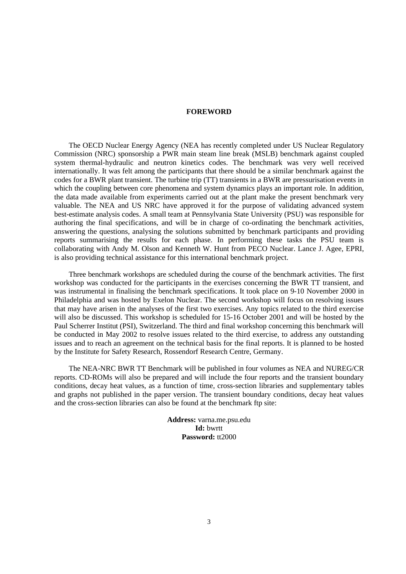### **FOREWORD**

<span id="page-2-0"></span>The OECD Nuclear Energy Agency (NEA has recently completed under US Nuclear Regulatory Commission (NRC) sponsorship a PWR main steam line break (MSLB) benchmark against coupled system thermal-hydraulic and neutron kinetics codes. The benchmark was very well received internationally. It was felt among the participants that there should be a similar benchmark against the codes for a BWR plant transient. The turbine trip (TT) transients in a BWR are pressurisation events in which the coupling between core phenomena and system dynamics plays an important role. In addition, the data made available from experiments carried out at the plant make the present benchmark very valuable. The NEA and US NRC have approved it for the purpose of validating advanced system best-estimate analysis codes. A small team at Pennsylvania State University (PSU) was responsible for authoring the final specifications, and will be in charge of co-ordinating the benchmark activities, answering the questions, analysing the solutions submitted by benchmark participants and providing reports summarising the results for each phase. In performing these tasks the PSU team is collaborating with Andy M. Olson and Kenneth W. Hunt from PECO Nuclear. Lance J. Agee, EPRI, is also providing technical assistance for this international benchmark project.

Three benchmark workshops are scheduled during the course of the benchmark activities. The first workshop was conducted for the participants in the exercises concerning the BWR TT transient, and was instrumental in finalising the benchmark specifications. It took place on 9-10 November 2000 in Philadelphia and was hosted by Exelon Nuclear. The second workshop will focus on resolving issues that may have arisen in the analyses of the first two exercises. Any topics related to the third exercise will also be discussed. This workshop is scheduled for 15-16 October 2001 and will be hosted by the Paul Scherrer Institut (PSI), Switzerland. The third and final workshop concerning this benchmark will be conducted in May 2002 to resolve issues related to the third exercise, to address any outstanding issues and to reach an agreement on the technical basis for the final reports. It is planned to be hosted by the Institute for Safety Research, Rossendorf Research Centre, Germany.

The NEA-NRC BWR TT Benchmark will be published in four volumes as NEA and NUREG/CR reports. CD-ROMs will also be prepared and will include the four reports and the transient boundary conditions, decay heat values, as a function of time, cross-section libraries and supplementary tables and graphs not published in the paper version. The transient boundary conditions, decay heat values and the cross-section libraries can also be found at the benchmark ftp site:

> **Address:** varna.me.psu.edu **Id:** bwrtt **Password:** tt2000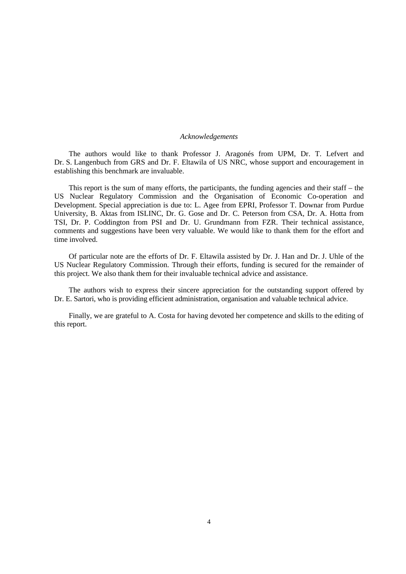#### *Acknowledgements*

The authors would like to thank Professor J. Aragonés from UPM, Dr. T. Lefvert and Dr. S. Langenbuch from GRS and Dr. F. Eltawila of US NRC, whose support and encouragement in establishing this benchmark are invaluable.

This report is the sum of many efforts, the participants, the funding agencies and their staff – the US Nuclear Regulatory Commission and the Organisation of Economic Co-operation and Development. Special appreciation is due to: L. Agee from EPRI, Professor T. Downar from Purdue University, B. Aktas from ISLINC, Dr. G. Gose and Dr. C. Peterson from CSA, Dr. A. Hotta from TSI, Dr. P. Coddington from PSI and Dr. U. Grundmann from FZR. Their technical assistance, comments and suggestions have been very valuable. We would like to thank them for the effort and time involved.

Of particular note are the efforts of Dr. F. Eltawila assisted by Dr. J. Han and Dr. J. Uhle of the US Nuclear Regulatory Commission. Through their efforts, funding is secured for the remainder of this project. We also thank them for their invaluable technical advice and assistance.

The authors wish to express their sincere appreciation for the outstanding support offered by Dr. E. Sartori, who is providing efficient administration, organisation and valuable technical advice.

Finally, we are grateful to A. Costa for having devoted her competence and skills to the editing of this report.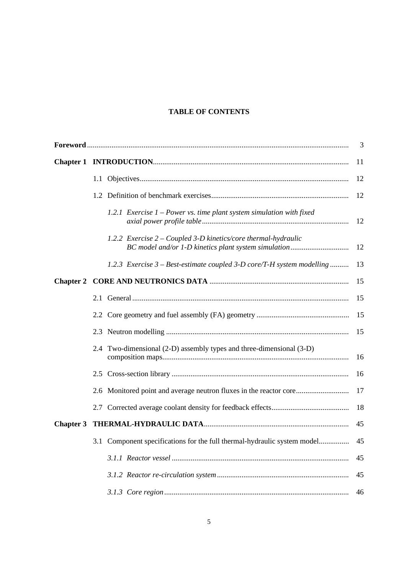# **TABLE OF CONTENTS**

|                  |                                                                          | 3             |
|------------------|--------------------------------------------------------------------------|---------------|
|                  |                                                                          | <sup>11</sup> |
|                  |                                                                          | 12            |
|                  |                                                                          | 12            |
|                  | 1.2.1 Exercise $1$ – Power vs. time plant system simulation with fixed   | -12           |
|                  | 1.2.2 Exercise 2 – Coupled 3-D kinetics/core thermal-hydraulic           | 12            |
|                  | 1.2.3 Exercise 3 – Best-estimate coupled 3-D core/T-H system modelling   | 13            |
|                  |                                                                          | 15            |
|                  |                                                                          | 15            |
|                  |                                                                          | 15            |
|                  |                                                                          | 15            |
|                  | 2.4 Two-dimensional (2-D) assembly types and three-dimensional (3-D)     | 16            |
|                  |                                                                          | 16            |
|                  |                                                                          |               |
|                  |                                                                          | 18            |
| <b>Chapter 3</b> |                                                                          | 45            |
|                  | 3.1 Component specifications for the full thermal-hydraulic system model | 45            |
|                  |                                                                          | 45            |
|                  |                                                                          | 45            |
|                  |                                                                          | 46            |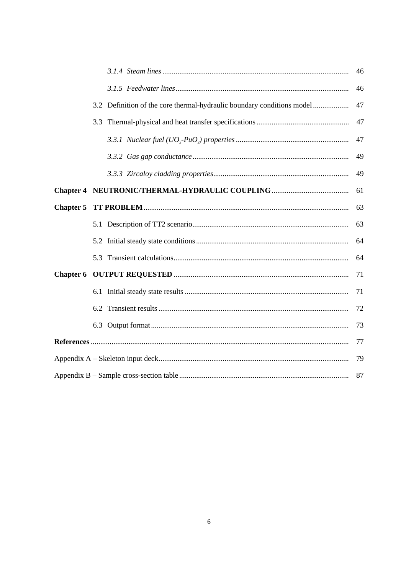|                                                                        | 46 |  |  |  |  |  |
|------------------------------------------------------------------------|----|--|--|--|--|--|
|                                                                        | 46 |  |  |  |  |  |
| 3.2 Definition of the core thermal-hydraulic boundary conditions model | 47 |  |  |  |  |  |
|                                                                        | 47 |  |  |  |  |  |
|                                                                        | 47 |  |  |  |  |  |
|                                                                        | 49 |  |  |  |  |  |
|                                                                        | 49 |  |  |  |  |  |
|                                                                        | 61 |  |  |  |  |  |
|                                                                        | 63 |  |  |  |  |  |
|                                                                        | 63 |  |  |  |  |  |
|                                                                        | 64 |  |  |  |  |  |
|                                                                        | 64 |  |  |  |  |  |
|                                                                        | 71 |  |  |  |  |  |
|                                                                        | 71 |  |  |  |  |  |
|                                                                        | 72 |  |  |  |  |  |
|                                                                        | 73 |  |  |  |  |  |
|                                                                        | 77 |  |  |  |  |  |
| 79                                                                     |    |  |  |  |  |  |
|                                                                        | 87 |  |  |  |  |  |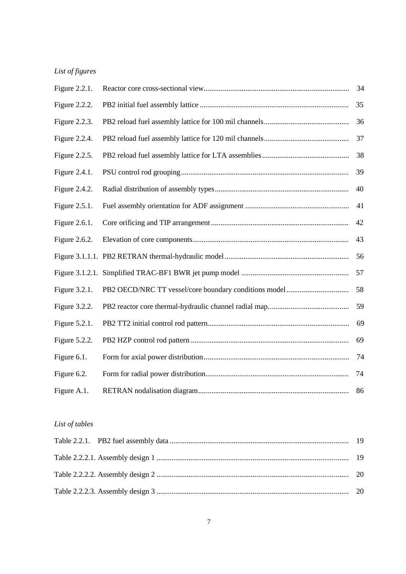# *List of figures*

| Figure 2.2.1.    | 34 |
|------------------|----|
| Figure 2.2.2.    | 35 |
| Figure 2.2.3.    | 36 |
| Figure 2.2.4.    | 37 |
| Figure 2.2.5.    | 38 |
| Figure 2.4.1.    | 39 |
| Figure 2.4.2.    | 40 |
| Figure 2.5.1.    | 41 |
| Figure 2.6.1.    | 42 |
| Figure 2.6.2.    | 43 |
|                  | 56 |
|                  | 57 |
| Figure 3.2.1.    | 58 |
| Figure $3.2.2$ . | 59 |
| Figure 5.2.1.    | 69 |
| Figure $5.2.2$ . | 69 |
| Figure 6.1.      | 74 |
| Figure 6.2.      | 74 |
| Figure A.1.      | 86 |

# *List of tables*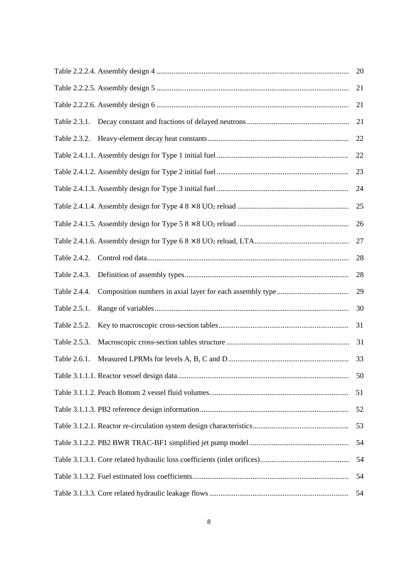|              | 20 |
|--------------|----|
|              | 21 |
|              | 21 |
| Table 2.3.1. | 21 |
| Table 2.3.2. | 22 |
|              | 22 |
|              | 23 |
|              | 24 |
|              | 25 |
|              | 26 |
|              | 27 |
| Table 2.4.2. | 28 |
| Table 2.4.3. | 28 |
| Table 2.4.4. | 29 |
| Table 2.5.1. | 30 |
| Table 2.5.2. | 31 |
| Table 2.5.3. | 31 |
| Table 2.6.1. | 33 |
|              | 50 |
|              | 51 |
|              | 52 |
|              | 53 |
|              | 54 |
|              | 54 |
|              | 54 |
|              | 54 |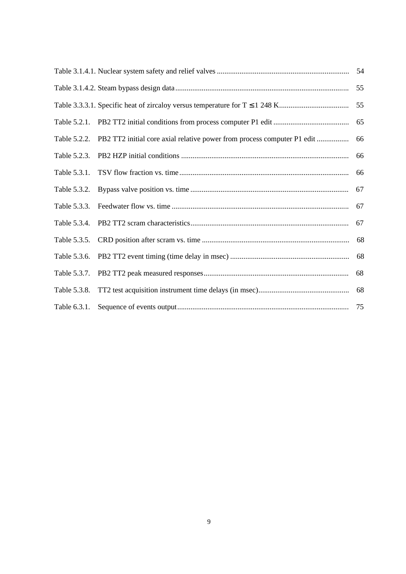|              |                                                                                      | 55 |
|--------------|--------------------------------------------------------------------------------------|----|
|              |                                                                                      |    |
|              |                                                                                      |    |
|              | Table 5.2.2. PB2 TT2 initial core axial relative power from process computer P1 edit | 66 |
|              |                                                                                      | 66 |
|              |                                                                                      | 66 |
| Table 5.3.2. |                                                                                      |    |
| Table 5.3.3. |                                                                                      | 67 |
| Table 5.3.4. |                                                                                      | 67 |
| Table 5.3.5. |                                                                                      |    |
|              |                                                                                      |    |
|              |                                                                                      | 68 |
| Table 5.3.8. |                                                                                      | 68 |
|              |                                                                                      |    |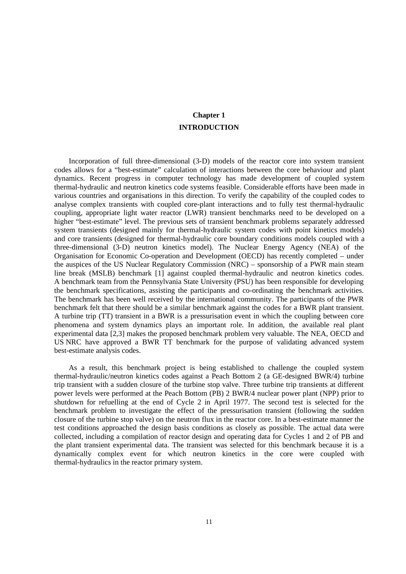# **Chapter 1 INTRODUCTION**

<span id="page-10-0"></span>Incorporation of full three-dimensional (3-D) models of the reactor core into system transient codes allows for a "best-estimate" calculation of interactions between the core behaviour and plant dynamics. Recent progress in computer technology has made development of coupled system thermal-hydraulic and neutron kinetics code systems feasible. Considerable efforts have been made in various countries and organisations in this direction. To verify the capability of the coupled codes to analyse complex transients with coupled core-plant interactions and to fully test thermal-hydraulic coupling, appropriate light water reactor (LWR) transient benchmarks need to be developed on a higher "best-estimate" level. The previous sets of transient benchmark problems separately addressed system transients (designed mainly for thermal-hydraulic system codes with point kinetics models) and core transients (designed for thermal-hydraulic core boundary conditions models coupled with a three-dimensional (3-D) neutron kinetics model). The Nuclear Energy Agency (NEA) of the Organisation for Economic Co-operation and Development (OECD) has recently completed – under the auspices of the US Nuclear Regulatory Commission (NRC) – sponsorship of a PWR main steam line break (MSLB) benchmark [1] against coupled thermal-hydraulic and neutron kinetics codes. A benchmark team from the Pennsylvania State University (PSU) has been responsible for developing the benchmark specifications, assisting the participants and co-ordinating the benchmark activities. The benchmark has been well received by the international community. The participants of the PWR benchmark felt that there should be a similar benchmark against the codes for a BWR plant transient. A turbine trip (TT) transient in a BWR is a pressurisation event in which the coupling between core phenomena and system dynamics plays an important role. In addition, the available real plant experimental data [2,3] makes the proposed benchmark problem very valuable. The NEA, OECD and US NRC have approved a BWR TT benchmark for the purpose of validating advanced system best-estimate analysis codes.

As a result, this benchmark project is being established to challenge the coupled system thermal-hydraulic/neutron kinetics codes against a Peach Bottom 2 (a GE-designed BWR/4) turbine trip transient with a sudden closure of the turbine stop valve. Three turbine trip transients at different power levels were performed at the Peach Bottom (PB) 2 BWR/4 nuclear power plant (NPP) prior to shutdown for refuelling at the end of Cycle 2 in April 1977. The second test is selected for the benchmark problem to investigate the effect of the pressurisation transient (following the sudden closure of the turbine stop valve) on the neutron flux in the reactor core. In a best-estimate manner the test conditions approached the design basis conditions as closely as possible. The actual data were collected, including a compilation of reactor design and operating data for Cycles 1 and 2 of PB and the plant transient experimental data. The transient was selected for this benchmark because it is a dynamically complex event for which neutron kinetics in the core were coupled with thermal-hydraulics in the reactor primary system.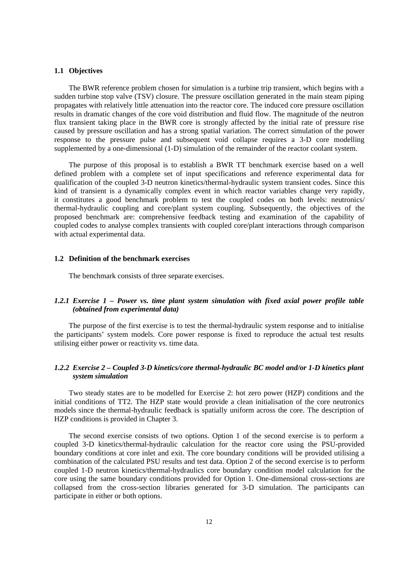## <span id="page-11-0"></span>**1.1 Objectives**

The BWR reference problem chosen for simulation is a turbine trip transient, which begins with a sudden turbine stop valve (TSV) closure. The pressure oscillation generated in the main steam piping propagates with relatively little attenuation into the reactor core. The induced core pressure oscillation results in dramatic changes of the core void distribution and fluid flow. The magnitude of the neutron flux transient taking place in the BWR core is strongly affected by the initial rate of pressure rise caused by pressure oscillation and has a strong spatial variation. The correct simulation of the power response to the pressure pulse and subsequent void collapse requires a 3-D core modelling supplemented by a one-dimensional (1-D) simulation of the remainder of the reactor coolant system.

The purpose of this proposal is to establish a BWR TT benchmark exercise based on a well defined problem with a complete set of input specifications and reference experimental data for qualification of the coupled 3-D neutron kinetics/thermal-hydraulic system transient codes. Since this kind of transient is a dynamically complex event in which reactor variables change very rapidly, it constitutes a good benchmark problem to test the coupled codes on both levels: neutronics/ thermal-hydraulic coupling and core/plant system coupling. Subsequently, the objectives of the proposed benchmark are: comprehensive feedback testing and examination of the capability of coupled codes to analyse complex transients with coupled core/plant interactions through comparison with actual experimental data.

## **1.2 Definition of the benchmark exercises**

The benchmark consists of three separate exercises.

## *1.2.1 Exercise 1 – Power vs. time plant system simulation with fixed axial power profile table (obtained from experimental data)*

The purpose of the first exercise is to test the thermal-hydraulic system response and to initialise the participants' system models. Core power response is fixed to reproduce the actual test results utilising either power or reactivity vs. time data.

## *1.2.2 Exercise 2 – Coupled 3-D kinetics/core thermal-hydraulic BC model and/or 1-D kinetics plant system simulation*

Two steady states are to be modelled for Exercise 2: hot zero power (HZP) conditions and the initial conditions of TT2. The HZP state would provide a clean initialisation of the core neutronics models since the thermal-hydraulic feedback is spatially uniform across the core. The description of HZP conditions is provided in Chapter 3.

The second exercise consists of two options. Option 1 of the second exercise is to perform a coupled 3-D kinetics/thermal-hydraulic calculation for the reactor core using the PSU-provided boundary conditions at core inlet and exit. The core boundary conditions will be provided utilising a combination of the calculated PSU results and test data. Option 2 of the second exercise is to perform coupled 1-D neutron kinetics/thermal-hydraulics core boundary condition model calculation for the core using the same boundary conditions provided for Option 1. One-dimensional cross-sections are collapsed from the cross-section libraries generated for 3-D simulation. The participants can participate in either or both options.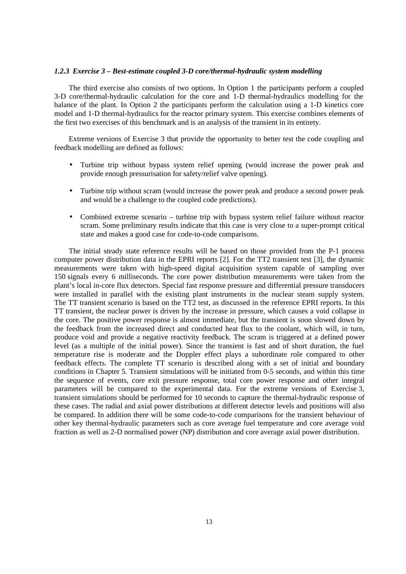#### <span id="page-12-0"></span>*1.2.3 Exercise 3 – Best-estimate coupled 3-D core/thermal-hydraulic system modelling*

The third exercise also consists of two options. In Option 1 the participants perform a coupled 3-D core/thermal-hydraulic calculation for the core and 1-D thermal-hydraulics modelling for the balance of the plant. In Option 2 the participants perform the calculation using a 1-D kinetics core model and 1-D thermal-hydraulics for the reactor primary system. This exercise combines elements of the first two exercises of this benchmark and is an analysis of the transient in its entirety.

Extreme versions of Exercise 3 that provide the opportunity to better test the code coupling and feedback modelling are defined as follows:

- Turbine trip without bypass system relief opening (would increase the power peak and provide enough pressurisation for safety/relief valve opening).
- Turbine trip without scram (would increase the power peak and produce a second power peak and would be a challenge to the coupled code predictions).
- Combined extreme scenario turbine trip with bypass system relief failure without reactor scram. Some preliminary results indicate that this case is very close to a super-prompt critical state and makes a good case for code-to-code comparisons.

The initial steady state reference results will be based on those provided from the P-1 process computer power distribution data in the EPRI reports [2]. For the TT2 transient test [3], the dynamic measurements were taken with high-speed digital acquisition system capable of sampling over 150 signals every 6 milliseconds. The core power distribution measurements were taken from the plant's local in-core flux detectors. Special fast response pressure and differential pressure transducers were installed in parallel with the existing plant instruments in the nuclear steam supply system. The TT transient scenario is based on the TT2 test, as discussed in the reference EPRI reports. In this TT transient, the nuclear power is driven by the increase in pressure, which causes a void collapse in the core. The positive power response is almost immediate, but the transient is soon slowed down by the feedback from the increased direct and conducted heat flux to the coolant, which will, in turn, produce void and provide a negative reactivity feedback. The scram is triggered at a defined power level (as a multiple of the initial power). Since the transient is fast and of short duration, the fuel temperature rise is moderate and the Doppler effect plays a subordinate role compared to other feedback effects. The complete TT scenario is described along with a set of initial and boundary conditions in Chapter 5. Transient simulations will be initiated from 0-5 seconds, and within this time the sequence of events, core exit pressure response, total core power response and other integral parameters will be compared to the experimental data. For the extreme versions of Exercise 3, transient simulations should be performed for 10 seconds to capture the thermal-hydraulic response of these cases. The radial and axial power distributions at different detector levels and positions will also be compared. In addition there will be some code-to-code comparisons for the transient behaviour of other key thermal-hydraulic parameters such as core average fuel temperature and core average void fraction as well as 2-D normalised power (NP) distribution and core average axial power distribution.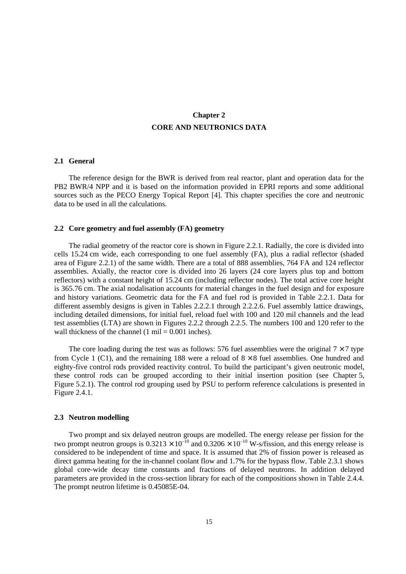# **Chapter 2 CORE AND NEUTRONICS DATA**

## <span id="page-14-0"></span>**2.1 General**

The reference design for the BWR is derived from real reactor, plant and operation data for the PB2 BWR/4 NPP and it is based on the information provided in EPRI reports and some additional sources such as the PECO Energy Topical Report [4]. This chapter specifies the core and neutronic data to be used in all the calculations.

## **2.2 Core geometry and fuel assembly (FA) geometry**

The radial geometry of the reactor core is shown in Figure 2.2.1. Radially, the core is divided into cells 15.24 cm wide, each corresponding to one fuel assembly (FA), plus a radial reflector (shaded area of Figure 2.2.1) of the same width. There are a total of 888 assemblies, 764 FA and 124 reflector assemblies. Axially, the reactor core is divided into 26 layers (24 core layers plus top and bottom reflectors) with a constant height of 15.24 cm (including reflector nodes). The total active core height is 365.76 cm. The axial nodalisation accounts for material changes in the fuel design and for exposure and history variations. Geometric data for the FA and fuel rod is provided in Table 2.2.1. Data for different assembly designs is given in Tables 2.2.2.1 through 2.2.2.6. Fuel assembly lattice drawings, including detailed dimensions, for initial fuel, reload fuel with 100 and 120 mil channels and the lead test assemblies (LTA) are shown in Figures 2.2.2 through 2.2.5. The numbers 100 and 120 refer to the wall thickness of the channel  $(1 \text{ mil} = 0.001 \text{ inches})$ .

The core loading during the test was as follows: 576 fuel assemblies were the original  $7 \times 7$  type from Cycle 1 (C1), and the remaining 188 were a reload of  $8 \times 8$  fuel assemblies. One hundred and eighty-five control rods provided reactivity control. To build the participant's given neutronic model, these control rods can be grouped according to their initial insertion position (see Chapter 5, Figure 5.2.1). The control rod grouping used by PSU to perform reference calculations is presented in Figure 2.4.1.

### **2.3 Neutron modelling**

Two prompt and six delayed neutron groups are modelled. The energy release per fission for the two prompt neutron groups is  $0.3213 \times 10^{-10}$  and  $0.3206 \times 10^{-10}$  W-s/fission, and this energy release is considered to be independent of time and space. It is assumed that 2% of fission power is released as direct gamma heating for the in-channel coolant flow and 1.7% for the bypass flow. Table 2.3.1 shows global core-wide decay time constants and fractions of delayed neutrons. In addition delayed parameters are provided in the cross-section library for each of the compositions shown in Table 2.4.4. The prompt neutron lifetime is 0.45085E-04.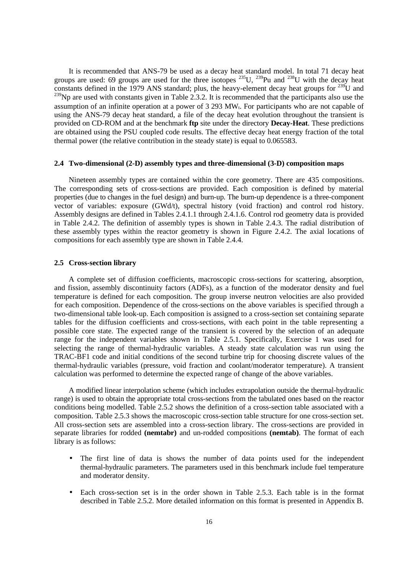<span id="page-15-0"></span>It is recommended that ANS-79 be used as a decay heat standard model. In total 71 decay heat groups are used: 69 groups are used for the three isotopes  $^{235}$ U,  $^{239}$ Pu and  $^{238}$ U with the decay heat constants defined in the 1979 ANS standard; plus, the heavy-element decay heat groups for  $^{239}U$  and  $^{239}$ Np are used with constants given in Table 2.3.2. It is recommended that the participants also use the assumption of an infinite operation at a power of 3 293 MWt. For participants who are not capable of using the ANS-79 decay heat standard, a file of the decay heat evolution throughout the transient is provided on CD-ROM and at the benchmark **ftp** site under the directory **Decay-Heat**. These predictions are obtained using the PSU coupled code results. The effective decay heat energy fraction of the total thermal power (the relative contribution in the steady state) is equal to 0.065583.

## **2.4 Two-dimensional (2-D) assembly types and three-dimensional (3-D) composition maps**

Nineteen assembly types are contained within the core geometry. There are 435 compositions. The corresponding sets of cross-sections are provided. Each composition is defined by material properties (due to changes in the fuel design) and burn-up. The burn-up dependence is a three-component vector of variables: exposure (GWd/t), spectral history (void fraction) and control rod history. Assembly designs are defined in Tables 2.4.1.1 through 2.4.1.6. Control rod geometry data is provided in Table 2.4.2. The definition of assembly types is shown in Table 2.4.3. The radial distribution of these assembly types within the reactor geometry is shown in Figure 2.4.2. The axial locations of compositions for each assembly type are shown in Table 2.4.4.

## **2.5 Cross-section library**

A complete set of diffusion coefficients, macroscopic cross-sections for scattering, absorption, and fission, assembly discontinuity factors (ADFs), as a function of the moderator density and fuel temperature is defined for each composition. The group inverse neutron velocities are also provided for each composition. Dependence of the cross-sections on the above variables is specified through a two-dimensional table look-up. Each composition is assigned to a cross-section set containing separate tables for the diffusion coefficients and cross-sections, with each point in the table representing a possible core state. The expected range of the transient is covered by the selection of an adequate range for the independent variables shown in Table 2.5.1. Specifically, Exercise 1 was used for selecting the range of thermal-hydraulic variables. A steady state calculation was run using the TRAC-BF1 code and initial conditions of the second turbine trip for choosing discrete values of the thermal-hydraulic variables (pressure, void fraction and coolant/moderator temperature). A transient calculation was performed to determine the expected range of change of the above variables.

A modified linear interpolation scheme (which includes extrapolation outside the thermal-hydraulic range) is used to obtain the appropriate total cross-sections from the tabulated ones based on the reactor conditions being modelled. Table 2.5.2 shows the definition of a cross-section table associated with a composition. Table 2.5.3 shows the macroscopic cross-section table structure for one cross-section set. All cross-section sets are assembled into a cross-section library. The cross-sections are provided in separate libraries for rodded **(nemtabr)** and un-rodded compositions **(nemtab)**. The format of each library is as follows:

- The first line of data is shows the number of data points used for the independent thermal-hydraulic parameters. The parameters used in this benchmark include fuel temperature and moderator density.
- Each cross-section set is in the order shown in Table 2.5.3. Each table is in the format described in Table 2.5.2. More detailed information on this format is presented in Appendix B.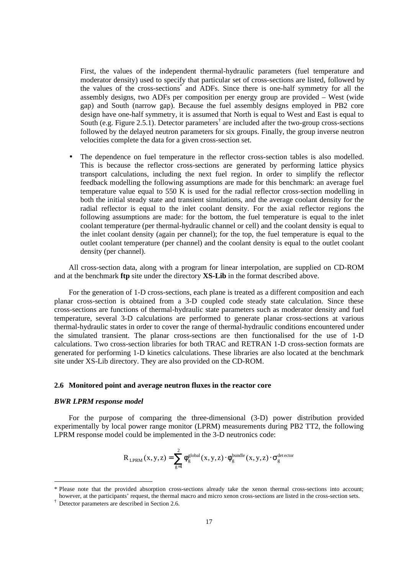<span id="page-16-0"></span>First, the values of the independent thermal-hydraulic parameters (fuel temperature and moderator density) used to specify that particular set of cross-sections are listed, followed by the values of the cross-sections<sup>\*</sup> and ADFs. Since there is one-half symmetry for all the assembly designs, two ADFs per composition per energy group are provided – West (wide gap) and South (narrow gap). Because the fuel assembly designs employed in PB2 core design have one-half symmetry, it is assumed that North is equal to West and East is equal to South (e.g. Figure 2.5.1). Detector parameters<sup>†</sup> are included after the two-group cross-sections followed by the delayed neutron parameters for six groups. Finally, the group inverse neutron velocities complete the data for a given cross-section set.

The dependence on fuel temperature in the reflector cross-section tables is also modelled. This is because the reflector cross-sections are generated by performing lattice physics transport calculations, including the next fuel region. In order to simplify the reflector feedback modelling the following assumptions are made for this benchmark: an average fuel temperature value equal to 550 K is used for the radial reflector cross-section modelling in both the initial steady state and transient simulations, and the average coolant density for the radial reflector is equal to the inlet coolant density. For the axial reflector regions the following assumptions are made: for the bottom, the fuel temperature is equal to the inlet coolant temperature (per thermal-hydraulic channel or cell) and the coolant density is equal to the inlet coolant density (again per channel); for the top, the fuel temperature is equal to the outlet coolant temperature (per channel) and the coolant density is equal to the outlet coolant density (per channel).

All cross-section data, along with a program for linear interpolation, are supplied on CD-ROM and at the benchmark **ftp** site under the directory **XS-Lib** in the format described above.

For the generation of 1-D cross-sections, each plane is treated as a different composition and each planar cross-section is obtained from a 3-D coupled code steady state calculation. Since these cross-sections are functions of thermal-hydraulic state parameters such as moderator density and fuel temperature, several 3-D calculations are performed to generate planar cross-sections at various thermal-hydraulic states in order to cover the range of thermal-hydraulic conditions encountered under the simulated transient. The planar cross-sections are then functionalised for the use of 1-D calculations. Two cross-section libraries for both TRAC and RETRAN 1-D cross-section formats are generated for performing 1-D kinetics calculations. These libraries are also located at the benchmark site under XS-Lib directory. They are also provided on the CD-ROM.

### **2.6 Monitored point and average neutron fluxes in the reactor core**

#### *BWR LPRM response model*

 $\overline{a}$ 

For the purpose of comparing the three-dimensional (3-D) power distribution provided experimentally by local power range monitor (LPRM) measurements during PB2 TT2, the following LPRM response model could be implemented in the 3-D neutronics code:

$$
R_{\text{ LPRM}}\left(x,y,z\right)=\sum_{g=1}^{2}\varphi_{g}^{\text{global}}\left(x,y,z\right)\cdot\varphi_{g}^{\text{bundle}}\left(x,y,z\right)\cdot\sigma_{g}^{\text{detector}}
$$

<sup>\*</sup> Please note that the provided absorption cross-sections already take the xenon thermal cross-sections into account; however, at the participants' request, the thermal macro and micro xenon cross-sections are listed in the cross-section sets.

<sup>†</sup> Detector parameters are described in Section 2.6.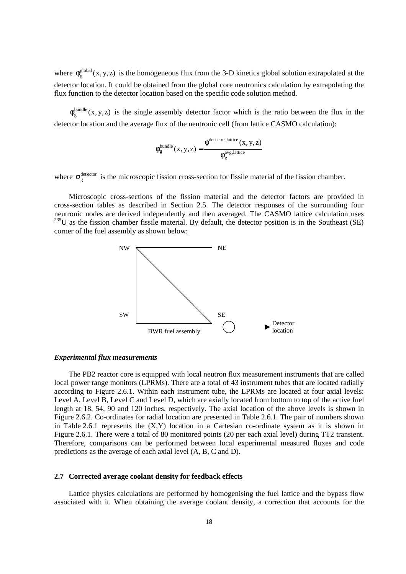<span id="page-17-0"></span>where  $\phi_{\sigma}^{\text{global}}(x, y, z)$  is the homogeneous flux from the 3-D kinetics global solution extrapolated at the detector location. It could be obtained from the global core neutronics calculation by extrapolating the flux function to the detector location based on the specific code solution method.

 $\phi_{g}^{bundle}(x, y, z)$  is the single assembly detector factor which is the ratio between the flux in the detector location and the average flux of the neutronic cell (from lattice CASMO calculation):

$$
\varphi_g^{\text{bundle}}(x,y,z) = \frac{\varphi^{\text{detector, lattice}}(x,y,z)}{\varphi_g^{\text{avg,lattice}}}
$$

where  $\sigma_{\rm s}^{\rm detector}$  is the microscopic fission cross-section for fissile material of the fission chamber.

Microscopic cross-sections of the fission material and the detector factors are provided in cross-section tables as described in Section 2.5. The detector responses of the surrounding four neutronic nodes are derived independently and then averaged. The CASMO lattice calculation uses <sup>235</sup>U as the fission chamber fissile material. By default, the detector position is in the Southeast (SE) corner of the fuel assembly as shown below:



#### *Experimental flux measurements*

The PB2 reactor core is equipped with local neutron flux measurement instruments that are called local power range monitors (LPRMs). There are a total of 43 instrument tubes that are located radially according to Figure 2.6.1. Within each instrument tube, the LPRMs are located at four axial levels: Level A, Level B, Level C and Level D, which are axially located from bottom to top of the active fuel length at 18, 54, 90 and 120 inches, respectively. The axial location of the above levels is shown in Figure 2.6.2. Co-ordinates for radial location are presented in Table 2.6.1. The pair of numbers shown in Table 2.6.1 represents the  $(X, Y)$  location in a Cartesian co-ordinate system as it is shown in Figure 2.6.1. There were a total of 80 monitored points (20 per each axial level) during TT2 transient. Therefore, comparisons can be performed between local experimental measured fluxes and code predictions as the average of each axial level (A, B, C and D).

## **2.7 Corrected average coolant density for feedback effects**

Lattice physics calculations are performed by homogenising the fuel lattice and the bypass flow associated with it. When obtaining the average coolant density, a correction that accounts for the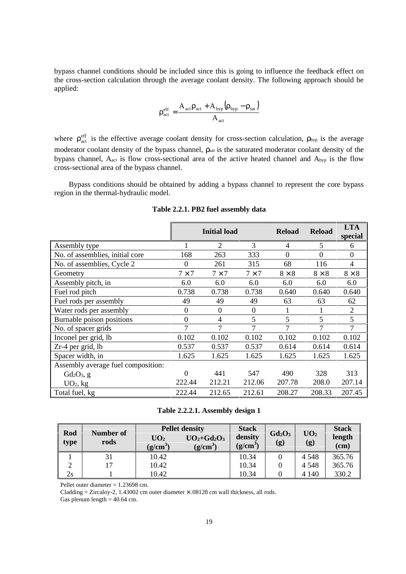<span id="page-18-0"></span>bypass channel conditions should be included since this is going to influence the feedback effect on the cross-section calculation through the average coolant density. The following approach should be applied:

$$
\rho_{\text{act}}^{\text{eff}} = \frac{A_{\text{act}} \rho_{\text{act}} + A_{\text{hyp}} (\rho_{\text{hyp}} - \rho_{\text{sat}})}{A_{\text{act}}}
$$

where  $\rho_{act}^{eff}$  is the effective average coolant density for cross-section calculation,  $\rho_{byp}$  is the average moderator coolant density of the bypass channel, ρsat is the saturated moderator coolant density of the bypass channel, Aact is flow cross-sectional area of the active heated channel and Abyp is the flow cross-sectional area of the bypass channel.

Bypass conditions should be obtained by adding a bypass channel to represent the core bypass region in the thermal-hydraulic model.

|                                    | <b>Initial load</b> |                  |                  | <b>Reload</b>  | <b>Reload</b> | <b>LTA</b><br>special |
|------------------------------------|---------------------|------------------|------------------|----------------|---------------|-----------------------|
| Assembly type                      |                     | 2                | 3                | 4              | 5             | 6                     |
| No. of assemblies, initial core    | 168                 | 263              | 333              | $\overline{0}$ | $\mathbf{0}$  | $\boldsymbol{0}$      |
| No. of assemblies, Cycle 2         | 0                   | 261              | 315              | 68             | 116           | 4                     |
| Geometry                           | $7 \times 7$        | $7 \times 7$     | $7 \times 7$     | $8 \times 8$   | $8 \times 8$  | $8 \times 8$          |
| Assembly pitch, in                 | 6.0                 | 6.0              | 6.0              | 6.0            | 6.0           | 6.0                   |
| Fuel rod pitch                     | 0.738               | 0.738            | 0.738            | 0.640          | 0.640         | 0.640                 |
| Fuel rods per assembly             | 49                  | 49               | 49               | 63             | 63            | 62                    |
| Water rods per assembly            | $\overline{0}$      | $\boldsymbol{0}$ | $\boldsymbol{0}$ | 1              | 1             | $\overline{2}$        |
| Burnable poison positions          | $\overline{0}$      | 4                | 5                | 5              | 5             | 5                     |
| No. of spacer grids                | 7                   | 7                | 7                | 7              | 7             | 7                     |
| Inconel per grid, lb               | 0.102               | 0.102            | 0.102            | 0.102          | 0.102         | 0.102                 |
| $Zr-4$ per grid, lb                | 0.537               | 0.537            | 0.537            | 0.614          | 0.614         | 0.614                 |
| Spacer width, in                   | 1.625               | 1.625            | 1.625            | 1.625          | 1.625         | 1.625                 |
| Assembly average fuel composition: |                     |                  |                  |                |               |                       |
| $Gd_2O_3$ , g                      | $\Omega$            | 441              | 547              | 490            | 328           | 313                   |
| $UO2$ , kg                         | 222.44              | 212.21           | 212.06           | 207.78         | 208.0         | 207.14                |
| Total fuel, kg                     | 222.44              | 212.65           | 212.61           | 208.27         | 208.33        | 207.45                |

**Table 2.2.1. PB2 fuel assembly data**

**Table 2.2.2.1. Assembly design 1**

| Rod<br>type | Number of | <b>Pellet density</b>                  |                           | <b>Stack</b>          |                                         |                                 | <b>Stack</b>   |
|-------------|-----------|----------------------------------------|---------------------------|-----------------------|-----------------------------------------|---------------------------------|----------------|
|             | rods      | $\mathbf{U}\mathbf{O}_2$<br>$(g/cm^3)$ | $UO2+Gd2O3$<br>$(g/cm^3)$ | density<br>$(g/cm^3)$ | $Gd_2O_3$<br>$\left( \mathbf{g}\right)$ | $\mathbf{U}\mathbf{O}_2$<br>(g) | length<br>(cm) |
|             | 31        | 10.42                                  |                           | 10.34                 |                                         | 4 5 4 8                         | 365.76         |
|             | 17        | 10.42                                  |                           | 10.34                 |                                         | 4 5 4 8                         | 365.76         |
| 2s          |           | 10.42                                  |                           | 10.34                 |                                         | 4 1 4 0                         | 330.2          |

Pellet outer diameter = 1.23698 cm.

Cladding = Zircaloy-2, 1.43002 cm outer diameter  $\times$  .08128 cm wall thickness, all rods.

Gas plenum length  $= 40.64$  cm.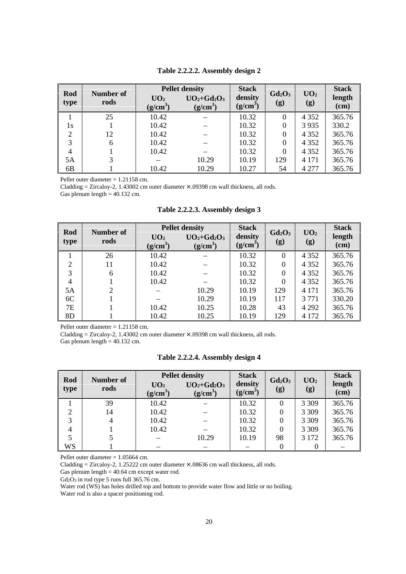<span id="page-19-0"></span>

| Rod<br>type | Number of | <b>Pellet density</b>         |                           | <b>Stack</b>                    |                  | UO <sub>2</sub> | <b>Stack</b>   |
|-------------|-----------|-------------------------------|---------------------------|---------------------------------|------------------|-----------------|----------------|
|             | rods      | UO <sub>2</sub><br>$(g/cm^3)$ | $UO2+Gd2O3$<br>$(g/cm^3)$ | density<br>(g/cm <sup>3</sup> ) | $Gd_2O_3$<br>(g) | (g)             | length<br>(cm) |
|             | 25        | 10.42                         |                           | 10.32                           | $\theta$         | 4 3 5 2         | 365.76         |
| 1s          |           | 10.42                         |                           | 10.32                           | $\boldsymbol{0}$ | 3935            | 330.2          |
| 2           | 12        | 10.42                         |                           | 10.32                           | $\overline{0}$   | 4 3 5 2         | 365.76         |
| 3           | 6         | 10.42                         |                           | 10.32                           | $\theta$         | 4 3 5 2         | 365.76         |
| 4           |           | 10.42                         |                           | 10.32                           | $\theta$         | 4 3 5 2         | 365.76         |
| 5A          |           |                               | 10.29                     | 10.19                           | 129              | 4 1 7 1         | 365.76         |
| 6B          |           | 10.42                         | 10.29                     | 10.27                           | 54               | 4 2 7 7         | 365.76         |

**Table 2.2.2.2. Assembly design 2**

Pellet outer diameter = 1.21158 cm.

Cladding = Zircaloy-2, 1.43002 cm outer diameter  $\times$  .09398 cm wall thickness, all rods.

Gas plenum length = 40.132 cm.

| Rod            | Number of | <b>Pellet density</b>         |                           | <b>Stack</b>          | Gd <sub>2</sub> O <sub>3</sub> | UO <sub>2</sub> | <b>Stack</b>   |
|----------------|-----------|-------------------------------|---------------------------|-----------------------|--------------------------------|-----------------|----------------|
| type           | rods      | UO <sub>2</sub><br>$(g/cm^3)$ | $UO2+Gd2O3$<br>$(g/cm^3)$ | density<br>$(g/cm^3)$ | (g)                            | (g)             | length<br>(cm) |
|                | 26        | 10.42                         |                           | 10.32                 | $\theta$                       | 4 3 5 2         | 365.76         |
| 2              | 11        | 10.42                         |                           | 10.32                 | $\theta$                       | 4 3 5 2         | 365.76         |
| 3              | 6         | 10.42                         |                           | 10.32                 | $\Omega$                       | 4 3 5 2         | 365.76         |
| $\overline{4}$ |           | 10.42                         |                           | 10.32                 | $\Omega$                       | 4 3 5 2         | 365.76         |
| 5A             | 2         |                               | 10.29                     | 10.19                 | 129                            | 4 1 7 1         | 365.76         |
| 6C             |           |                               | 10.29                     | 10.19                 | 117                            | 3 7 7 1         | 330.20         |
| 7E             |           | 10.42                         | 10.25                     | 10.28                 | 43                             | 4 2 9 2         | 365.76         |
| 8 <sub>D</sub> |           | 10.42                         | 10.25                     | 10.19                 | 129                            | 4 1 7 2         | 365.76         |

**Table 2.2.2.3. Assembly design 3**

Pellet outer diameter = 1.21158 cm.

Cladding = Zircaloy-2, 1.43002 cm outer diameter  $\times$  .09398 cm wall thickness, all rods.

Gas plenum length =  $40.132$  cm.

**Table 2.2.2.4. Assembly design 4**

| Rod               |                   | <b>Pellet density</b>         |                           | <b>Stack</b>          | $Gd_2O_3$ | UO <sub>2</sub> | <b>Stack</b>   |
|-------------------|-------------------|-------------------------------|---------------------------|-----------------------|-----------|-----------------|----------------|
| type              | Number of<br>rods | UO <sub>2</sub><br>$(g/cm^3)$ | $UO2+Gd2O3$<br>$(g/cm^3)$ | density<br>$(g/cm^3)$ | (g)       | (g)             | length<br>(cm) |
|                   | 39                | 10.42                         |                           | 10.32                 | 0         | 3 3 0 9         | 365.76         |
|                   | 14                | 10.42                         |                           | 10.32                 | 0         | 3 3 0 9         | 365.76         |
| $\mathbf{\Omega}$ | 4                 | 10.42                         |                           | 10.32                 | 0         | 3 3 0 9         | 365.76         |
|                   |                   | 10.42                         |                           | 10.32                 | 0         | 3 3 0 9         | 365.76         |
|                   |                   |                               | 10.29                     | 10.19                 | 98        | 3 1 7 2         | 365.76         |
| WS                |                   |                               |                           |                       |           | 0               |                |

Pellet outer diameter = 1.05664 cm.

Cladding = Zircaloy-2, 1.25222 cm outer diameter × .08636 cm wall thickness, all rods.

Gas plenum length = 40.64 cm except water rod.

Gd2O3 in rod type 5 runs full 365.76 cm.

Water rod (WS) has holes drilled top and bottom to provide water flow and little or no boiling.

Water rod is also a spacer positioning rod.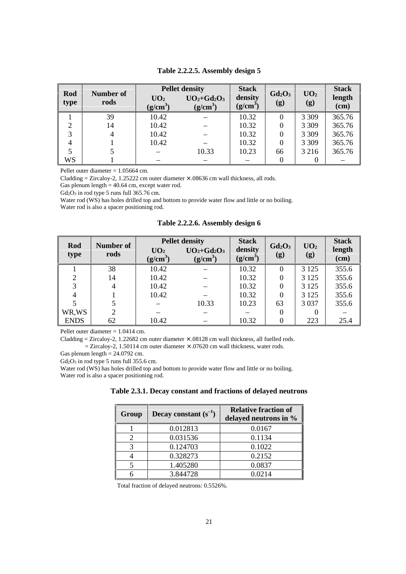<span id="page-20-0"></span>

| Rod<br>type | Number of | <b>Pellet density</b>         |                           | <b>Stack</b>          | Gd <sub>2</sub> O <sub>3</sub> | UO <sub>2</sub> | <b>Stack</b>   |
|-------------|-----------|-------------------------------|---------------------------|-----------------------|--------------------------------|-----------------|----------------|
|             | rods      | UO <sub>2</sub><br>$(g/cm^3)$ | $UO2+Gd2O3$<br>$(g/cm^3)$ | density<br>$(g/cm^3)$ | (g)                            | (g)             | length<br>(cm) |
|             | 39        | 10.42                         |                           | 10.32                 |                                | 3 3 0 9         | 365.76         |
|             | 14        | 10.42                         |                           | 10.32                 | $\theta$                       | 3 3 0 9         | 365.76         |
| 3           |           | 10.42                         |                           | 10.32                 | 0                              | 3 3 0 9         | 365.76         |
|             |           | 10.42                         |                           | 10.32                 | $\theta$                       | 3 3 0 9         | 365.76         |
|             |           |                               | 10.33                     | 10.23                 | 66                             | 3 2 1 6         | 365.76         |
| WS          |           |                               |                           |                       |                                |                 |                |

**Table 2.2.2.5. Assembly design 5**

Pellet outer diameter = 1.05664 cm.

Cladding = Zircaloy-2, 1.25222 cm outer diameter  $\times$  .08636 cm wall thickness, all rods.

Gas plenum length  $= 40.64$  cm, except water rod.

Gd<sub>2</sub>O<sub>3</sub> in rod type 5 runs full 365.76 cm.

Water rod (WS) has holes drilled top and bottom to provide water flow and little or no boiling. Water rod is also a spacer positioning rod.

**Table 2.2.2.6. Assembly design 6**

| Rod         | Number of |                               | <b>Pellet density</b>     |                       |                  |                        | <b>Stack</b>   |
|-------------|-----------|-------------------------------|---------------------------|-----------------------|------------------|------------------------|----------------|
| type        | rods      | UO <sub>2</sub><br>$(g/cm^3)$ | $UO2+Gd2O3$<br>$(g/cm^3)$ | density<br>$(g/cm^3)$ | $Gd_2O_3$<br>(g) | UO <sub>2</sub><br>(g) | length<br>(cm) |
|             | 38        | 10.42                         |                           | 10.32                 | $\Omega$         | 3 1 2 5                | 355.6          |
| ↑           | 14        | 10.42                         |                           | 10.32                 |                  | 3 1 2 5                | 355.6          |
| 3           | 4         | 10.42                         |                           | 10.32                 |                  | 3 1 2 5                | 355.6          |
| 4           |           | 10.42                         |                           | 10.32                 |                  | 3 1 2 5                | 355.6          |
|             |           |                               | 10.33                     | 10.23                 | 63               | 3 0 3 7                | 355.6          |
| WR,WS       | 2         |                               |                           |                       | 0                | $\theta$               |                |
| <b>ENDS</b> | 62        | 10.42                         |                           | 10.32                 |                  | 223                    | 25.4           |

Pellet outer diameter = 1.0414 cm.

Cladding = Zircaloy-2, 1.22682 cm outer diameter × .08128 cm wall thickness, all fuelled rods.  $=$  Zircaloy-2, 1.50114 cm outer diameter  $\times$  .07620 cm wall thickness, water rods.

Gas plenum length  $= 24.0792$  cm.

Gd<sub>2</sub>O<sub>3</sub> in rod type 5 runs full 355.6 cm.

Water rod (WS) has holes drilled top and bottom to provide water flow and little or no boiling. Water rod is also a spacer positioning rod.

|  | Table 2.3.1. Decay constant and fractions of delayed neutrons |  |  |
|--|---------------------------------------------------------------|--|--|
|--|---------------------------------------------------------------|--|--|

| Group | Decay constant $(s^{-1})$ | <b>Relative fraction of</b><br>delayed neutrons in % |
|-------|---------------------------|------------------------------------------------------|
|       | 0.012813                  | 0.0167                                               |
|       | 0.031536                  | 0.1134                                               |
|       | 0.124703                  | 0.1022                                               |
|       | 0.328273                  | 0.2152                                               |
|       | 1.405280                  | 0.0837                                               |
|       | 3.844728                  | 0.0214                                               |

Total fraction of delayed neutrons: 0.5526%.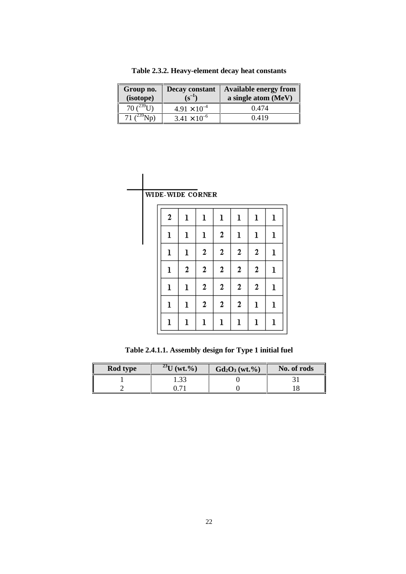<span id="page-21-0"></span>

| Group no.<br>(isotope) | Decay constant<br>$\left(\mathbf{s}^{-1}\right)$ | <b>Available energy from</b><br>a single atom (MeV) |
|------------------------|--------------------------------------------------|-----------------------------------------------------|
| 70 $\binom{239}{ }$ 1. | $4.91 \times 10^{-4}$                            | 0.474                                               |
|                        | $3.41 \times 10^{-6}$                            | 0.419                                               |

**Table 2.3.2. Heavy-element decay heat constants**

|  | WIDE-WIDE CORNER |             |              |                  |              |                  |             |
|--|------------------|-------------|--------------|------------------|--------------|------------------|-------------|
|  | 2                | ı           | ı            | $\mathbf 1$      | ı            | ı                | ı           |
|  | ı                | $\mathbf 1$ | ı            | $\boldsymbol{2}$ | ı            | $\mathbf 1$      | $\mathbf 1$ |
|  | ı                | $\mathbf 1$ | 2            | $\mathbf{2}$     | $\mathbf{2}$ | $\mathbf{2}$     | ı           |
|  | ı                | 2           | 2            | 2                | 2            | $\boldsymbol{2}$ | $\mathbf 1$ |
|  | $\mathbf 1$      | $\mathbf 1$ | 2            | 2                | 2            | $\boldsymbol{2}$ | $\mathbf 1$ |
|  | ı                | $\mathbf 1$ | $\mathbf{2}$ | 2                | $\mathbf{2}$ | $\mathbf 1$      | ı           |
|  | ı                | $\mathbf 1$ | ı            | ı                | ı            | ı                | ı           |

**Table 2.4.1.1. Assembly design for Type 1 initial fuel**

| Rod type | $^{23}U$ (wt.%) | $Gd_2O_3(wt.^{\mathcal{Y}}_0)$ | No. of rods |
|----------|-----------------|--------------------------------|-------------|
|          | 1.33            |                                |             |
|          |                 |                                |             |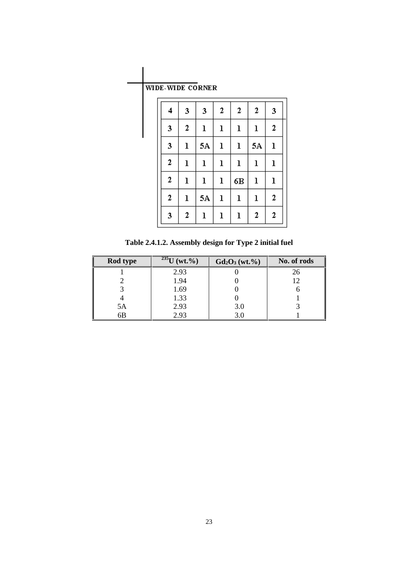WIDE-WIDE CORNER

<span id="page-22-0"></span>

| WIDE-WIDE CORNER |                  |    |              |    |                  |                  |
|------------------|------------------|----|--------------|----|------------------|------------------|
| 4                | 3                | 3  | 2            | 2  | $\boldsymbol{2}$ | 3                |
| 3                | $\mathbf{2}$     | ı  | ı            | ı  | ı                | 2                |
| 3                | ı                | 5A | $\mathbf 1$  | ı  | 5A               | $\mathbf 1$      |
| $\mathbf{2}$     | ı                | ı  | ı            | ı  | ı                | $\mathbf 1$      |
| 2                | ı                | ı  | $\mathbf{1}$ | 6В | $\mathbf 1$      | $\mathbf 1$      |
| $\mathbf{2}$     | ı                | 5Α | $\mathbf 1$  | ı  | ı                | $\boldsymbol{2}$ |
| 3                | $\boldsymbol{2}$ | ı  | ı            | ı  | $\mathbf{2}$     | $\mathbf{2}$     |

**Table 2.4.1.2. Assembly design for Type 2 initial fuel**

| Rod type | $\sqrt[235]{U (wt.^9)}$ | $Gd_2O_3(wt.^{0}\%)$ | No. of rods |
|----------|-------------------------|----------------------|-------------|
|          | 2.93                    |                      | 26          |
|          | 1.94                    |                      |             |
|          | 1.69                    |                      |             |
|          | 1.33                    |                      |             |
| 5A       | 2.93                    | 3.0                  |             |
| 6B       | 2.93                    |                      |             |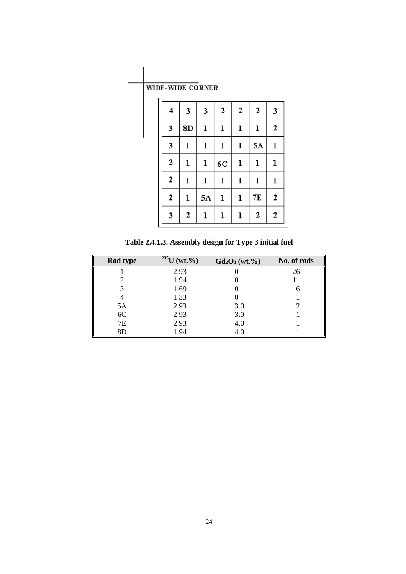|  |  |  | WIDE-WIDE CORNER |
|--|--|--|------------------|
|--|--|--|------------------|

<span id="page-23-0"></span>

| WIDE-WIDE CORNER |    |             |             |              |              |                  |
|------------------|----|-------------|-------------|--------------|--------------|------------------|
| 4                | 3  | 3           | 2           | $\mathbf{2}$ | 2            | 3                |
| 3                | 8D | ı           | ı           | ı            | ı            | 2                |
| 3                | ı  | $\mathbf 1$ | ı           | $\mathbf{1}$ | 5A           | $\mathbf{1}$     |
| 2                | ı  | ı           | 6C          | $\mathbf 1$  | $\mathbf{I}$ | ı                |
| 2                | ı  | ı           | $\mathbf 1$ | ı            | ı            | ı                |
| 2                | ı  | 5A          | ı           | ı            | 7Е           | $\boldsymbol{2}$ |
| 3                | 2  | ı           | ı           | $\mathbf 1$  | 2            | $\boldsymbol{2}$ |

**Table 2.4.1.3. Assembly design for Type 3 initial fuel**

| Rod type  | $\frac{235}{\text{U}}$ (wt.%) | $Gd_2O_3(wt.^{9}/_{0})$ | No. of rods |
|-----------|-------------------------------|-------------------------|-------------|
|           | 2.93                          |                         | 26          |
|           | 1.94                          |                         |             |
|           | 1.69                          |                         |             |
|           | 1.33                          |                         |             |
| 5A        | 2.93                          | 3.0                     |             |
| 6C        | 2.93                          | 3.0                     |             |
| <b>7E</b> | 2.93                          | 4.0                     |             |
| 8D        | 1.94                          | 4.0                     |             |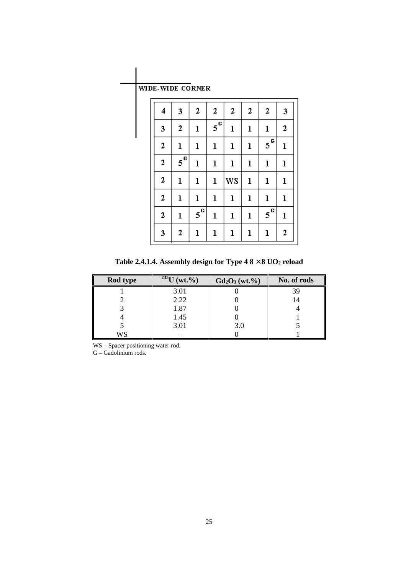<span id="page-24-0"></span>

| WIDE-WIDE CORNER |  |
|------------------|--|
|------------------|--|

| 4                | 3                  | $\mathbf{2}$       | 2                  | $\mathbf{2}$ | $\boldsymbol{2}$ | 2                  | 3                |
|------------------|--------------------|--------------------|--------------------|--------------|------------------|--------------------|------------------|
| 3                | $\mathbf{2}$       | ı                  | $5^{\overline{G}}$ | ı            | $\mathbf 1$      | ı                  | $\mathbf{2}$     |
| $\overline{2}$   | $\mathbf 1$        | $\mathbf{l}$       | $\mathbf{l}$       | $\mathbf 1$  | $\mathbf 1$      | $5^{\overline{6}}$ | ı                |
| $\mathbf{2}$     | $5^{\overline{G}}$ | ı                  | $\mathbf 1$        | $\mathbf 1$  | $\mathbf 1$      | $\mathbf 1$        | $\mathbf 1$      |
| $\boldsymbol{2}$ | ı                  | $\mathbf{l}$       | ı                  | WS           | $\mathbf 1$      | ı                  | $\mathbf 1$      |
| $\mathbf{2}$     | ı                  | $\mathbf 1$        | ı                  | ı            | $\mathbf 1$      | ı                  | $\mathbf 1$      |
| 2                | ı                  | $5^{\overline{G}}$ | ı                  | $\mathbf 1$  | $\mathbf 1$      | $5^{\overline{6}}$ | ı                |
| 3                | $\overline{2}$     | $\mathbf 1$        | ı                  | $\mathbf 1$  | $\mathbf 1$      | ı                  | $\boldsymbol{2}$ |

**Table 2.4.1.4. Assembly design for Type 4 8** × **8 UO2 reload**

| Rod type | $\sqrt[235]{U(wt.^9)}$ | $Gd_2O_3(wt.^{0}\%)$ | No. of rods |
|----------|------------------------|----------------------|-------------|
|          | 3.01                   |                      | 39          |
|          | 2.22                   |                      |             |
|          | 1.87                   |                      |             |
|          | 1.45                   |                      |             |
|          | 3.01                   | 3.0                  |             |
| WS       |                        |                      |             |

WS – Spacer positioning water rod.

G – Gadolinium rods.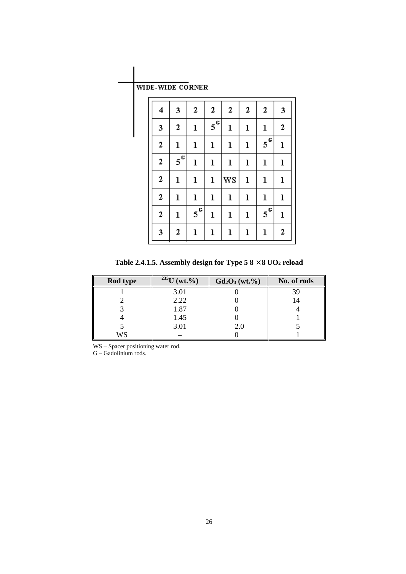<span id="page-25-0"></span>

| 4                | 3                  | 2                  | 2                  | 2            | 2            | 2                  | 3            |
|------------------|--------------------|--------------------|--------------------|--------------|--------------|--------------------|--------------|
| 3                | $\boldsymbol{2}$   | $\mathbf 1$        | $5^{\overline{6}}$ | $\mathbf{l}$ | $\mathbf{l}$ | $\mathbf 1$        | $\mathbf{2}$ |
| $\overline{2}$   | $\mathbf 1$        | $\mathbf 1$        | $\mathbf 1$        | $\mathbf{l}$ | ı            | $5^{\overline{G}}$ | $\bf{l}$     |
| $\boldsymbol{2}$ | $5^{\overline{G}}$ | $\mathbf 1$        | $\mathbf 1$        | $\mathbf 1$  | ı            | $\bf{l}$           | $\bf{l}$     |
| $\boldsymbol{2}$ | $\mathbf{l}$       | $\mathbf 1$        | $\mathbf 1$        | <b>WS</b>    | $\mathbf 1$  | $\mathbf 1$        | $\mathbf{l}$ |
| $\overline{2}$   | $\mathbf 1$        | ı                  | ı                  | $\mathbf 1$  | ı            | $\mathbf 1$        | $\mathbf 1$  |
| $\mathbf{2}$     | ı                  | $5^{\overline{G}}$ | $\mathbf 1$        | $\mathbf 1$  | $\mathbf 1$  | $5^{\overline{G}}$ | $\mathbf{l}$ |
| 3                | 2                  | $\mathbf 1$        | $\mathbf 1$        | $\mathbf{l}$ | ı            | ı                  | 2            |

**Table 2.4.1.5. Assembly design for Type 5 8** × **8 UO2 reload**

| Rod type | $\sqrt{^{235}U}$ (wt.%) | $Gd_2O_3(wt.^{0}\%)$ | No. of rods |
|----------|-------------------------|----------------------|-------------|
|          | 3.01                    |                      | 39          |
|          | 2.22                    |                      |             |
|          | 1.87                    |                      |             |
|          | 1.45                    |                      |             |
|          | 3.01                    | 2.0                  |             |
| WS       |                         |                      |             |

WS – Spacer positioning water rod. G – Gadolinium rods.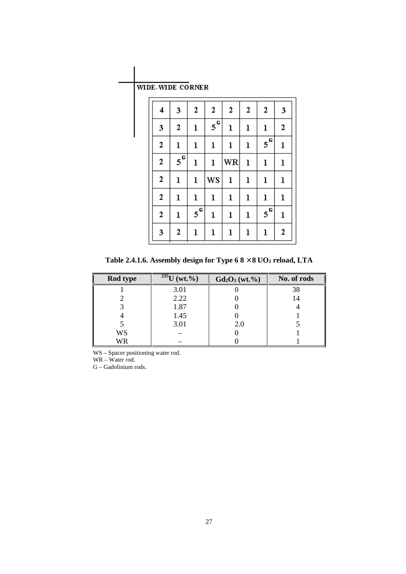# <span id="page-26-0"></span>WIDE-WIDE CORNER

| 4              | 3                  | 2                  | 2                  | 2            | 2            | 2                  | 3                |
|----------------|--------------------|--------------------|--------------------|--------------|--------------|--------------------|------------------|
| 3              | 2                  | $\mathbf 1$        | $5^{\overline{G}}$ | $\mathbf{l}$ | ı            | ı                  | $\boldsymbol{2}$ |
| $\overline{2}$ | $\mathbf{l}$       | $\mathbf 1$        | $\mathbf 1$        | ı            | ı            | $5^{\overline{6}}$ | $\mathbf{l}$     |
| $\mathbf{2}$   | $5^{\overline{G}}$ | $\mathbf 1$        | ı                  | WR           | $\mathbf{1}$ | ı                  | $\mathbf 1$      |
| $\mathbf{2}$   | ı                  | ı                  | WS                 | ı            | ı            | ı                  | $\mathbf 1$      |
| $\overline{2}$ | ı                  | $\mathbf 1$        | ı                  | ı            | ı            | ı                  | ı                |
| $\mathbf{2}$   | ı                  | $5^{\overline{6}}$ | $\mathbf 1$        | $\mathbf 1$  | ı            | $5^{6}$            | $\mathbf{l}$     |
| 3              | 2                  | ı                  | ı                  | ı            | ı            | ı                  | $\boldsymbol{2}$ |

**Table 2.4.1.6. Assembly design for Type 6 8** × **8 UO2 reload, LTA**

| Rod type | $\sqrt[235]{U (wt.^9)}$ | $Gd_2O_3(wt.^{9}\%)$ | No. of rods |
|----------|-------------------------|----------------------|-------------|
|          | 3.01                    |                      | 38          |
|          | 2.22                    |                      | 14          |
|          | 1.87                    |                      |             |
|          | 1.45                    |                      |             |
|          | 3.01                    | 2.0                  |             |
| WS       |                         |                      |             |
| WR       |                         |                      |             |

WS – Spacer positioning water rod.

WR – Water rod.

G – Gadolinium rods.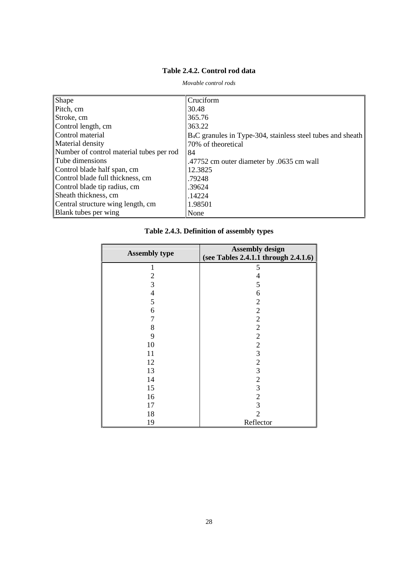# **Table 2.4.2. Control rod data**

<span id="page-27-0"></span>

| Shape                                    | Cruciform                                                               |
|------------------------------------------|-------------------------------------------------------------------------|
| Pitch, cm                                | 30.48                                                                   |
| Stroke, cm                               | 365.76                                                                  |
| Control length, cm                       | 363.22                                                                  |
| Control material                         | B <sub>4</sub> C granules in Type-304, stainless steel tubes and sheath |
| Material density                         | 70% of theoretical                                                      |
| Number of control material tubes per rod | 84                                                                      |
| Tube dimensions                          | .47752 cm outer diameter by .0635 cm wall                               |
| Control blade half span, cm              | 12.3825                                                                 |
| Control blade full thickness, cm         | .79248                                                                  |
| Control blade tip radius, cm             | .39624                                                                  |
| Sheath thickness, cm                     | .14224                                                                  |
| Central structure wing length, cm        | 1.98501                                                                 |
| Blank tubes per wing                     | None                                                                    |

*Movable control rods*

# **Table 2.4.3. Definition of assembly types**

| <b>Assembly type</b> | <b>Assembly design</b><br>(see Tables 2.4.1.1 through 2.4.1.6) |
|----------------------|----------------------------------------------------------------|
|                      |                                                                |
| 1                    | 5                                                              |
| $\frac{2}{3}$        | 4                                                              |
|                      | 5                                                              |
| $\overline{4}$       | 6                                                              |
| 5                    | $\sqrt{2}$                                                     |
| 6                    |                                                                |
| 7                    |                                                                |
| 8                    |                                                                |
| 9                    | $\begin{array}{c} 2 \\ 2 \\ 2 \end{array}$                     |
| 10                   |                                                                |
| 11                   | $2$ 3 2 3 2 3                                                  |
| 12                   |                                                                |
| 13                   |                                                                |
| 14                   |                                                                |
| 15                   |                                                                |
| 16                   |                                                                |
| 17                   | $\frac{2}{3}$                                                  |
| 18                   | $\overline{2}$                                                 |
| 19                   | Reflector                                                      |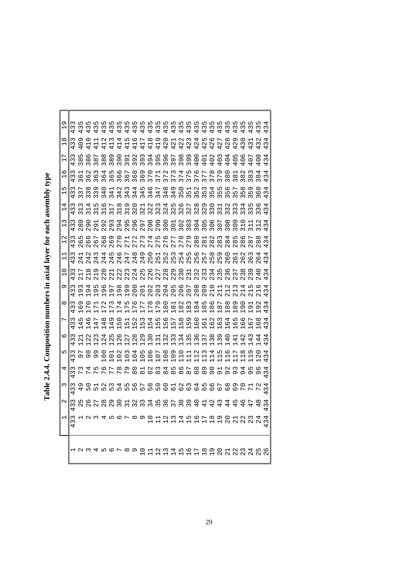| I                            |
|------------------------------|
| I                            |
| ı                            |
| ı<br>֦<br>l                  |
|                              |
| $\overline{1}$<br> <br> <br> |
|                              |
| ı<br>Ì                       |
| į<br>l                       |
|                              |
|                              |
| l<br>l<br>ţ<br>Î<br>l<br>l   |

<span id="page-28-0"></span>

|                               |                          |                                                                                   |                                                |                                                            |                                                       |                                                                    |                                                             |                                                    | n o r ∞ o o ⊣ N w                                                |                                                           |                                                                          |                                                                |                                           | ⇥<br>⊣⊣                                                                           | ທ<br>$\overline{ }$                                  | ۱ ص                                                                              |                                                         |                                                                 | $\infty$ $\circ$<br>H H H H N N N N N N N                                |                                             |                                                                                            | N                                               | Μ                                       |                                          | ഥ                                        | ဖ                  |
|-------------------------------|--------------------------|-----------------------------------------------------------------------------------|------------------------------------------------|------------------------------------------------------------|-------------------------------------------------------|--------------------------------------------------------------------|-------------------------------------------------------------|----------------------------------------------------|------------------------------------------------------------------|-----------------------------------------------------------|--------------------------------------------------------------------------|----------------------------------------------------------------|-------------------------------------------|-----------------------------------------------------------------------------------|------------------------------------------------------|----------------------------------------------------------------------------------|---------------------------------------------------------|-----------------------------------------------------------------|--------------------------------------------------------------------------|---------------------------------------------|--------------------------------------------------------------------------------------------|-------------------------------------------------|-----------------------------------------|------------------------------------------|------------------------------------------|--------------------|
| $\overline{\phantom{0}}$      | Σ<br>S<br>4              | 1234567                                                                           |                                                |                                                            |                                                       |                                                                    |                                                             |                                                    | $\infty$                                                         |                                                           |                                                                          |                                                                |                                           |                                                                                   |                                                      |                                                                                  |                                                         |                                                                 | O O H N M 4 H O L & O O H N M 4 H<br>O O H N M 4 H O L & O O H N M N N M |                                             |                                                                                            |                                                 |                                         |                                          |                                          |                    |
| 2                             | ω<br>4                   | 7 0 D D<br>$\begin{array}{c} \mathcal{O} & \mathcal{O} & \mathcal{O} \end{array}$ |                                                |                                                            |                                                       |                                                                    |                                                             |                                                    |                                                                  |                                                           |                                                                          |                                                                |                                           |                                                                                   |                                                      | 8528001<br>8520001                                                               |                                                         |                                                                 | 42                                                                       | $\infty$<br>4                               | ₩<br>4                                                                                     | 4                                               | ७<br>4                                  | г<br>4                                   | ∞                                        | 3                  |
| ω                             | $\sim$<br>Σ              | $\circ$                                                                           | $\circ$                                        | $\overline{ }$                                             |                                                       | <b>Q W 4 M 6</b>                                                   |                                                             |                                                    |                                                                  |                                                           | 589012345 78901 23 1 2 1 5 <del>0</del>                                  |                                                                |                                           |                                                                                   |                                                      |                                                                                  |                                                         |                                                                 | $\circ$<br>$\circ$                                                       | $\overline{ }$                              | $\infty$<br>$\circ$ $\circ$                                                                | ത<br>O                                          | ○<br>$\overline{ }$                     | $\overline{ }$                           | c<br>$\overline{ }$                      | 4<br>$\infty$      |
| 4                             | $\sim$<br>ω<br>4         | $\overline{r}$                                                                    | レレ                                             | w 4 ru                                                     | $\circ$ $\sim$<br>$\overline{ }$                      | $\overline{\phantom{a}}$                                           | _ m<br>$\overline{ }$                                       | $\sigma$<br>$\overline{ }$                         | ○<br>$\infty$                                                    | $\overline{ }$<br>$\infty$                                |                                                                          | 234567<br>_________                                            |                                           |                                                                                   |                                                      |                                                                                  | $\infty$                                                | ന<br>$\infty$                                                   | ◯<br>$\sigma$                                                            | $\overline{ }$<br>Ō                         | $\sim$ $\sim$<br>o.                                                                        | $\sigma$                                        | $\overline{a}$<br>Ō                     | ഥ<br>G                                   | ıΩ<br>Ō                                  | ₩<br>3<br>4        |
| ι∩                            | $\infty$<br>ω            | ∼<br>on on                                                                        | ∞                                              | თ<br>Ō                                                     | ◯<br>$\circ$                                          | ⊣<br>$\circ$<br>÷                                                  | $\sim$<br>$\circ$                                           | $\infty$                                           | ₩<br>$\circ \circ \circ \circ \circ$<br>$\overline{\phantom{0}}$ | LO<br>$\overline{ }$                                      | O<br>$\overline{ }$                                                      | $\overline{ }$<br>$\circ \circ \circ \dashv$<br>$\overline{ }$ | $\infty$                                  | $\sigma$<br>$\overline{\phantom{0}}$                                              | $\circ$<br>$\overline{ }$                            | $\overline{\phantom{0}}$<br>$\overline{\phantom{0}}$<br>$\overline{\phantom{0}}$ | $\sim$<br>Н                                             | $\infty$                                                        | ₩<br>$\blacksquare$                                                      | LO                                          | ΔO<br>$\overline{\phantom{0}}$                                                             | $\overline{ }$<br>$\overline{\phantom{0}}$      | $\infty$<br>$\overline{\phantom{0}}$    | の<br>$\overline{a}$                      | ○                                        | 4<br>$\sim$<br>4   |
| 0                             | $\infty$<br>ω<br>4       | $\overline{ }$<br>$\mathbf{\sim}$                                                 | $\sim$<br>$\mathbf{\sim}$<br>$\overline{ }$    | $\infty$<br>$\mathbf{\sim}$<br>$\overline{ }$              | $\overline{a}$<br>$\mathbf{\Omega}$<br>$\overline{ }$ | $\mathsf{L}\Omega$<br>Z<br>$\overline{ }$                          | -lo<br>$\mathbf 2$<br>$\overline{ }$                        | ∼<br>$\mathbf{\sim}$<br>$\overline{ }$             | $\infty$<br>$\mathbf 2$<br>$\overline{ }$                        | $\sigma$<br>$\mathbf{\Omega}$<br>$\overline{\phantom{0}}$ | $\circ$<br>$\sim$<br>$\overline{ }$                                      | $\overline{a}$ $\alpha$<br>$\sim$<br>$\overline{ }$            | $\sim$<br>$\overline{\phantom{0}}$        | $\infty$<br>$\epsilon$<br>$\overline{ }$                                          | 4<br>$\omega$<br>$\overline{ }$                      | ഥ<br>$\omega$<br>$\overline{ }$                                                  | $\circ$<br>$\epsilon$<br>4<br>$\blacksquare$            | $\overline{ }$<br>$\sim$<br>$\mathbf{r}$                        | $\infty$<br>3                                                            | $\sigma$<br>$\omega$<br>⊣<br>$\blacksquare$ | ○<br>4<br>$\overline{\phantom{0}}$                                                         | $\overline{\phantom{0}}$<br>4<br>$\blacksquare$ | $\sim$<br>4                             | ന<br>4                                   | 4<br>4                                   | $\infty$<br>4      |
| $\overline{ }$                | $\infty$<br>ω            | ഥ<br>4                                                                            | ΔO<br>4                                        | ∼<br>4                                                     | ∞<br>4                                                | の<br>4<br>⊣                                                        | っ<br>Ь٥                                                     | $\mathbf{\mathbf{\mathsf{H}}}$<br>m                | $\sim$<br>ഗ                                                      | $\infty$<br>⊣<br>Н                                        | 4<br>m m m<br>$\overline{\phantom{0}}$                                   | ഥ<br>⊣<br>$\mathbf{r}$                                         | -lo<br>ഥ<br>$\overline{\phantom{0}}$      | $\overline{ }$<br>LO.<br>⊣<br>$\mathbf{r}$                                        | $\infty$<br>ഗ<br>$\overline{\phantom{0}}$            | $\sigma$<br>ഗ<br>$\overline{\phantom{0}}$                                        | ○<br>$\circ$<br>ь                                       | Н<br>$\circ$                                                    | $\sim$<br>ဖ                                                              | $\infty$<br>O                               | ₩<br>0                                                                                     | ഥ<br>O                                          | ΔO<br>O                                 | ∼<br>O                                   | ∞<br>ဖ                                   | 4<br>3             |
| $^\infty$                     | Μ<br>ω<br>4              | െ<br>6                                                                            | ○<br>$\overline{a}$                            | Н<br>$\overline{ }$<br>$\overline{\phantom{0}}$            | $\sim$<br>$\overline{ }$<br>r                         | $\infty$<br>$\overline{a}$<br>$\overline{ }$                       | $\overline{a}$<br>$\overline{a}$<br>Н                       | ഗ<br>$\overline{a}$                                | O<br>$\overline{\phantom{a}}$<br>$\mathbf{r}$                    | ∼<br>$\overline{ }$<br>$\overline{ }$                     | $\infty$<br>$\overline{\phantom{a}}$<br>$\overline{1}$<br>$\blacksquare$ | ന<br>$\overline{a}$<br>$\mathbf{r}$                            | 0<br>$\infty$<br>$\overline{\phantom{0}}$ | $\overline{a}$<br>$\infty$<br>$\overline{ }$                                      | ${}^{\circ}$<br>$\overline{\phantom{0}}$             | U W<br>$\infty$<br>$\overline{\phantom{0}}$                                      | 4 N<br>$\infty$<br>$\overline{ }$                       | $\infty$<br>$\overline{ }$                                      | <u>LO</u><br>$\infty$<br>$\overline{ }$                                  | ∼<br>$\infty$<br>$\overline{\phantom{0}}$   | $\infty$<br>$\infty$<br>$\mathbf{\mathbf{\mathbf{\mathbf{\mathbf{\mathbf{\mathsf{H}}}}}}}$ | の<br>$\infty$<br>п                              | 0<br>ᡡ                                  | $\blacksquare$<br>ᡡ<br>$\blacksquare$    | $\sim$<br>ᡡ                              | ₩<br>3<br>4        |
| Ó                             | ო<br>ω<br>4              | $\infty$<br>G                                                                     | ₩<br>G<br>$\overline{ }$                       | $\mathsf{L}\Omega$<br>G                                    | ΔO<br>G<br>$\overline{\phantom{0}}$                   | $\overline{ }$<br>$\sigma$<br>$\overline{ }$                       | $\infty$<br>$\sigma$<br>Н                                   | $\sigma$<br>$\sigma$<br>$\overline{ }$             | O<br>$\circ$<br>$\sim$                                           | ⊣<br>$\circ$<br>$\mathbf{\Omega}$                         | $\mathbf{\Omega}$<br>$\circ$<br>$\sim$                                   | $\infty$<br>$\circ$<br>$\sim$                                  | 4                                         | ഥ<br>$\begin{array}{c} 0 & 0 & 0 \\ 0 & 0 & 0 \\ 0 & 0 & 0 \end{array}$           | $\circ$                                              | $\overline{ }$<br>$\circ$<br>$\sim$                                              | $\infty$<br>$\circ$<br>$\sim$                           | の<br>20                                                         | 0<br>$\overline{21}$                                                     | Н<br>$\overline{\phantom{0}}$<br>$\sim$     | $\sim$<br>$\overline{\phantom{0}}$<br>$\sim$                                               | $\infty$<br>$\overline{\phantom{0}}$<br>$\sim$  | 4<br>$\overline{\phantom{0}}$<br>$\sim$ | ഥ<br>$\blacksquare$<br>$\sim$            | ΔO<br>⊣                                  | ↵<br>3<br>4        |
| 0<br>$\overline{\phantom{0}}$ | $\sim$<br>ω              | $\overline{ }$<br>$\overline{ }$<br>$\sim$                                        | $\infty$<br>$\overline{\phantom{0}}$<br>$\sim$ | ᡡ<br>$\overline{\phantom{0}}$<br>$\sim$                    | $\circ$<br>$\mathbf 2$<br>$\mathbf{\Omega}$           | $\overline{\phantom{0}}$<br>$\mathbf{\Omega}$<br>$\mathbf{\Omega}$ | $\mathbf{\Omega}$<br>$\mathbf{\Omega}$<br>$\mathbf{\Omega}$ | $\infty$<br>$\mathbf{\Omega}$<br>$\mathbf{\Omega}$ | 4<br>$\mathbf{\Omega}$<br>$\sim$                                 | $\mathbf{\Omega}$<br>$\sim$                               | 5 G L<br>$\mathbf{\Omega}$<br>$\sim$                                     | $\mathbf{\Omega}$<br>$\mathbf{\Omega}$                         | $\infty$<br>$\sim$                        | Ō<br>$\sim$ $\sim$<br>$\mathbf{\Omega}$                                           | $\circ$<br>$\sim$<br>$\mathbf{\Omega}$               | $\overline{\phantom{0}}$<br>$\sim$<br>$\mathbf{\Omega}$                          | $\sim$ $\sim$<br>$\mathbf{\infty}$<br>$\mathbf{\Omega}$ | $\mathbf{\infty}$<br>$\mathbf{\Omega}$                          | $\overline{4}$<br>$\sim$<br>$\mathbf{\Omega}$                            | ഗ<br>3<br>$\mathbf{\Omega}$                 | O<br>3<br>$\sim$                                                                           | $\overline{ }$<br>$\sim$<br>$\sim$              | $^\infty$<br>Σ<br>$\sim$                | ᡡ<br>$\infty$<br>$\sim$                  | ○<br>4<br>$\sim$                         | ↤<br>3             |
| Н<br>$\overline{\phantom{0}}$ | ω<br>4                   | 4<br>$\sim$                                                                       | $\sim$<br>4<br>$\sim$                          | $\sim$<br>4<br>$\sim$                                      | ᆊ<br>4<br>$\sim$                                      | $\sqrt{2}$<br>4<br>$\sim$                                          | ١O<br>4<br>$\sim$                                           | ∼<br>4<br>$\sim$                                   | ന<br>4<br>$\sim$                                                 | $\sigma$<br>4<br>$\sim$                                   | ○<br>Б<br>$\sim$ $\sim$                                                  | $\overline{M}$ $\alpha$<br>L                                   |                                           | $\sim$<br><b>5955</b><br>$\begin{array}{c} \mathcal{N} & \mathcal{N} \end{array}$ | 4                                                    | $\mathsf{L}\Omega$<br>$\sim$                                                     | ιo<br>$\sim$                                            | ∼<br>m m m<br>$\sim$                                            | ന<br>$\sim$                                                              | ഹ<br>Б<br>$\sim$                            | ○<br>O<br>$\sim$                                                                           | $\mathbf{\mathbf{\mathsf{H}}}$<br>ΔO<br>$\sim$  | $\sim$<br>ΔO<br>$\sim$                  | $\sim$<br>ΔO<br>$\sim$                   | ᆊ<br>ΔO<br>$\sim$                        | 4<br>3<br>4        |
| N<br>Н                        | Σ<br>Σ<br>$\overline{ }$ | $\mathsf{L}\Omega$<br>$\circ$<br>$\sim$                                           | ΔO<br>ە ب<br>$\sim$                            | L<br>$\sim$                                                | $\infty$<br>O<br>$\sim$                               | Ō<br>$\circ$<br>$\sim$                                             | $\circ$<br>$\overline{ }$<br>$\sim$                         | $\overline{\phantom{0}}$<br>$\sim$                 | $\mathbf{\Omega}$<br>$\overline{ }$<br>$\sim$                    | $\sim$<br>L<br>$\sim$                                     | 4<br>$\overline{\phantom{a}}$<br>$\bar{\sim}$                            | Б<br>$\overline{ }$<br>$\bar{\sim}$                            | $\circ$<br>$\overline{ }$<br>$\bar{\sim}$ | $\overline{r}$<br>$\sim$                                                          | $\infty$<br>$\overline{\phantom{a}}$<br>$\bar{\sim}$ | Ō<br>$\overline{\phantom{a}}$<br>$\sim$                                          | $\circ$<br>$\infty$<br>$\sim$                           | $\mathbf{\mathbf{\mathsf{H}}}$<br>$\infty$<br>$\mathbf{\Omega}$ | $\mathbf{\Omega}$<br>$\infty$<br>$\sim$                                  | 3<br>$\infty$<br>$\sim$                     | 4<br>$\infty$<br>$\mathbf{\Omega}$                                                         | $\mathsf{L}\Omega$<br>$\infty$<br>$\sim$        | ΔO<br>$\infty$<br>$\sim$                | $\overline{ }$<br>$\infty$<br>$\sim$     | $\infty$<br>$\infty$<br>$\sim$           | ↤<br>3<br>4        |
| ω<br>1                        | Μ<br>$\infty$<br>4       | თ<br>$\infty$<br>$\sim$                                                           | O)<br>$\sim$                                   | G<br>$\sim$                                                | $\sim$<br>G<br>$\sim$                                 | ω<br>$\sigma$<br>$\mathbf{\Omega}$                                 | 4<br>29                                                     | $\mathsf{L}\Omega$<br>Ō<br>$\mathbf{\Omega}$       | O<br>$\sigma$<br>$\mathbf{\Omega}$                               | Γ<br>29                                                   | $\infty$<br>29                                                           | ᡡ                                                              | $\circ$                                   |                                                                                   | N                                                    | Σ                                                                                | 4<br>$\frac{0}{20}$                                     | ഥ                                                               | ΔO<br>$\circ$<br>$\infty$                                                | 冖<br>$\circ$<br>$\sim$                      | $\infty$<br>$\circ$<br>$\sim$                                                              | თ<br>$\circ$<br>$\sim$                          | 0<br>$\overline{\phantom{0}}$           | $\blacksquare$                           | $\mathbf{\sim}$<br>$\mathbf{\mathsf{H}}$ | ↤<br>3             |
| 4<br>1                        | Μ<br>Μ                   | $\infty$<br>$\overline{31}$                                                       | 4<br>$\overline{\phantom{0}}$                  | $\mathsf{L}\Omega$<br>$\overline{\phantom{0}}$<br>$\infty$ | O<br>$\overline{31}$                                  | Γ<br>$\overline{31}$                                               | $\infty$<br>$\overline{\phantom{0}}$<br>$\infty$            | Ō<br>$\overline{\phantom{0}}$<br>$\infty$          | $\circ$<br>$\mathbf{\sim}$<br>$\sim$                             | $\mathbf{\mathbf{\mathsf{H}}}$<br>$\sim$<br>$\infty$      | N<br>$\infty$                                                            | $\sim$<br><b>AAAAA</b><br>$\infty$                             | 4<br>$\infty$                             | ഥ<br>$\infty$                                                                     | O<br>$\infty$                                        | Γ<br>$\sim$<br>$\infty$                                                          | $\infty$<br>$\infty$                                    | Ō<br>$N$ $N$ $m$<br>$\infty$                                    | $\circ$<br>$\sim$                                                        | $\infty$<br>$\infty$                        | N<br>$\infty$<br>$\sim$                                                                    | 3<br>$\infty$<br>$\sim$                         | 4<br>$\infty$<br>$\sim$                 | $\mathsf{L}\Omega$<br>$\infty$<br>$\sim$ | ΔO<br>$\infty$                           | ↵<br>$\infty$<br>4 |
| ι∩<br>Н                       | Μ<br>$\infty$<br>4       | ∼<br>$\infty$                                                                     | $\infty$<br>$\infty$                           | თ<br>$\infty$<br>$\sim$                                    | 4<br>$\sim$                                           | Н<br>4<br>Μ                                                        | $\scriptstyle\sim$<br>4                                     | Σ<br>4<br>$\sim$                                   | 4<br>4<br>$\sim$                                                 | ١И<br>4<br>$\infty$                                       | O<br>4<br>$\infty$                                                       | $\overline{ }$<br>4<br>$\infty$                                | $^\infty$<br>4<br>$\infty$                | Ō<br>$\overline{4}$<br>$\infty$                                                   | ○<br>ഥ<br>$\infty$                                   | $\mathbf{\mathbf{\mathsf{H}}}$<br>$\infty$                                       | $\mathbf{\Omega}$<br>$\infty$                           | 3<br>$\infty$                                                   | $\overline{4}$<br><b>565656</b><br>$\infty$                              | ഥ<br>$\infty$                               | ΔO<br>ഗ<br>$\infty$                                                                        | ∼<br>$\mathsf{L}\Omega$<br>$\infty$             | $^{\circ}$<br>ഥ<br>Μ                    | ᡡ<br>ഥ<br>$\infty$                       | ○<br>ΔO<br>$\sim$                        | 4<br>$\infty$<br>4 |
| ဖ<br>$\overline{\phantom{0}}$ | ო<br>$\infty$<br>4       | ৩                                                                                 | $\mathbf{\sim}$<br>-lo                         | 3<br>-lo<br>$\sim$                                         | 4<br>LO<br>$\infty$                                   | Г<br>$\circ$<br>$\sim$                                             | $\circ$<br>$\circ$<br>$\infty$                              | ∼<br>$\circ$<br>$\infty$                           | $\infty$<br>$\circ$<br>$\infty$                                  | Ō<br>$\circ$<br>$\infty$                                  | $\circ$<br>$\Gamma$<br>$\infty$                                          | $\overline{\phantom{0}}$<br>$\infty$                           | $\mathbf{\Omega}$<br>$\infty$             | $\sim$<br>$\Gamma$<br>$\infty$                                                    | 4<br>$\overline{ }$<br>$\infty$                      | Г<br>$\overline{ }$<br>$\infty$                                                  | $\circ$<br>$\Gamma$<br>$\infty$                         | ⊢<br>$\infty$                                                   | $^{\circ}$<br>$\overline{ }$<br>$\sim$                                   | ᡡ<br>$\overline{ }$                         | ○<br>$\infty$<br>$\sim$                                                                    | $\overline{\phantom{0}}$<br>$\infty$<br>$\sim$  | $\mathbf{\Omega}$<br>$\infty$<br>$\sim$ | $\infty$<br>_ co<br>$\infty$             | 4<br>$\infty$<br>$\sim$                  | 4<br>$\infty$<br>4 |
| L<br>$\overline{\phantom{0}}$ | ω<br>$\infty$<br>4       | Ш<br>$\infty$<br>$\sim$                                                           | O<br>$\infty$<br>$\infty$                      | ∼<br>$\infty$<br>$\infty$                                  | $\infty$<br>${}^{\circ}$<br>$\infty$                  | c<br>$\infty$<br>$\infty$                                          | O<br>$\sigma$ $\sigma$<br>$\infty$                          | $\mathbf{\mathbf{\mathsf{H}}}$<br>$\infty$         | $\mathbf{\Omega}$<br>$\sigma$<br>3                               | 3<br>$\sigma$<br>3                                        | 4<br>39                                                                  | LO<br>39                                                       | ဖ<br>$\sigma$<br>3                        | $\overline{ }$<br>39<br>$\sim$                                                    | $^{\circ}$                                           | G<br>39                                                                          | $\overline{40}$                                         | 401                                                             | 40.7                                                                     | ؘؘ                                          | $\dot{Q}$                                                                                  | $\circ$                                         | $\circ$                                 | $\overline{0}$                           | $\circ$                                  | 4<br>$\frac{4}{3}$ |
| ∞<br>$\overline{\phantom{0}}$ | ω                        | Ō<br>$\circ$                                                                      |                                                | $\overline{\phantom{0}}$                                   | $\mathbf{\Omega}$                                     | Σ                                                                  | 4                                                           | Г<br>$\overline{\phantom{0}}$                      | $\circ$<br>Н<br>$\mathbf{H}$                                     | $\overline{ }$<br>41                                      | $^{\circ}$<br>$\overline{41}$                                            | G<br>$\overline{ }$                                            | O<br>$\mathbf 2$<br>4                     | $\overline{\phantom{0}}$<br>$\begin{array}{c} 2 \ 1 \ 1 \end{array}$<br>4         | $\mathbf{\Omega}$<br>4                               | 3<br>$\mathbf{\sim}$<br>4                                                        | 4<br>$\sim$ $\sim$<br>4                                 | Гυ<br>4                                                         | $\circ$<br>$\mathbf{\Omega}$<br>4                                        | ∼<br>$\mathbf{\Omega}$<br>4                 | $\infty$<br>$\mathbf 2$<br>4                                                               | Ō<br>$\mathbf{\Omega}$                          | $\circ$<br>ω                            | $\infty$<br>4                            | $\mathbf{\Omega}$<br>$\infty$            | 4<br>3<br>4        |
| σ<br>Н                        | Σ<br>4                   | S                                                                                 | LO.<br>Σ                                       | ഥ<br>S                                                     | S                                                     | ഥ<br>S                                                             | ഥ<br>Σ                                                      | LO.<br>Σ<br>4                                      | ഥ<br>3<br>4                                                      | LO<br>43                                                  | ഥ ഥ<br>43                                                                | $\mathsf{c}$<br>4                                              | ω<br>4                                    | ഗ ഗ ഗ<br>$\mathsf{c}$<br>4                                                        | 43                                                   | <b>மமம</b><br>43                                                                 | $\epsilon$<br>4                                         | w<br>4                                                          | ξ<br>4                                                                   | $\mathsf{L}\Omega$<br>S<br>4                | W<br>4                                                                                     | w                                               | S                                       | ω                                        | $\infty$                                 | Σ                  |
|                               |                          |                                                                                   |                                                |                                                            |                                                       |                                                                    |                                                             |                                                    |                                                                  |                                                           |                                                                          |                                                                |                                           |                                                                                   |                                                      |                                                                                  |                                                         |                                                                 |                                                                          |                                             |                                                                                            |                                                 |                                         |                                          |                                          |                    |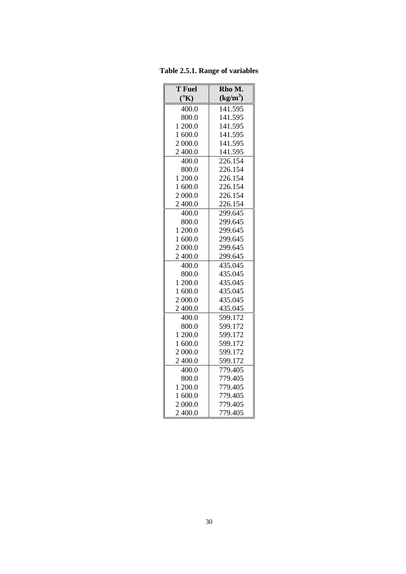<span id="page-29-0"></span>**Table 2.5.1. Range of variables**

| $\overline{T}$ Fuel   | Rho M.     |
|-----------------------|------------|
| $({}^{\circ}{\rm K})$ | $(kg/m^3)$ |
| 400.0                 | 141.595    |
| 800.0                 | 141.595    |
| 1 200.0               | 141.595    |
| 1 600.0               | 141.595    |
| 2 000.0               | 141.595    |
| 2 400.0               | 141.595    |
| 400.0                 | 226.154    |
| 800.0                 | 226.154    |
| 1 200.0               | 226.154    |
| 1 600.0               | 226.154    |
| 2 000.0               | 226.154    |
| 2 400.0               | 226.154    |
| 400.0                 | 299.645    |
| 800.0                 | 299.645    |
| 200.0<br>1            | 299.645    |
| 1 600.0               | 299.645    |
| 2 000.0               | 299.645    |
| 2 400.0               | 299.645    |
| 400.0                 | 435.045    |
| 800.0                 | 435.045    |
| 1 200.0               | 435.045    |
| 1 600.0               | 435.045    |
| 2 000.0               | 435.045    |
| 2 400.0               | 435.045    |
| 400.0                 | 599.172    |
| 800.0                 | 599.172    |
| 1 200.0               | 599.172    |
| 1 600.0               | 599.172    |
| 2 000.0               | 599.172    |
| 2 400.0               | 599.172    |
| 400.0                 | 779.405    |
| 800.0                 | 779.405    |
| 1 200.0               | 779.405    |
| 1 600.0               | 779.405    |
| 2 000.0               | 779.405    |
| 2 400.0               | 779.405    |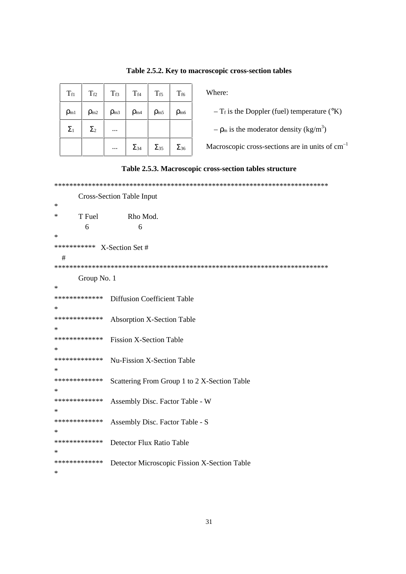<span id="page-30-0"></span>

| $\rm T_{\rm f1}$ | $T_{f2}$        | $T_{f3}$    | $T_{f4}$        | $T_{f5}$      | $T_{f6}$        |
|------------------|-----------------|-------------|-----------------|---------------|-----------------|
| $\rho_{m1}$      | $\rho_{\rm m2}$ | $\rho_{m3}$ | $\rho_{\rm m4}$ | $\rho_{m5}$   | $\rho_{\rm m6}$ |
| $\Sigma_1$       | $\Sigma_2$      |             |                 |               |                 |
|                  |                 |             | $\Sigma_{34}$   | $\Sigma_{35}$ | $\Sigma_{36}$   |

# Table 2.5.2. Key to macroscopic cross-section tables

Where:

-  $T_f$  is the Doppler (fuel) temperature ( $\rm ^o K$ )

 $-\rho_m$  is the moderator density (kg/m<sup>3</sup>)

Macroscopic cross-sections are in units of  $cm^{-1}$ 



|               | <b>Cross-Section Table Input</b>             |
|---------------|----------------------------------------------|
| ∗             |                                              |
| T Fuel<br>∗   | Rho Mod.                                     |
| 6             | 6                                            |
| ∗             |                                              |
| ***********   | X-Section Set #                              |
| #             |                                              |
|               |                                              |
| Group No. 1   |                                              |
| ∗             |                                              |
| ************* | <b>Diffusion Coefficient Table</b>           |
| ∗             |                                              |
| ************* | <b>Absorption X-Section Table</b>            |
| ∗             |                                              |
| ************* | <b>Fission X-Section Table</b>               |
| ∗             |                                              |
| ************* | Nu-Fission X-Section Table                   |
| ∗             |                                              |
| ************* | Scattering From Group 1 to 2 X-Section Table |
| ∗             |                                              |
| ************* | Assembly Disc. Factor Table - W              |
| ∗             |                                              |
| ************* | Assembly Disc. Factor Table - S              |
| ∗             |                                              |
| ************* | Detector Flux Ratio Table                    |
| ∗             |                                              |
| ************* | Detector Microscopic Fission X-Section Table |
| ∗             |                                              |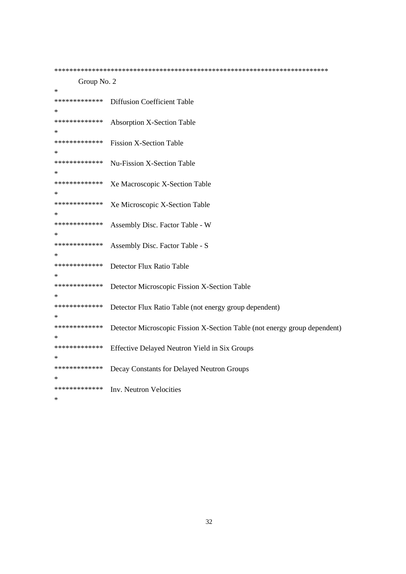Group No. 2 sk. \*\*\*\*\*\*\*\*\*\*\*\*\* **Diffusion Coefficient Table**  $\ast$ \*\*\*\*\*\*\*\*\*\*\*\*\* **Absorption X-Section Table**  $\ast$ \*\*\*\*\*\*\*\*\*\*\*\*\* **Fission X-Section Table**  $\ast$ \*\*\*\*\*\*\*\*\*\*\*\*\* **Nu-Fission X-Section Table**  $\ast$ \*\*\*\*\*\*\*\*\*\*\*\*\* Xe Macroscopic X-Section Table \*\*\*\*\*\*\*\*\*\*\*\*\* Xe Microscopic X-Section Table sk. \*\*\*\*\*\*\*\*\*\*\*\*\* Assembly Disc. Factor Table - W .<br>Sk \*\*\*\*\*\*\*\*\*\*\*\*\* Assembly Disc. Factor Table - S \*\*\*\*\*\*\*\*\*\*\*\*\* Detector Flux Ratio Table  $\ast$ \*\*\*\*\*\*\*\*\*\*\*\*\* Detector Microscopic Fission X-Section Table  $\ast$ \*\*\*\*\*\*\*\*\*\*\*\*\* Detector Flux Ratio Table (not energy group dependent) \*\*\*\*\*\*\*\*\*\*\*\*\* Detector Microscopic Fission X-Section Table (not energy group dependent)  $\ast$ \*\*\*\*\*\*\*\*\*\*\*\*\* Effective Delayed Neutron Yield in Six Groups  $\ast$ \*\*\*\*\*\*\*\*\*\*\*\*\* Decay Constants for Delayed Neutron Groups  $\ast$ \*\*\*\*\*\*\*\*\*\*\*\*\* Inv. Neutron Velocities

 $\ast$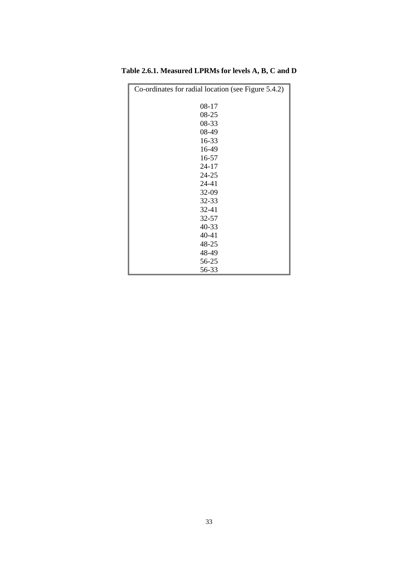| Co-ordinates for radial location (see Figure 5.4.2) |
|-----------------------------------------------------|
| $08 - 17$                                           |
| 08-25                                               |
| 08-33                                               |
| 08-49                                               |
| 16-33                                               |
| 16-49                                               |
| 16-57                                               |
| $24 - 17$                                           |
| 24-25                                               |
| 24-41                                               |
| 32-09                                               |
| 32-33                                               |
| $32 - 41$                                           |
| 32-57                                               |
| 40-33                                               |
| 40-41                                               |
| 48-25                                               |
| 48-49                                               |
| 56-25                                               |
| 56-33                                               |

<span id="page-32-0"></span>**Table 2.6.1. Measured LPRMs for levels A, B, C and D**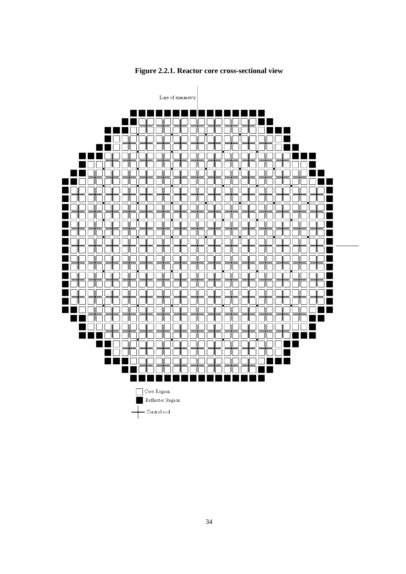<span id="page-33-0"></span>

**Figure 2.2.1. Reactor core cross-sectional view**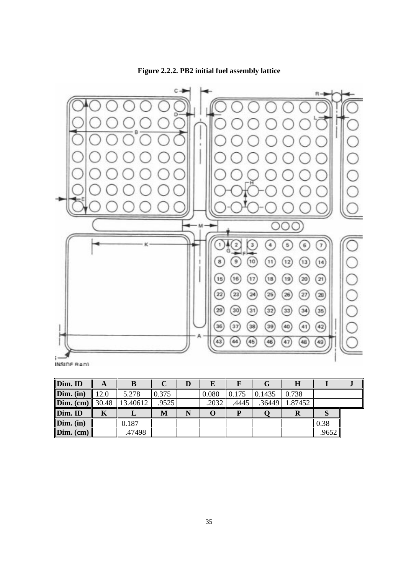**Figure 2.2.2. PB2 initial fuel assembly lattice**

<span id="page-34-0"></span>

| Dim. ID   | A                 | В        |       | D | Е     |       | G      |         |       |  |
|-----------|-------------------|----------|-------|---|-------|-------|--------|---------|-------|--|
| Dim. (in) | 12.0              | 5.278    | 0.375 |   | 0.080 | 0.175 | 0.1435 | 0.738   |       |  |
| Dim. (cm) | $\parallel$ 30.48 | 13.40612 | .9525 |   | .2032 | .4445 | .36449 | 1.87452 |       |  |
| Dim. ID   | Κ                 |          | M     |   | O     | D     |        |         | IJ    |  |
| Dim. (in) |                   | 0.187    |       |   |       |       |        |         | 0.38  |  |
| Dim. (cm) |                   | .47498   |       |   |       |       |        |         | .9652 |  |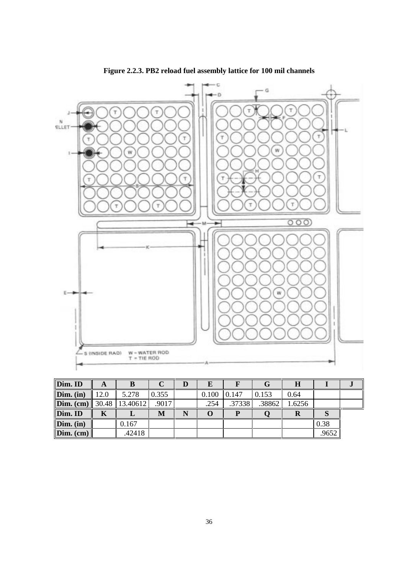<span id="page-35-0"></span>



| Dim. ID   | A    |                  |       |   | E     |        |        | H      |      |  |
|-----------|------|------------------|-------|---|-------|--------|--------|--------|------|--|
| Dim. (in) | 12.0 | 5.278            | 0.355 |   | 0.100 | 0.147  | 0.153  | 0.64   |      |  |
| Dim. (cm) |      | 30.48   13.40612 | .9017 |   | .254  | .37338 | .38862 | 1.6256 |      |  |
|           |      |                  |       |   |       |        |        |        |      |  |
| Dim. ID   |      |                  | М     | N |       |        |        | A      |      |  |
| Dim. (in) |      | 0.167            |       |   |       |        |        |        | 0.38 |  |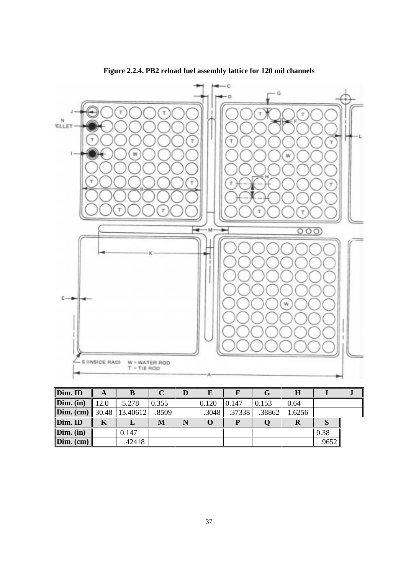

**Figure 2.2.4. PB2 reload fuel assembly lattice for 120 mil channels**

| Dim. ID                           | A    | B      |       | E     |        |        |        |       |  |
|-----------------------------------|------|--------|-------|-------|--------|--------|--------|-------|--|
| Dim. (in)                         | 12.0 | 5.278  | 0.355 | 0.120 | 0.147  | 0.153  | 0.64   |       |  |
| <b>Dim.</b> (cm) 30.48   13.40612 |      |        | .8509 | .3048 | .37338 | .38862 | 1.6256 |       |  |
| Dim. ID                           | K    |        | М     |       |        |        |        |       |  |
| Dim. (in)                         |      | 0.147  |       |       |        |        |        | 0.38  |  |
| Dim. (cm)                         |      | .42418 |       |       |        |        |        | .9652 |  |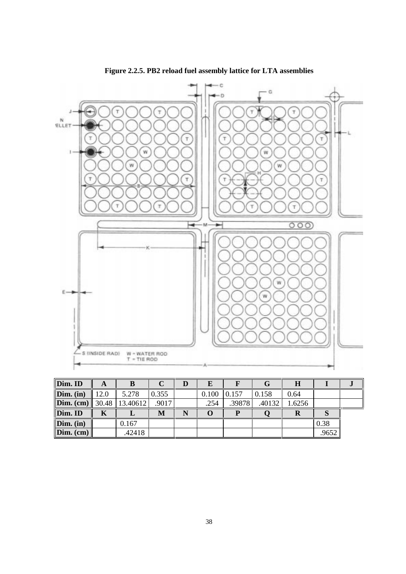



| Dim. ID              | A    | B              |       |   | E     |        |        | H      |      |  |
|----------------------|------|----------------|-------|---|-------|--------|--------|--------|------|--|
| Dim. (in)            | 12.0 | 5.278          | 0.355 |   | 0.100 | 0.157  | 0.158  | 0.64   |      |  |
| Dim. (cm)            |      | 30.48 13.40612 | .9017 |   | .254  | .39878 | .40132 | 1.6256 |      |  |
|                      |      |                |       |   |       |        |        |        |      |  |
|                      |      |                | M     | N |       |        |        | V      |      |  |
| Dim. ID<br>Dim. (in) |      | 0.167          |       |   |       |        |        |        | 0.38 |  |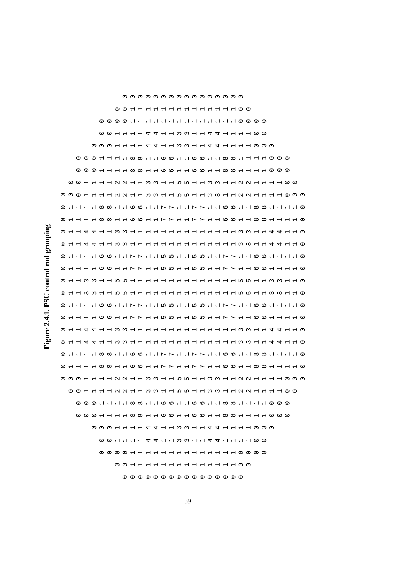Figure 2.4.1. PSU control rod grouping **Figure 2.4.1. PSU control rod grouping**

39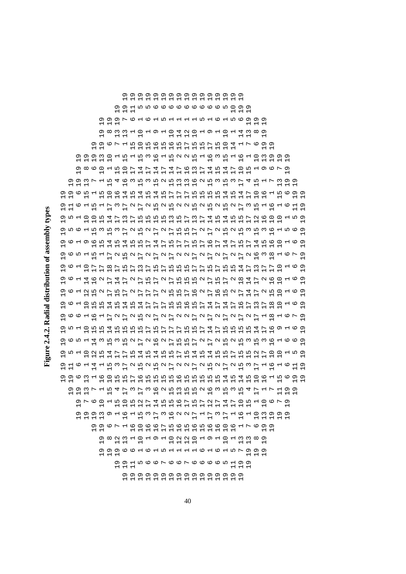Figure 2.4.2. Radial distribution of assembly types **Figure 2.4.2. Radial distribution of assembly types**

40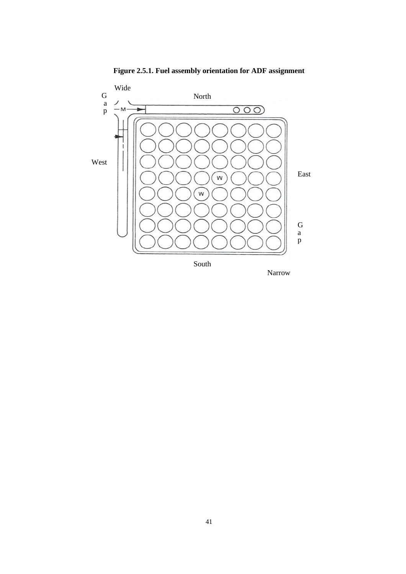

**Figure 2.5.1. Fuel assembly orientation for ADF assignment**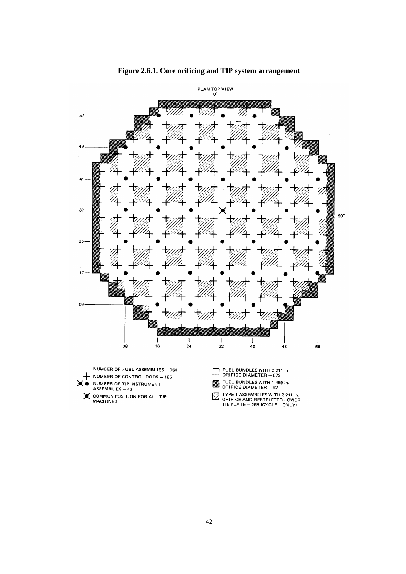

**Figure 2.6.1. Core orificing and TIP system arrangement**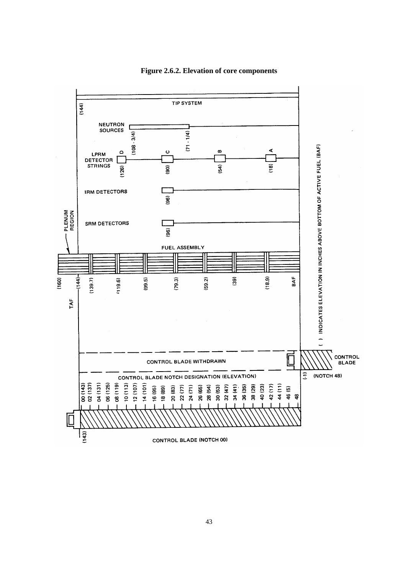

## **Figure 2.6.2. Elevation of core components**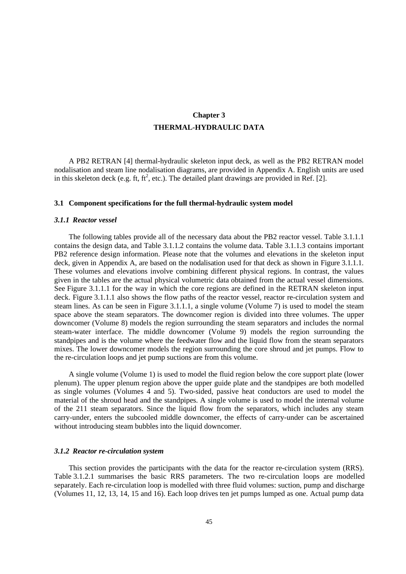# **Chapter 3 THERMAL-HYDRAULIC DATA**

A PB2 RETRAN [4] thermal-hydraulic skeleton input deck, as well as the PB2 RETRAN model nodalisation and steam line nodalisation diagrams, are provided in Appendix A. English units are used in this skeleton deck (e.g. ft, ft<sup>2</sup>, etc.). The detailed plant drawings are provided in Ref. [2].

#### **3.1 Component specifications for the full thermal-hydraulic system model**

#### *3.1.1 Reactor vessel*

The following tables provide all of the necessary data about the PB2 reactor vessel. Table 3.1.1.1 contains the design data, and Table 3.1.1.2 contains the volume data. Table 3.1.1.3 contains important PB2 reference design information. Please note that the volumes and elevations in the skeleton input deck, given in Appendix A, are based on the nodalisation used for that deck as shown in Figure 3.1.1.1. These volumes and elevations involve combining different physical regions. In contrast, the values given in the tables are the actual physical volumetric data obtained from the actual vessel dimensions. See Figure 3.1.1.1 for the way in which the core regions are defined in the RETRAN skeleton input deck. Figure 3.1.1.1 also shows the flow paths of the reactor vessel, reactor re-circulation system and steam lines. As can be seen in Figure 3.1.1.1, a single volume (Volume 7) is used to model the steam space above the steam separators. The downcomer region is divided into three volumes. The upper downcomer (Volume 8) models the region surrounding the steam separators and includes the normal steam-water interface. The middle downcomer (Volume 9) models the region surrounding the standpipes and is the volume where the feedwater flow and the liquid flow from the steam separators mixes. The lower downcomer models the region surrounding the core shroud and jet pumps. Flow to the re-circulation loops and jet pump suctions are from this volume.

A single volume (Volume 1) is used to model the fluid region below the core support plate (lower plenum). The upper plenum region above the upper guide plate and the standpipes are both modelled as single volumes (Volumes 4 and 5). Two-sided, passive heat conductors are used to model the material of the shroud head and the standpipes. A single volume is used to model the internal volume of the 211 steam separators. Since the liquid flow from the separators, which includes any steam carry-under, enters the subcooled middle downcomer, the effects of carry-under can be ascertained without introducing steam bubbles into the liquid downcomer.

### *3.1.2 Reactor re-circulation system*

This section provides the participants with the data for the reactor re-circulation system (RRS). Table 3.1.2.1 summarises the basic RRS parameters. The two re-circulation loops are modelled separately. Each re-circulation loop is modelled with three fluid volumes: suction, pump and discharge (Volumes 11, 12, 13, 14, 15 and 16). Each loop drives ten jet pumps lumped as one. Actual pump data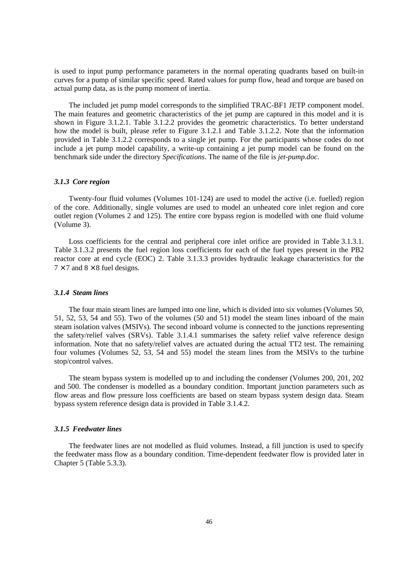is used to input pump performance parameters in the normal operating quadrants based on built-in curves for a pump of similar specific speed. Rated values for pump flow, head and torque are based on actual pump data, as is the pump moment of inertia.

The included jet pump model corresponds to the simplified TRAC-BF1 JETP component model. The main features and geometric characteristics of the jet pump are captured in this model and it is shown in Figure 3.1.2.1. Table 3.1.2.2 provides the geometric characteristics. To better understand how the model is built, please refer to Figure 3.1.2.1 and Table 3.1.2.2. Note that the information provided in Table 3.1.2.2 corresponds to a single jet pump. For the participants whose codes do not include a jet pump model capability, a write-up containing a jet pump model can be found on the benchmark side under the directory *Specifications*. The name of the file is *jet-pump.doc*.

### *3.1.3 Core region*

Twenty-four fluid volumes (Volumes 101-124) are used to model the active (i.e. fuelled) region of the core. Additionally, single volumes are used to model an unheated core inlet region and core outlet region (Volumes 2 and 125). The entire core bypass region is modelled with one fluid volume (Volume 3).

Loss coefficients for the central and peripheral core inlet orifice are provided in Table 3.1.3.1. Table 3.1.3.2 presents the fuel region loss coefficients for each of the fuel types present in the PB2 reactor core at end cycle (EOC) 2. Table 3.1.3.3 provides hydraulic leakage characteristics for the  $7 \times 7$  and  $8 \times 8$  fuel designs.

### *3.1.4 Steam lines*

The four main steam lines are lumped into one line, which is divided into six volumes (Volumes 50, 51, 52, 53, 54 and 55). Two of the volumes (50 and 51) model the steam lines inboard of the main steam isolation valves (MSIVs). The second inboard volume is connected to the junctions representing the safety/relief valves (SRVs). Table 3.1.4.1 summarises the safety relief valve reference design information. Note that no safety/relief valves are actuated during the actual TT2 test. The remaining four volumes (Volumes 52, 53, 54 and 55) model the steam lines from the MSIVs to the turbine stop/control valves.

The steam bypass system is modelled up to and including the condenser (Volumes 200, 201, 202 and 500. The condenser is modelled as a boundary condition. Important junction parameters such as flow areas and flow pressure loss coefficients are based on steam bypass system design data. Steam bypass system reference design data is provided in Table 3.1.4.2.

### *3.1.5 Feedwater lines*

The feedwater lines are not modelled as fluid volumes. Instead, a fill junction is used to specify the feedwater mass flow as a boundary condition. Time-dependent feedwater flow is provided later in Chapter 5 (Table 5.3.3).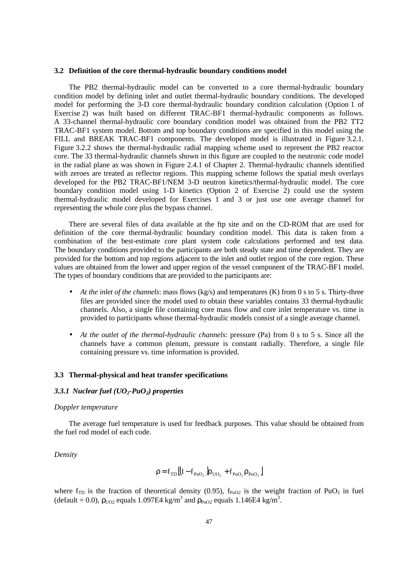### **3.2 Definition of the core thermal-hydraulic boundary conditions model**

The PB2 thermal-hydraulic model can be converted to a core thermal-hydraulic boundary condition model by defining inlet and outlet thermal-hydraulic boundary conditions. The developed model for performing the 3-D core thermal-hydraulic boundary condition calculation (Option 1 of Exercise 2) was built based on different TRAC-BF1 thermal-hydraulic components as follows. A 33-channel thermal-hydraulic core boundary condition model was obtained from the PB2 TT2 TRAC-BF1 system model. Bottom and top boundary conditions are specified in this model using the FILL and BREAK TRAC-BF1 components. The developed model is illustrated in Figure 3.2.1. Figure 3.2.2 shows the thermal-hydraulic radial mapping scheme used to represent the PB2 reactor core. The 33 thermal-hydraulic channels shown in this figure are coupled to the neutronic code model in the radial plane as was shown in Figure 2.4.1 of Chapter 2. Thermal-hydraulic channels identified with zeroes are treated as reflector regions. This mapping scheme follows the spatial mesh overlays developed for the PB2 TRAC-BF1/NEM 3-D neutron kinetics/thermal-hydraulic model. The core boundary condition model using 1-D kinetics (Option 2 of Exercise 2) could use the system thermal-hydraulic model developed for Exercises 1 and 3 or just use one average channel for representing the whole core plus the bypass channel.

There are several files of data available at the ftp site and on the CD-ROM that are used for definition of the core thermal-hydraulic boundary condition model. This data is taken from a combination of the best-estimate core plant system code calculations performed and test data. The boundary conditions provided to the participants are both steady state and time dependent. They are provided for the bottom and top regions adjacent to the inlet and outlet region of the core region. These values are obtained from the lower and upper region of the vessel component of the TRAC-BF1 model. The types of boundary conditions that are provided to the participants are:

- At the inlet of the channels: mass flows (kg/s) and temperatures (K) from 0 s to 5 s. Thirty-three files are provided since the model used to obtain these variables contains 33 thermal-hydraulic channels. Also, a single file containing core mass flow and core inlet temperature vs. time is provided to participants whose thermal-hydraulic models consist of a single average channel.
- *At the outlet of the thermal-hydraulic channels*: pressure (Pa) from 0 s to 5 s. Since all the channels have a common plenum, pressure is constant radially. Therefore, a single file containing pressure vs. time information is provided.

### **3.3 Thermal-physical and heat transfer specifications**

## *3.3.1 Nuclear fuel (UO2-PuO2) properties*

### *Doppler temperature*

The average fuel temperature is used for feedback purposes. This value should be obtained from the fuel rod model of each code.

*Density*

$$
\rho = f_{\text{TD}} \left[ \left( 1 - f_{\text{PuO}_2} \right) \rho_{\text{UO}_2} + f_{\text{PuO}_2} \rho_{\text{PuO}_2} \right]
$$

where  $f_{TD}$  is the fraction of theoretical density (0.95),  $f_{PuO2}$  is the weight fraction of PuO<sub>2</sub> in fuel (default = 0.0),  $\rho_{UO2}$  equals 1.097E4 kg/m<sup>3</sup> and  $\rho_{PuO2}$  equals 1.146E4 kg/m<sup>3</sup>.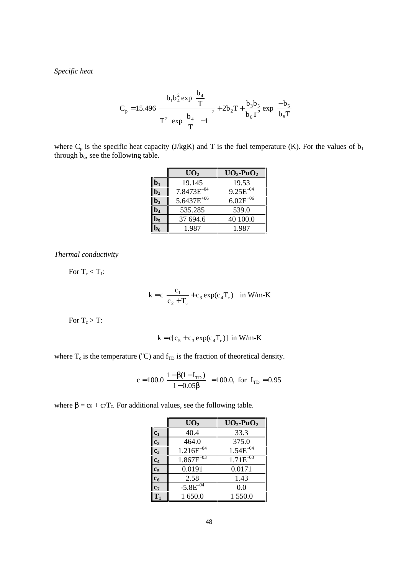*Specific heat*

$$
C_{p} = 15.496 \left[ \frac{b_{1}b_{4}^{2} \exp\left(\frac{b_{4}}{T}\right)}{\Gamma^{2} \left[\exp\left(\frac{b_{4}}{T}\right)-1\right]^{2}} + 2b_{2}T + \frac{b_{3}b_{5}}{b_{6}T^{2}} \exp\left(\frac{-b_{5}}{b_{6}T}\right) \right]
$$

where  $C_p$  is the specific heat capacity (J/kgK) and T is the fuel temperature (K). For the values of  $b_1$ through  $b_6$ , see the following table.

|                  | UO <sub>2</sub> | $UO_2$ -Pu $O_2$ |
|------------------|-----------------|------------------|
|                  | 19.145          | 19.53            |
| $\mathbf{0}_2$   | $7.8473E^{-04}$ | $9.25E^{-04}$    |
| $\mathbf{b}_3$   | $5.6437E^{+06}$ | $6.02E^{+06}$    |
| $\overline{0}_4$ | 535.285         | 539.0            |
| $\mathbf{b}_5$   | 37 694.6        | 40 100.0         |
|                  | 1.987           | 1.987            |

*Thermal conductivity*

For  $T_c < T_1$ :

$$
k = c \left[ \frac{c_1}{c_2 + T_c} + c_3 \exp(c_4 T_c) \right]
$$
 in W/m-K

For  $T_c > T$ :

$$
k = c[c5 + c3 exp(c4Tc)] in W/m-K
$$

where  $T_c$  is the temperature (°C) and  $f_{TD}$  is the fraction of theoretical density.

$$
c = 100.0 \left[ \frac{1 - \beta (1 - f_{TD})}{1 - 0.05 \beta} \right] = 100.0, \text{ for } f_{TD} = 0.95
$$

where  $\beta = c_6 + c_7T_c$ . For additional values, see the following table.

|                  | UO <sub>2</sub> | $UO_2$ -Pu $O_2$ |
|------------------|-----------------|------------------|
| $\mathbf{c}_1$   | 40.4            | 33.3             |
| $\overline{c_2}$ | 464.0           | 375.0            |
| $c_3$            | $1.216E^{-04}$  | $1.54E^{-04}$    |
| $\mathbf{c}_4$   | $1.867E^{-03}$  | $1.71E^{-03}$    |
| $\overline{c_5}$ | 0.0191          | 0.0171           |
| c <sub>6</sub>   | 2.58            | 1.43             |
| $\mathbf{c}_7$   | $-5.8E^{-04}$   | 0.0              |
| $\overline{T_1}$ | 1650.0          | 1 550.0          |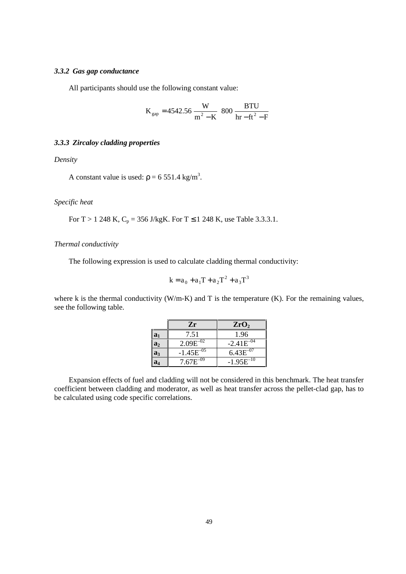## *3.3.2 Gas gap conductance*

All participants should use the following constant value:

$$
K_{gap} = 4542.56 \frac{W}{m^2 - K} \left( 800 \frac{BTU}{hr - ft^2 - F} \right)
$$

## *3.3.3 Zircaloy cladding properties*

*Density*

A constant value is used:  $p = 6551.4$  kg/m<sup>3</sup>.

## *Specific heat*

For T > 1 248 K,  $C_p = 356$  J/kgK. For T  $\leq$  1 248 K, use Table 3.3.3.1.

### *Thermal conductivity*

The following expression is used to calculate cladding thermal conductivity:

$$
k = a_0 + a_1 T + a_2 T^2 + a_3 T^3
$$

where k is the thermal conductivity (W/m-K) and T is the temperature (K). For the remaining values, see the following table.

|                | Zr              | ZrO <sub>2</sub> |
|----------------|-----------------|------------------|
| $a_1$          | 7.51            | 1.96             |
| a <sub>2</sub> | $2.09E^{-02}$   | $-2.41E^{-04}$   |
| $a_3$          | $-1.45E^{-0.7}$ | $6.43E^{-07}$    |
|                | $7.67E^{-}$     | $-1.95E^{-10}$   |

Expansion effects of fuel and cladding will not be considered in this benchmark. The heat transfer coefficient between cladding and moderator, as well as heat transfer across the pellet-clad gap, has to be calculated using code specific correlations.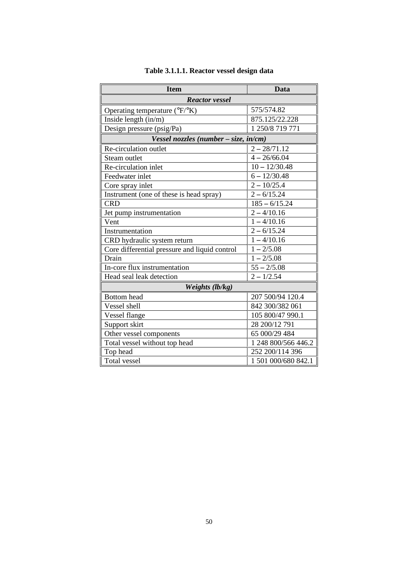| <b>Item</b>                                   | Data                       |  |  |  |  |
|-----------------------------------------------|----------------------------|--|--|--|--|
| <b>Reactor vessel</b>                         |                            |  |  |  |  |
| Operating temperature (°F/°K)                 | 575/574.82                 |  |  |  |  |
| Inside length $(in/m)$                        | 875.125/22.228             |  |  |  |  |
| Design pressure (psig/Pa)                     | 1 250/8 719 771            |  |  |  |  |
| Vessel nozzles (number – size, in/cm)         |                            |  |  |  |  |
| Re-circulation outlet                         | $2 - 28/71.12$             |  |  |  |  |
| Steam outlet                                  | $4 - 26/66.04$             |  |  |  |  |
| Re-circulation inlet                          | $10 - 12/30.48$            |  |  |  |  |
| Feedwater inlet                               | $6 - 12/30.48$             |  |  |  |  |
| Core spray inlet                              | $2 - 10/25.4$              |  |  |  |  |
| Instrument (one of these is head spray)       | $2 - 6/15.24$              |  |  |  |  |
| <b>CRD</b>                                    | $\overline{185} - 6/15.24$ |  |  |  |  |
| Jet pump instrumentation                      | $2 - 4/10.16$              |  |  |  |  |
| Vent                                          | $1 - 4/10.16$              |  |  |  |  |
| Instrumentation                               | $2 - 6/15.24$              |  |  |  |  |
| CRD hydraulic system return                   | $1 - 4/10.16$              |  |  |  |  |
| Core differential pressure and liquid control | $1 - 2/5.08$               |  |  |  |  |
| Drain                                         | $1 - 2/5.08$               |  |  |  |  |
| In-core flux instrumentation                  | $55 - 2/5.08$              |  |  |  |  |
| Head seal leak detection                      | $2 - 1/2.54$               |  |  |  |  |
| Weights (lb/kg)                               |                            |  |  |  |  |
| <b>Bottom</b> head                            | 207 500/94 120.4           |  |  |  |  |
| Vessel shell                                  | 842 300/382 061            |  |  |  |  |
| Vessel flange                                 | 105 800/47 990.1           |  |  |  |  |
| Support skirt                                 | 28 200/12 791              |  |  |  |  |
| Other vessel components                       | 65 000/29 484              |  |  |  |  |
| Total vessel without top head                 | 1 248 800/566 446.2        |  |  |  |  |
| Top head                                      | 252 200/114 396            |  |  |  |  |
| Total vessel                                  | 1 501 000/680 842.1        |  |  |  |  |

# **Table 3.1.1.1. Reactor vessel design data**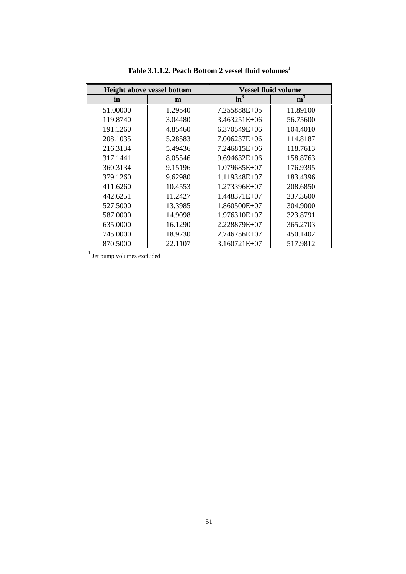|          | <b>Height above vessel bottom</b> |                  | <b>Vessel fluid volume</b> |
|----------|-----------------------------------|------------------|----------------------------|
| in       | m                                 | $in^3$           | m <sup>3</sup>             |
| 51.00000 | 1.29540                           | 7.255888E+05     | 11.89100                   |
| 119.8740 | 3.04480                           | $3.463251E + 06$ | 56.75600                   |
| 191.1260 | 4.85460                           | $6.370549E + 06$ | 104.4010                   |
| 208.1035 | 5.28583                           | 7.006237E+06     | 114.8187                   |
| 216.3134 | 5.49436                           | 7.246815E+06     | 118.7613                   |
| 317.1441 | 8.05546                           | $9.694632E + 06$ | 158.8763                   |
| 360.3134 | 9.15196                           | 1.079685E+07     | 176.9395                   |
| 379.1260 | 9.62980                           | 1.119348E+07     | 183.4396                   |
| 411.6260 | 10.4553                           | 1.273396E+07     | 208.6850                   |
| 442.6251 | 11.2427                           | 1.448371E+07     | 237.3600                   |
| 527.5000 | 13.3985                           | $1.860500E+07$   | 304.9000                   |
| 587.0000 | 14.9098                           | 1.976310E+07     | 323.8791                   |
| 635.0000 | 16.1290                           | 2.228879E+07     | 365.2703                   |
| 745.0000 | 18.9230                           | 2.746756E+07     | 450.1402                   |
| 870.5000 | 22.1107                           | $3.160721E+07$   | 517.9812                   |

Table 3.1.1.2. Peach Bottom 2 vessel fluid volumes<sup>1</sup>

<sup>1</sup> Jet pump volumes excluded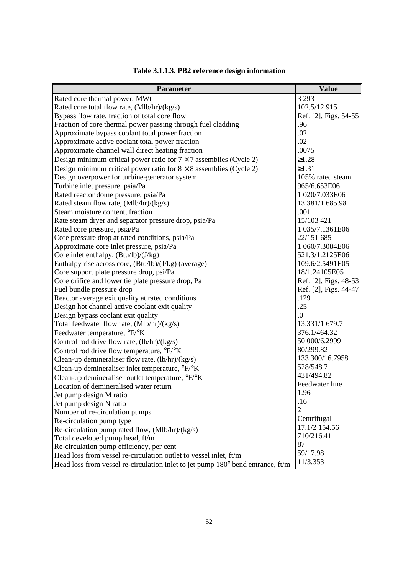| <b>Parameter</b>                                                                | <b>Value</b>          |
|---------------------------------------------------------------------------------|-----------------------|
| Rated core thermal power, MWt                                                   | 3 2 9 3               |
| Rated core total flow rate, (Mlb/hr)/(kg/s)                                     | 102.5/12 915          |
| Bypass flow rate, fraction of total core flow                                   | Ref. [2], Figs. 54-55 |
| Fraction of core thermal power passing through fuel cladding                    | .96                   |
| Approximate bypass coolant total power fraction                                 | .02                   |
| Approximate active coolant total power fraction                                 | .02                   |
| Approximate channel wall direct heating fraction                                | .0075                 |
| Design minimum critical power ratio for $7 \times 7$ assemblies (Cycle 2)       | $\geq 1.28$           |
| Design minimum critical power ratio for $8 \times 8$ assemblies (Cycle 2)       | $\geq 1.31$           |
| Design overpower for turbine-generator system                                   | 105% rated steam      |
| Turbine inlet pressure, psia/Pa                                                 | 965/6.653E06          |
| Rated reactor dome pressure, psia/Pa                                            | 1 020/7.033E06        |
| Rated steam flow rate, (Mlb/hr)/(kg/s)                                          | 13.381/1 685.98       |
| Steam moisture content, fraction                                                | .001                  |
| Rate steam dryer and separator pressure drop, psia/Pa                           | 15/103 421            |
| Rated core pressure, psia/Pa                                                    | 1 035/7.1361E06       |
| Core pressure drop at rated conditions, psia/Pa                                 | 22/151 685            |
| Approximate core inlet pressure, psia/Pa                                        | 1 060/7.3084E06       |
| Core inlet enthalpy, (Btu/lb)/(J/kg)                                            | 521.3/1.2125E06       |
| Enthalpy rise across core, (Btu/lb)/(J/kg) (average)                            | 109.6/2.5491E05       |
| Core support plate pressure drop, psi/Pa                                        | 18/1.24105E05         |
| Core orifice and lower tie plate pressure drop, Pa                              | Ref. [2], Figs. 48-53 |
| Fuel bundle pressure drop                                                       | Ref. [2], Figs. 44-47 |
| Reactor average exit quality at rated conditions                                | .129                  |
| Design hot channel active coolant exit quality                                  | .25                   |
| Design bypass coolant exit quality                                              | $\overline{0}$ .      |
| Total feedwater flow rate, (Mlb/hr)/(kg/s)                                      | 13.331/1 679.7        |
| Feedwater temperature, °F/°K                                                    | 376.1/464.32          |
| Control rod drive flow rate, (lb/hr)/(kg/s)                                     | 50 000/6.2999         |
| Control rod drive flow temperature, °F/°K                                       | 80/299.82             |
| Clean-up demineraliser flow rate, (lb/hr)/(kg/s)                                | 133 300/16.7958       |
| Clean-up demineraliser inlet temperature, °F/°K                                 | 528/548.7             |
| Clean-up demineraliser outlet temperature, °F/°K                                | 431/494.82            |
| Location of demineralised water return                                          | Feedwater line        |
| Jet pump design M ratio                                                         | 1.96                  |
| Jet pump design N ratio                                                         | .16                   |
| Number of re-circulation pumps                                                  | $\overline{2}$        |
| Re-circulation pump type                                                        | Centrifugal           |
| Re-circulation pump rated flow, (Mlb/hr)/(kg/s)                                 | 17.1/2 154.56         |
| Total developed pump head, ft/m                                                 | 710/216.41            |
| Re-circulation pump efficiency, per cent                                        | 87                    |
| Head loss from vessel re-circulation outlet to vessel inlet, ft/m               | 59/17.98              |
| Head loss from vessel re-circulation inlet to jet pump 180° bend entrance, ft/m | 11/3.353              |

# **Table 3.1.1.3. PB2 reference design information**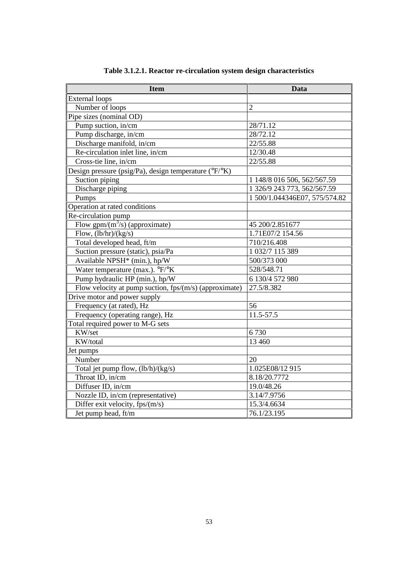| <b>Item</b>                                                                | <b>Data</b>                   |
|----------------------------------------------------------------------------|-------------------------------|
| <b>External loops</b>                                                      |                               |
| Number of loops                                                            | $\overline{2}$                |
| Pipe sizes (nominal OD)                                                    |                               |
| Pump suction, in/cm                                                        | 28/71.12                      |
| Pump discharge, in/cm                                                      | 28/72.12                      |
| Discharge manifold, in/cm                                                  | 22/55.88                      |
| Re-circulation inlet line, in/cm                                           | 12/30.48                      |
| Cross-tie line, in/cm                                                      | 22/55.88                      |
| Design pressure (psig/Pa), design temperature ( ${}^{\circ}F{}^{\circ}K$ ) |                               |
| Suction piping                                                             | 1 148/8 016 506, 562/567.59   |
| Discharge piping                                                           | 1 326/9 243 773, 562/567.59   |
| Pumps                                                                      | 1 500/1.044346E07, 575/574.82 |
| Operation at rated conditions                                              |                               |
| Re-circulation pump                                                        |                               |
| Flow gpm/ $(m^3/s)$ (approximate)                                          | 45 200/2.851677               |
| Flow, $(lb/hr)/(kg/s)$                                                     | 1.71E07/2 154.56              |
| Total developed head, ft/m                                                 | 710/216.408                   |
| Suction pressure (static), psia/Pa                                         | 1 032/7 115 389               |
| Available NPSH <sup>*</sup> (min.), hp/W                                   | 500/373 000                   |
| Water temperature (max.). °F/°K                                            | 528/548.71                    |
| Pump hydraulic HP (min.), hp/W                                             | 6 130/4 572 980               |
| Flow velocity at pump suction, fps/(m/s) (approximate)                     | 27.5/8.382                    |
| Drive motor and power supply                                               |                               |
| Frequency (at rated), Hz                                                   | 56                            |
| Frequency (operating range), Hz                                            | 11.5-57.5                     |
| Total required power to M-G sets                                           |                               |
| KW/set                                                                     | 6730                          |
| KW/total                                                                   | 13 460                        |
| Jet pumps                                                                  |                               |
| Number                                                                     | 20                            |
| Total jet pump flow, (lb/h)/(kg/s)                                         | 1.025E08/12 915               |
| Throat ID, in/cm                                                           | 8.18/20.7772                  |
| Diffuser ID, in/cm                                                         | 19.0/48.26                    |
| Nozzle ID, in/cm (representative)                                          | 3.14/7.9756                   |
| Differ exit velocity, fps/(m/s)                                            | 15.3/4.6634                   |
| Jet pump head, ft/m                                                        | 76.1/23.195                   |

**Table 3.1.2.1. Reactor re-circulation system design characteristics**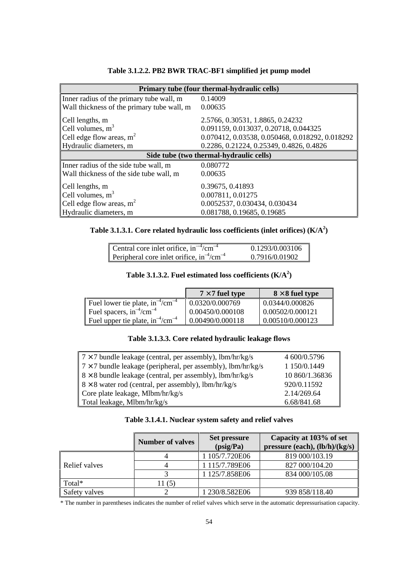| Primary tube (four thermal-hydraulic cells) |                                                 |  |  |  |  |
|---------------------------------------------|-------------------------------------------------|--|--|--|--|
| Inner radius of the primary tube wall, m    | 0.14009                                         |  |  |  |  |
| Wall thickness of the primary tube wall, m  | 0.00635                                         |  |  |  |  |
| Cell lengths, m                             | 2.5766, 0.30531, 1.8865, 0.24232                |  |  |  |  |
| Cell volumes, $m3$                          | 0.091159, 0.013037, 0.20718, 0.044325           |  |  |  |  |
| Cell edge flow areas, $m^2$                 | 0.070412, 0.03538, 0.050468, 0.018292, 0.018292 |  |  |  |  |
| Hydraulic diameters, m                      | 0.2286, 0.21224, 0.25349, 0.4826, 0.4826        |  |  |  |  |
|                                             | Side tube (two thermal-hydraulic cells)         |  |  |  |  |
| Inner radius of the side tube wall, m       | 0.080772                                        |  |  |  |  |
| Wall thickness of the side tube wall, m     | 0.00635                                         |  |  |  |  |
| Cell lengths, m                             | 0.39675, 0.41893                                |  |  |  |  |
| Cell volumes, $m3$                          | 0.007811, 0.01275                               |  |  |  |  |
| Cell edge flow areas, $m^2$                 | 0.0052537, 0.030434, 0.030434                   |  |  |  |  |
| Hydraulic diameters, m                      | 0.081788, 0.19685, 0.19685                      |  |  |  |  |

# **Table 3.1.2.2. PB2 BWR TRAC-BF1 simplified jet pump model**

| Table 3.1.3.1. Core related hydraulic loss coefficients (inlet orifices) $(K/A2)$ |  |  |  |
|-----------------------------------------------------------------------------------|--|--|--|
|                                                                                   |  |  |  |

| Central core inlet orifice, in <sup>-4</sup> /cm <sup>-4</sup> | 0.1293/0.003106 |
|----------------------------------------------------------------|-----------------|
| Peripheral core inlet orifice, $in^{-4}/cm^{-4}$               | 0.7916/0.01902  |

# Table 3.1.3.2. Fuel estimated loss coefficients  $(K/A<sup>2</sup>)$

|                                         | $7 \times 7$ fuel type | $8 \times 8$ fuel type |
|-----------------------------------------|------------------------|------------------------|
| Fuel lower tie plate, $in^{-4}/cm^{-4}$ | 0.0320/0.000769        | 0.0344/0.000826        |
| Fuel spacers, $in^{-4}/cm^{-4}$         | 0.00450/0.000108       | 0.00502/0.000121       |
| Fuel upper tie plate, $in^{-4}/cm^{-4}$ | 0.00490/0.000118       | 0.00510/0.000123       |

## **Table 3.1.3.3. Core related hydraulic leakage flows**

| $7 \times 7$ bundle leakage (central, per assembly), lbm/hr/kg/s    | 4 600/0.5796   |
|---------------------------------------------------------------------|----------------|
| $7 \times 7$ bundle leakage (peripheral, per assembly), lbm/hr/kg/s | 1 150/0.1449   |
| $8 \times 8$ bundle leakage (central, per assembly), lbm/hr/kg/s    | 10 860/1.36836 |
| $8 \times 8$ water rod (central, per assembly), lbm/hr/kg/s         | 920/0.11592    |
| Core plate leakage, Mlbm/hr/kg/s                                    | 2.14/269.64    |
| Total leakage, Mlbm/hr/kg/s                                         | 6.68/841.68    |

|               | <b>Number of valves</b> | <b>Set pressure</b><br>(psig/Pa) | Capacity at 103% of set<br>pressure (each), $(lb/h)/(kg/s)$ |
|---------------|-------------------------|----------------------------------|-------------------------------------------------------------|
|               |                         | 1 105/7.720E06                   | 819 000/103.19                                              |
| Relief valves |                         | 1 115/7.789E06                   | 827 000/104.20                                              |
|               |                         | 1 125/7.858E06                   | 834 000/105.08                                              |
| Total*        | 11(5)                   |                                  |                                                             |
| Safety valves |                         | 1 230/8.582E06                   | 939 858/118.40                                              |

\* The number in parentheses indicates the number of relief valves which serve in the automatic depressurisation capacity.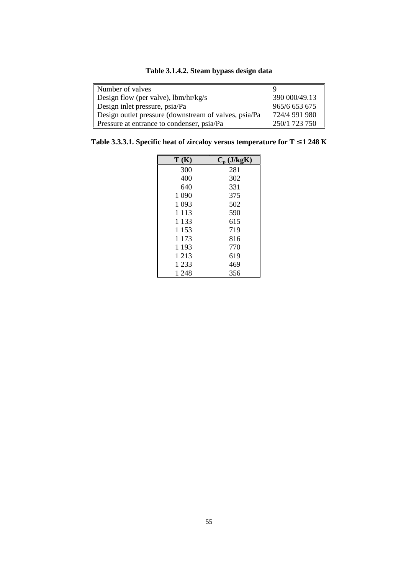| Table 3.1.4.2. Steam bypass design data |  |  |  |
|-----------------------------------------|--|--|--|
|-----------------------------------------|--|--|--|

| Number of valves                                      |               |
|-------------------------------------------------------|---------------|
| Design flow (per valve), $lbm/hr/kg/s$                | 390 000/49.13 |
| Design inlet pressure, psia/Pa                        | 965/6 653 675 |
| Design outlet pressure (downstream of valves, psia/Pa | 724/4 991 980 |
| Pressure at entrance to condenser, psia/Pa            | 250/1 723 750 |

**Table 3.3.3.1. Specific heat of zircaloy versus temperature for T** ≤ **1 248 K**

| T(K)    | $C_p$ (J/kgK) |
|---------|---------------|
| 300     | 281           |
| 400     | 302           |
| 640     | 331           |
| 1 0 9 0 | 375           |
| 1 0 9 3 | 502           |
| 1 1 1 3 | 590           |
| 1 1 3 3 | 615           |
| 1 1 5 3 | 719           |
| 1 1 7 3 | 816           |
| 1 1 9 3 | 770           |
| 1 2 1 3 | 619           |
| 1 2 3 3 | 469           |
| 1 248   | 356           |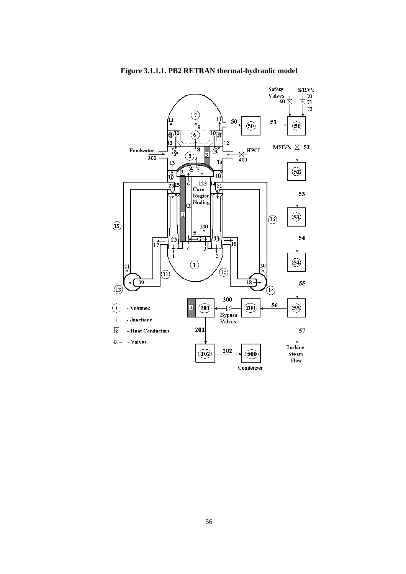

**Figure 3.1.1.1. PB2 RETRAN thermal-hydraulic model**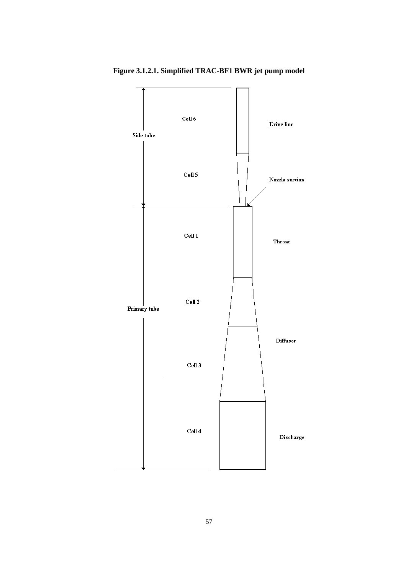

**Figure 3.1.2.1. Simplified TRAC-BF1 BWR jet pump model**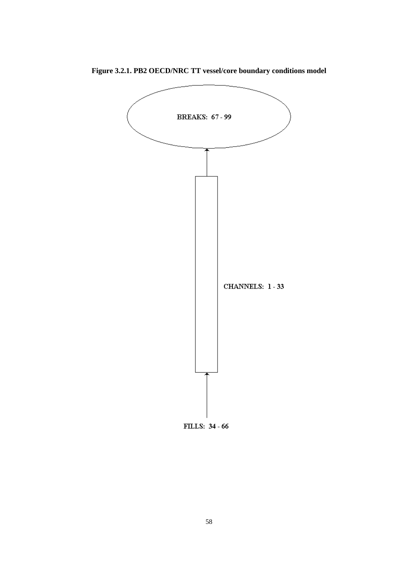

**Figure 3.2.1. PB2 OECD/NRC TT vessel/core boundary conditions model**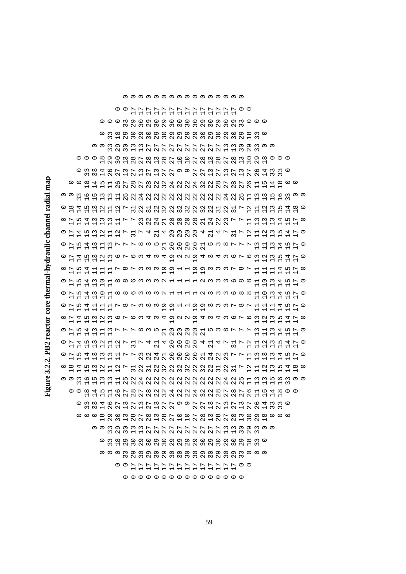Figure 3.2.2. PB2 reactor core thermal-hydraulic channel radial map **Figure 3.2.2. PB2 reactor core thermal-hydraulic channel radial map**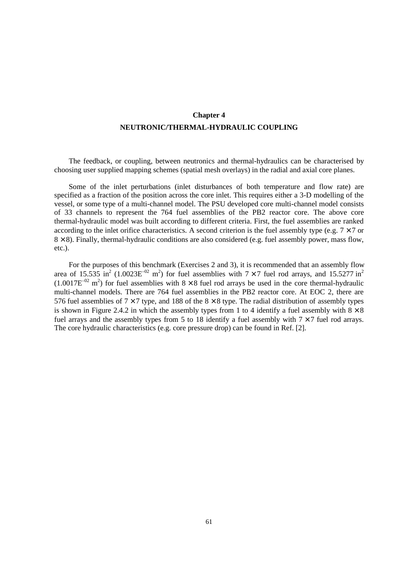# **Chapter 4 NEUTRONIC/THERMAL-HYDRAULIC COUPLING**

The feedback, or coupling, between neutronics and thermal-hydraulics can be characterised by choosing user supplied mapping schemes (spatial mesh overlays) in the radial and axial core planes.

Some of the inlet perturbations (inlet disturbances of both temperature and flow rate) are specified as a fraction of the position across the core inlet. This requires either a 3-D modelling of the vessel, or some type of a multi-channel model. The PSU developed core multi-channel model consists of 33 channels to represent the 764 fuel assemblies of the PB2 reactor core. The above core thermal-hydraulic model was built according to different criteria. First, the fuel assemblies are ranked according to the inlet orifice characteristics. A second criterion is the fuel assembly type (e.g.  $7 \times 7$  or  $8 \times 8$ ). Finally, thermal-hydraulic conditions are also considered (e.g. fuel assembly power, mass flow, etc.).

For the purposes of this benchmark (Exercises 2 and 3), it is recommended that an assembly flow area of 15.535 in<sup>2</sup> (1.0023E<sup>-02</sup> m<sup>2</sup>) for fuel assemblies with  $7 \times 7$  fuel rod arrays, and 15.5277 in<sup>2</sup>  $(1.0017E^{-02} \text{ m}^2)$  for fuel assemblies with  $8 \times 8$  fuel rod arrays be used in the core thermal-hydraulic multi-channel models. There are 764 fuel assemblies in the PB2 reactor core. At EOC 2, there are 576 fuel assemblies of  $7 \times 7$  type, and 188 of the  $8 \times 8$  type. The radial distribution of assembly types is shown in Figure 2.4.2 in which the assembly types from 1 to 4 identify a fuel assembly with  $8 \times 8$ fuel arrays and the assembly types from 5 to 18 identify a fuel assembly with  $7 \times 7$  fuel rod arrays. The core hydraulic characteristics (e.g. core pressure drop) can be found in Ref. [2].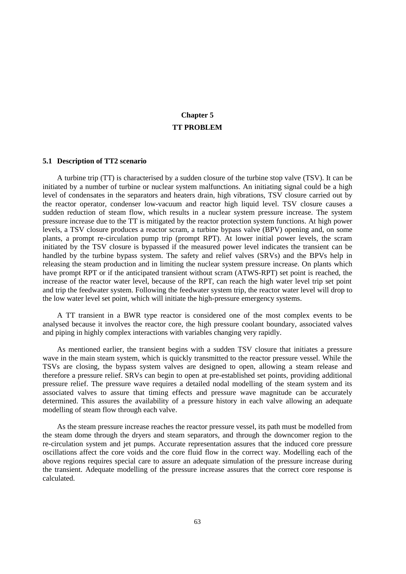# **Chapter 5 TT PROBLEM**

### **5.1 Description of TT2 scenario**

A turbine trip (TT) is characterised by a sudden closure of the turbine stop valve (TSV). It can be initiated by a number of turbine or nuclear system malfunctions. An initiating signal could be a high level of condensates in the separators and heaters drain, high vibrations, TSV closure carried out by the reactor operator, condenser low-vacuum and reactor high liquid level. TSV closure causes a sudden reduction of steam flow, which results in a nuclear system pressure increase. The system pressure increase due to the TT is mitigated by the reactor protection system functions. At high power levels, a TSV closure produces a reactor scram, a turbine bypass valve (BPV) opening and, on some plants, a prompt re-circulation pump trip (prompt RPT). At lower initial power levels, the scram initiated by the TSV closure is bypassed if the measured power level indicates the transient can be handled by the turbine bypass system. The safety and relief valves (SRVs) and the BPVs help in releasing the steam production and in limiting the nuclear system pressure increase. On plants which have prompt RPT or if the anticipated transient without scram (ATWS-RPT) set point is reached, the increase of the reactor water level, because of the RPT, can reach the high water level trip set point and trip the feedwater system. Following the feedwater system trip, the reactor water level will drop to the low water level set point, which will initiate the high-pressure emergency systems.

A TT transient in a BWR type reactor is considered one of the most complex events to be analysed because it involves the reactor core, the high pressure coolant boundary, associated valves and piping in highly complex interactions with variables changing very rapidly.

As mentioned earlier, the transient begins with a sudden TSV closure that initiates a pressure wave in the main steam system, which is quickly transmitted to the reactor pressure vessel. While the TSVs are closing, the bypass system valves are designed to open, allowing a steam release and therefore a pressure relief. SRVs can begin to open at pre-established set points, providing additional pressure relief. The pressure wave requires a detailed nodal modelling of the steam system and its associated valves to assure that timing effects and pressure wave magnitude can be accurately determined. This assures the availability of a pressure history in each valve allowing an adequate modelling of steam flow through each valve.

As the steam pressure increase reaches the reactor pressure vessel, its path must be modelled from the steam dome through the dryers and steam separators, and through the downcomer region to the re-circulation system and jet pumps. Accurate representation assures that the induced core pressure oscillations affect the core voids and the core fluid flow in the correct way. Modelling each of the above regions requires special care to assure an adequate simulation of the pressure increase during the transient. Adequate modelling of the pressure increase assures that the correct core response is calculated.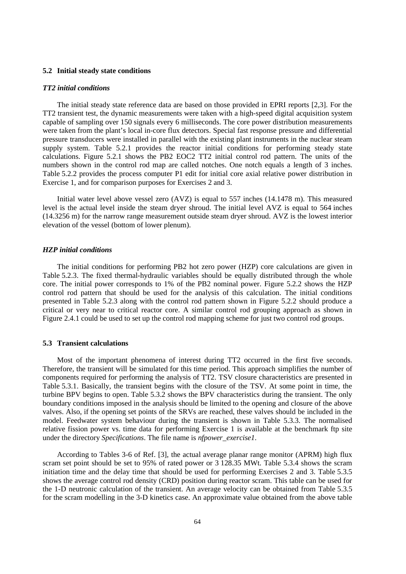### **5.2 Initial steady state conditions**

#### *TT2 initial conditions*

The initial steady state reference data are based on those provided in EPRI reports [2,3]. For the TT2 transient test, the dynamic measurements were taken with a high-speed digital acquisition system capable of sampling over 150 signals every 6 milliseconds. The core power distribution measurements were taken from the plant's local in-core flux detectors. Special fast response pressure and differential pressure transducers were installed in parallel with the existing plant instruments in the nuclear steam supply system. Table 5.2.1 provides the reactor initial conditions for performing steady state calculations. Figure 5.2.1 shows the PB2 EOC2 TT2 initial control rod pattern. The units of the numbers shown in the control rod map are called notches. One notch equals a length of 3 inches. Table 5.2.2 provides the process computer P1 edit for initial core axial relative power distribution in Exercise 1, and for comparison purposes for Exercises 2 and 3.

Initial water level above vessel zero (AVZ) is equal to 557 inches (14.1478 m). This measured level is the actual level inside the steam dryer shroud. The initial level AVZ is equal to 564 inches (14.3256 m) for the narrow range measurement outside steam dryer shroud. AVZ is the lowest interior elevation of the vessel (bottom of lower plenum).

### *HZP initial conditions*

The initial conditions for performing PB2 hot zero power (HZP) core calculations are given in Table 5.2.3. The fixed thermal-hydraulic variables should be equally distributed through the whole core. The initial power corresponds to 1% of the PB2 nominal power. Figure 5.2.2 shows the HZP control rod pattern that should be used for the analysis of this calculation. The initial conditions presented in Table 5.2.3 along with the control rod pattern shown in Figure 5.2.2 should produce a critical or very near to critical reactor core. A similar control rod grouping approach as shown in Figure 2.4.1 could be used to set up the control rod mapping scheme for just two control rod groups.

### **5.3 Transient calculations**

Most of the important phenomena of interest during TT2 occurred in the first five seconds. Therefore, the transient will be simulated for this time period. This approach simplifies the number of components required for performing the analysis of TT2. TSV closure characteristics are presented in Table 5.3.1. Basically, the transient begins with the closure of the TSV. At some point in time, the turbine BPV begins to open. Table 5.3.2 shows the BPV characteristics during the transient. The only boundary conditions imposed in the analysis should be limited to the opening and closure of the above valves. Also, if the opening set points of the SRVs are reached, these valves should be included in the model. Feedwater system behaviour during the transient is shown in Table 5.3.3. The normalised relative fission power vs. time data for performing Exercise 1 is available at the benchmark ftp site under the directory *Specifications*. The file name is *nfpower\_exercise1*.

According to Tables 3-6 of Ref. [3], the actual average planar range monitor (APRM) high flux scram set point should be set to 95% of rated power or 3 128.35 MWt. Table 5.3.4 shows the scram initiation time and the delay time that should be used for performing Exercises 2 and 3. Table 5.3.5 shows the average control rod density (CRD) position during reactor scram. This table can be used for the 1-D neutronic calculation of the transient. An average velocity can be obtained from Table 5.3.5 for the scram modelling in the 3-D kinetics case. An approximate value obtained from the above table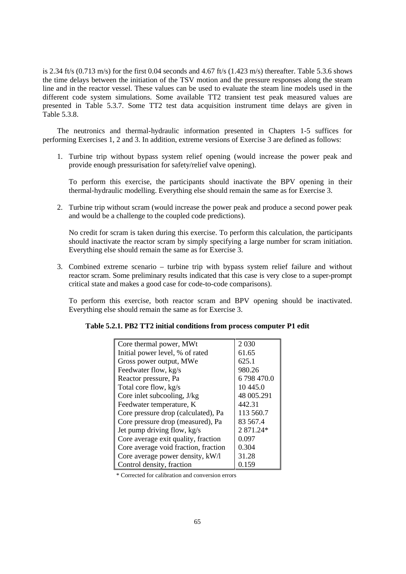is 2.34 ft/s  $(0.713 \text{ m/s})$  for the first 0.04 seconds and 4.67 ft/s  $(1.423 \text{ m/s})$  thereafter. Table 5.3.6 shows the time delays between the initiation of the TSV motion and the pressure responses along the steam line and in the reactor vessel. These values can be used to evaluate the steam line models used in the different code system simulations. Some available TT2 transient test peak measured values are presented in Table 5.3.7. Some TT2 test data acquisition instrument time delays are given in Table 5.3.8.

The neutronics and thermal-hydraulic information presented in Chapters 1-5 suffices for performing Exercises 1, 2 and 3. In addition, extreme versions of Exercise 3 are defined as follows:

1. Turbine trip without bypass system relief opening (would increase the power peak and provide enough pressurisation for safety/relief valve opening).

To perform this exercise, the participants should inactivate the BPV opening in their thermal-hydraulic modelling. Everything else should remain the same as for Exercise 3.

2. Turbine trip without scram (would increase the power peak and produce a second power peak and would be a challenge to the coupled code predictions).

No credit for scram is taken during this exercise. To perform this calculation, the participants should inactivate the reactor scram by simply specifying a large number for scram initiation. Everything else should remain the same as for Exercise 3.

3. Combined extreme scenario – turbine trip with bypass system relief failure and without reactor scram. Some preliminary results indicated that this case is very close to a super-prompt critical state and makes a good case for code-to-code comparisons).

To perform this exercise, both reactor scram and BPV opening should be inactivated. Everything else should remain the same as for Exercise 3.

| Core thermal power, MWt              | 2 0 3 0    |
|--------------------------------------|------------|
| Initial power level, % of rated      | 61.65      |
| Gross power output, MWe              | 625.1      |
| Feedwater flow, kg/s                 | 980.26     |
| Reactor pressure, Pa                 | 6798470.0  |
| Total core flow, kg/s                | 10 4 45.0  |
| Core inlet subcooling, J/kg          | 48 005.291 |
| Feedwater temperature, K             | 442.31     |
| Core pressure drop (calculated), Pa  | 113 560.7  |
| Core pressure drop (measured), Pa    | 83 567.4   |
| Jet pump driving flow, kg/s          | 2 871.24*  |
| Core average exit quality, fraction  | 0.097      |
| Core average void fraction, fraction | 0.304      |
| Core average power density, kW/l     | 31.28      |
| Control density, fraction            | 0.159      |

\* Corrected for calibration and conversion errors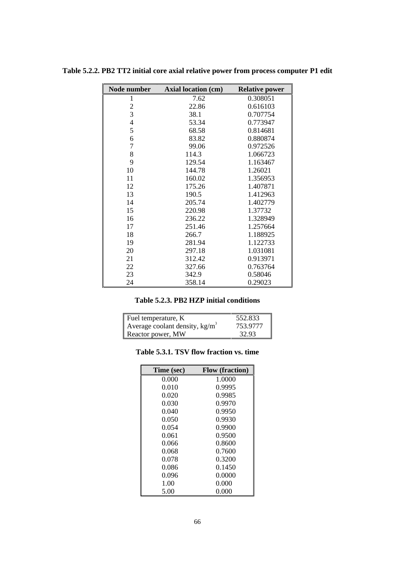| Node number    | Axial location (cm) | <b>Relative power</b> |
|----------------|---------------------|-----------------------|
| 1              | 7.62                | 0.308051              |
| $\overline{c}$ | 22.86               | 0.616103              |
| 3              | 38.1                | 0.707754              |
| $\overline{4}$ | 53.34               | 0.773947              |
| 5              | 68.58               | 0.814681              |
| 6              | 83.82               | 0.880874              |
| 7              | 99.06               | 0.972526              |
| 8              | 114.3               | 1.066723              |
| 9              | 129.54              | 1.163467              |
| 10             | 144.78              | 1.26021               |
| 11             | 160.02              | 1.356953              |
| 12             | 175.26              | 1.407871              |
| 13             | 190.5               | 1.412963              |
| 14             | 205.74              | 1.402779              |
| 15             | 220.98              | 1.37732               |
| 16             | 236.22              | 1.328949              |
| 17             | 251.46              | 1.257664              |
| 18             | 266.7               | 1.188925              |
| 19             | 281.94              | 1.122733              |
| 20             | 297.18              | 1.031081              |
| 21             | 312.42              | 0.913971              |
| 22             | 327.66              | 0.763764              |
| 23             | 342.9               | 0.58046               |
| 24             | 358.14              | 0.29023               |

**Table 5.2.2. PB2 TT2 initial core axial relative power from process computer P1 edit**

| Table 5.2.3. PB2 HZP initial conditions |  |  |  |  |
|-----------------------------------------|--|--|--|--|
|-----------------------------------------|--|--|--|--|

| Fuel temperature, K              | 552.833  |
|----------------------------------|----------|
| Average coolant density, $kg/m3$ | 753.9777 |
| Reactor power, MW                | 32.93    |

| Table 5.3.1. TSV flow fraction vs. time |  |  |
|-----------------------------------------|--|--|
|-----------------------------------------|--|--|

| Time (sec) | <b>Flow</b> (fraction) |
|------------|------------------------|
| 0.000      | 1.0000                 |
| 0.010      | 0.9995                 |
| 0.020      | 0.9985                 |
| 0.030      | 0.9970                 |
| 0.040      | 0.9950                 |
| 0.050      | 0.9930                 |
| 0.054      | 0.9900                 |
| 0.061      | 0.9500                 |
| 0.066      | 0.8600                 |
| 0.068      | 0.7600                 |
| 0.078      | 0.3200                 |
| 0.086      | 0.1450                 |
| 0.096      | 0.0000                 |
| 1.00       | 0.000                  |
| 5.00       | 0.000                  |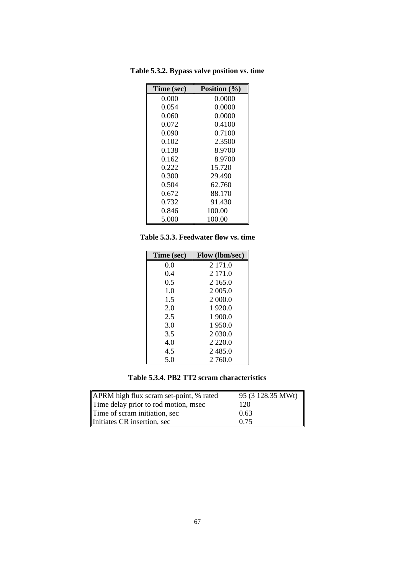| Time (sec) | Position $(\% )$ |
|------------|------------------|
| 0.000      | 0.0000           |
| 0.054      | 0.0000           |
| 0.060      | 0.0000           |
| 0.072      | 0.4100           |
| 0.090      | 0.7100           |
| 0.102      | 2.3500           |
| 0.138      | 8.9700           |
| 0.162      | 8.9700           |
| 0.222      | 15.720           |
| 0.300      | 29.490           |
| 0.504      | 62.760           |
| 0.672      | 88.170           |
| 0.732      | 91.430           |
| 0.846      | 100.00           |
| 5.000      | 100.00           |

**Table 5.3.2. Bypass valve position vs. time**

**Table 5.3.3. Feedwater flow vs. time**

| Time (sec) | <b>Flow</b> (lbm/sec) |
|------------|-----------------------|
| 0.0        | 2 171.0               |
| 0.4        | 2 171.0               |
| 0.5        | 2 165.0               |
| 1.0        | 2 005.0               |
| 1.5        | 2 000.0               |
| 2.0        | 1920.0                |
| 2.5        | 1900.0                |
| 3.0        | 1950.0                |
| 3.5        | 2 030.0               |
| 4.0        | 2 2 2 0 .0            |
| 4.5        | 2485.0                |
| 5.0        | 2 760.0               |

**Table 5.3.4. PB2 TT2 scram characteristics**

| APRM high flux scram set-point, % rated | 95 (3 128.35 MWt) |
|-----------------------------------------|-------------------|
| Time delay prior to rod motion, msec    | 120               |
| Time of scram initiation, sec           | 0.63              |
| Initiates CR insertion, sec             | 0.75              |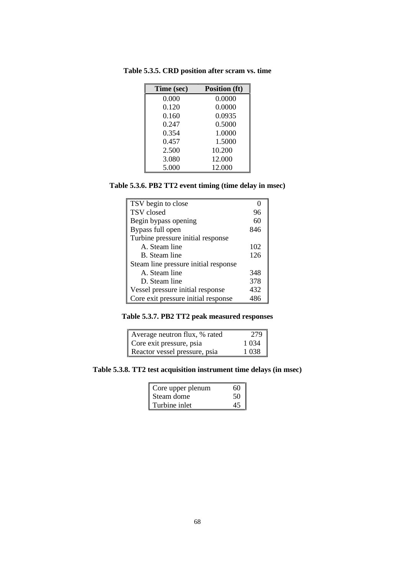| Time (sec) | <b>Position (ft)</b> |
|------------|----------------------|
| 0.000      | 0.0000               |
| 0.120      | 0.0000               |
| 0.160      | 0.0935               |
| 0.247      | 0.5000               |
| 0.354      | 1.0000               |
| 0.457      | 1.5000               |
| 2.500      | 10.200               |
| 3.080      | 12.000               |
| 5.000      | 12.000               |

**Table 5.3.5. CRD position after scram vs. time**

# **Table 5.3.6. PB2 TT2 event timing (time delay in msec)**

| TSV begin to close                   |     |
|--------------------------------------|-----|
| TSV closed                           | 96  |
| Begin bypass opening                 | 60  |
| Bypass full open                     | 846 |
| Turbine pressure initial response    |     |
| A. Steam line                        | 102 |
| B. Steam line                        | 126 |
| Steam line pressure initial response |     |
| A. Steam line                        | 348 |
| D. Steam line                        | 378 |
| Vessel pressure initial response     | 432 |
| Core exit pressure initial response  | 486 |

**Table 5.3.7. PB2 TT2 peak measured responses**

| Average neutron flux, % rated | 279     |
|-------------------------------|---------|
| Core exit pressure, psia      | 1 0 3 4 |
| Reactor vessel pressure, psia | 1038    |

**Table 5.3.8. TT2 test acquisition instrument time delays (in msec)**

| Core upper plenum | 60 |
|-------------------|----|
| Steam dome        | 50 |
| Turbine inlet     |    |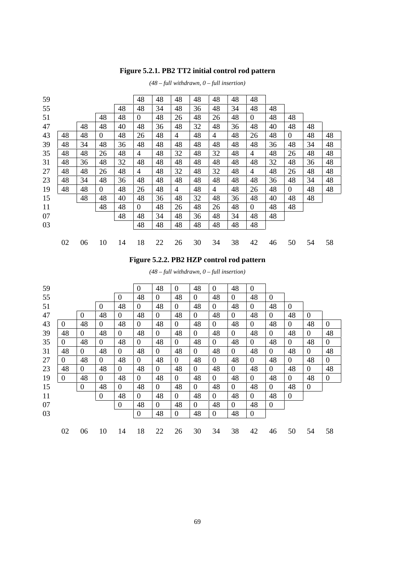# **Figure 5.2.1. PB2 TT2 initial control rod pattern**

|    |    |                |    | 48               | 48 | 48             | 48 | 48 | 48 | 48             |    |                |    |    |
|----|----|----------------|----|------------------|----|----------------|----|----|----|----------------|----|----------------|----|----|
|    |    |                | 48 | 48               | 34 | 48             | 36 | 48 | 34 | 48             | 48 |                |    |    |
|    |    | 48             | 48 | $\boldsymbol{0}$ | 48 | 26             | 48 | 26 | 48 | $\overline{0}$ | 48 | 48             |    |    |
|    | 48 | 48             | 40 | 48               | 36 | 48             | 32 | 48 | 36 | 48             | 40 | 48             | 48 |    |
| 48 | 48 | $\overline{0}$ | 48 | 26               | 48 | $\overline{4}$ | 48 | 4  | 48 | 26             | 48 | $\overline{0}$ | 48 | 48 |
| 48 | 34 | 48             | 36 | 48               | 48 | 48             | 48 | 48 | 48 | 48             | 36 | 48             | 34 | 48 |
| 48 | 48 | 26             | 48 | 4                | 48 | 32             | 48 | 32 | 48 | $\overline{4}$ | 48 | 26             | 48 | 48 |
| 48 | 36 | 48             | 32 | 48               | 48 | 48             | 48 | 48 | 48 | 48             | 32 | 48             | 36 | 48 |
| 48 | 48 | 26             | 48 | $\overline{4}$   | 48 | 32             | 48 | 32 | 48 | $\overline{4}$ | 48 | 26             | 48 | 48 |
| 48 | 34 | 48             | 36 | 48               | 48 | 48             | 48 | 48 | 48 | 48             | 36 | 48             | 34 | 48 |
| 48 | 48 | $\overline{0}$ | 48 | 26               | 48 | $\overline{4}$ | 48 | 4  | 48 | 26             | 48 | $\overline{0}$ | 48 | 48 |
|    | 48 | 48             | 40 | 48               | 36 | 48             | 32 | 48 | 36 | 48             | 40 | 48             | 48 |    |
|    |    | 48             | 48 | $\boldsymbol{0}$ | 48 | 26             | 48 | 26 | 48 | $\overline{0}$ | 48 | 48             |    |    |
|    |    |                | 48 | 48               | 34 | 48             | 36 | 48 | 34 | 48             | 48 |                |    |    |
|    |    |                |    | 48               | 48 | 48             | 48 | 48 | 48 | 48             |    |                |    |    |
|    |    |                |    |                  |    |                |    |    |    |                |    |                |    |    |
| 02 | 06 | 10             | 14 | 18               | 22 | 26             | 30 | 34 | 38 | 42             | 46 | 50             | 54 | 58 |
|    |    |                |    |                  |    |                |    |    |    |                |    |                |    |    |

*(48 – full withdrawn, 0 – full insertion)*

# **Figure 5.2.2. PB2 HZP control rod pattern**

| 59 |                |                  |                |                | $\overline{0}$ | 48             | $\overline{0}$   | 48             | $\theta$       | 48             | $\theta$       |                |                  |                |                |
|----|----------------|------------------|----------------|----------------|----------------|----------------|------------------|----------------|----------------|----------------|----------------|----------------|------------------|----------------|----------------|
| 55 |                |                  |                | $\overline{0}$ | 48             | $\overline{0}$ | 48               | $\overline{0}$ | 48             | $\overline{0}$ | 48             | $\overline{0}$ |                  |                |                |
| 51 |                |                  | $\overline{0}$ | 48             | $\overline{0}$ | 48             | $\overline{0}$   | 48             | $\overline{0}$ | 48             | $\overline{0}$ | 48             | $\overline{0}$   |                |                |
| 47 |                | $\overline{0}$   | 48             | $\overline{0}$ | 48             | $\overline{0}$ | 48               | $\theta$       | 48             | $\overline{0}$ | 48             | $\theta$       | 48               | $\overline{0}$ |                |
| 43 | $\Omega$       | 48               | $\overline{0}$ | 48             | $\overline{0}$ | 48             | $\Omega$         | 48             | $\overline{0}$ | 48             | $\overline{0}$ | 48             | $\boldsymbol{0}$ | 48             | $\overline{0}$ |
| 39 | 48             | $\theta$         | 48             | $\Omega$       | 48             | $\overline{0}$ | 48               | $\overline{0}$ | 48             | $\theta$       | 48             | $\overline{0}$ | 48               | $\overline{0}$ | 48             |
| 35 | $\Omega$       | 48               | $\overline{0}$ | 48             | $\overline{0}$ | 48             | $\Omega$         | 48             | $\overline{0}$ | 48             | $\theta$       | 48             | $\theta$         | 48             | $\overline{0}$ |
| 31 | 48             | $\theta$         | 48             | $\overline{0}$ | 48             | $\overline{0}$ | 48               | $\overline{0}$ | 48             | $\overline{0}$ | 48             | $\theta$       | 48               | $\overline{0}$ | 48             |
| 27 | $\theta$       | 48               | $\overline{0}$ | 48             | $\overline{0}$ | 48             | $\overline{0}$   | 48             | $\overline{0}$ | 48             | $\overline{0}$ | 48             | $\boldsymbol{0}$ | 48             | $\overline{0}$ |
| 23 | 48             | $\theta$         | 48             | $\overline{0}$ | 48             | $\overline{0}$ | 48               | $\theta$       | 48             | $\overline{0}$ | 48             | $\theta$       | 48               | $\theta$       | 48             |
| 19 | $\overline{0}$ | 48               | $\mathbf{0}$   | 48             | $\mathbf{0}$   | 48             | $\boldsymbol{0}$ | 48             | $\overline{0}$ | 48             | $\theta$       | 48             | $\mathbf{0}$     | 48             | $\mathbf{0}$   |
| 15 |                | $\boldsymbol{0}$ | 48             | $\Omega$       | 48             | $\overline{0}$ | 48               | $\overline{0}$ | 48             | $\theta$       | 48             | $\theta$       | 48               | $\overline{0}$ |                |
| 11 |                |                  | $\mathbf{0}$   | 48             | $\overline{0}$ | 48             | $\overline{0}$   | 48             | $\theta$       | 48             | $\overline{0}$ | 48             | $\boldsymbol{0}$ |                |                |
| 07 |                |                  |                | $\theta$       | 48             | $\overline{0}$ | 48               | $\theta$       | 48             | $\theta$       | 48             | $\theta$       |                  |                |                |
| 03 |                |                  |                |                | $\mathbf{0}$   | 48             | $\overline{0}$   | 48             | $\overline{0}$ | 48             | $\mathbf{0}$   |                |                  |                |                |
|    |                |                  |                |                |                |                |                  |                |                |                |                |                |                  |                |                |
|    | 02             | 06               | 10             | 14             | 18             | 22             | 26               | 30             | 34             | 38             | 42             | 46             | 50               | 54             | 58             |

*(48 – full withdrawn, 0 – full insertion)*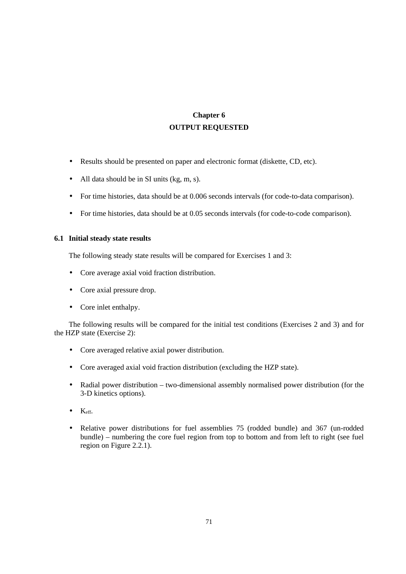# **Chapter 6 OUTPUT REQUESTED**

- Results should be presented on paper and electronic format (diskette, CD, etc).
- All data should be in SI units (kg, m, s).
- For time histories, data should be at 0.006 seconds intervals (for code-to-data comparison).
- For time histories, data should be at 0.05 seconds intervals (for code-to-code comparison).

## **6.1 Initial steady state results**

The following steady state results will be compared for Exercises 1 and 3:

- Core average axial void fraction distribution.
- Core axial pressure drop.
- Core inlet enthalpy.

The following results will be compared for the initial test conditions (Exercises 2 and 3) and for the HZP state (Exercise 2):

- Core averaged relative axial power distribution.
- Core averaged axial void fraction distribution (excluding the HZP state).
- Radial power distribution two-dimensional assembly normalised power distribution (for the 3-D kinetics options).
- $\bullet$  Keff.
- Relative power distributions for fuel assemblies 75 (rodded bundle) and 367 (un-rodded bundle) – numbering the core fuel region from top to bottom and from left to right (see fuel region on Figure 2.2.1).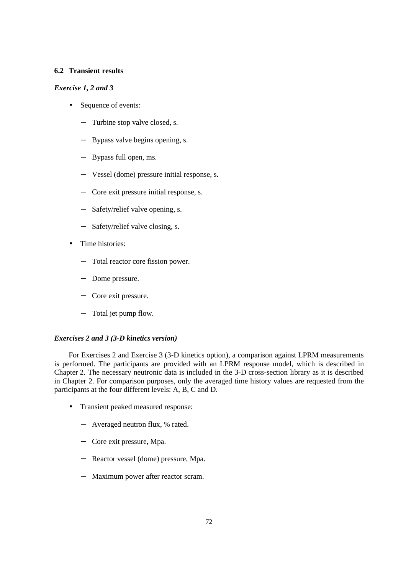## **6.2 Transient results**

## *Exercise 1, 2 and 3*

- Sequence of events:
	- − Turbine stop valve closed, s.
	- Bypass valve begins opening, s.
	- − Bypass full open, ms.
	- − Vessel (dome) pressure initial response, s.
	- − Core exit pressure initial response, s.
	- Safety/relief valve opening, s.
	- Safety/relief valve closing, s.
- Time histories:
	- − Total reactor core fission power.
	- Dome pressure.
	- − Core exit pressure.
	- Total jet pump flow.

### *Exercises 2 and 3 (3-D kinetics version)*

For Exercises 2 and Exercise 3 (3-D kinetics option), a comparison against LPRM measurements is performed. The participants are provided with an LPRM response model, which is described in Chapter 2. The necessary neutronic data is included in the 3-D cross-section library as it is described in Chapter 2. For comparison purposes, only the averaged time history values are requested from the participants at the four different levels: A, B, C and D.

- Transient peaked measured response:
	- − Averaged neutron flux, % rated.
	- − Core exit pressure, Mpa.
	- − Reactor vessel (dome) pressure, Mpa.
	- − Maximum power after reactor scram.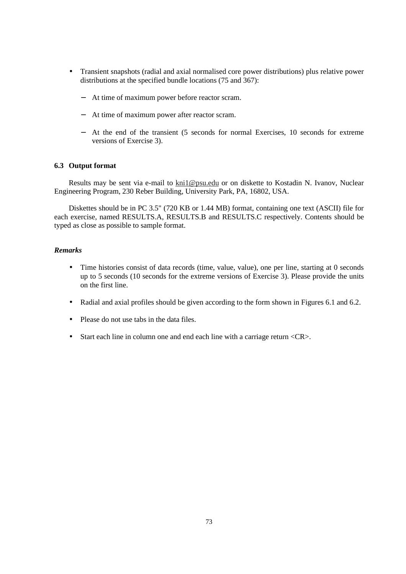- Transient snapshots (radial and axial normalised core power distributions) plus relative power distributions at the specified bundle locations (75 and 367):
	- − At time of maximum power before reactor scram.
	- − At time of maximum power after reactor scram.
	- − At the end of the transient (5 seconds for normal Exercises, 10 seconds for extreme versions of Exercise 3).

#### **6.3 Output format**

Results may be sent via e-mail to kni1@psu.edu or on diskette to Kostadin N. Ivanov, Nuclear Engineering Program, 230 Reber Building, University Park, PA, 16802, USA.

Diskettes should be in PC 3.5" (720 KB or 1.44 MB) format, containing one text (ASCII) file for each exercise, named RESULTS.A, RESULTS.B and RESULTS.C respectively. Contents should be typed as close as possible to sample format.

#### *Remarks*

- Time histories consist of data records (time, value, value), one per line, starting at 0 seconds up to 5 seconds (10 seconds for the extreme versions of Exercise 3). Please provide the units on the first line.
- Radial and axial profiles should be given according to the form shown in Figures 6.1 and 6.2.
- Please do not use tabs in the data files.
- Start each line in column one and end each line with a carriage return <CR>.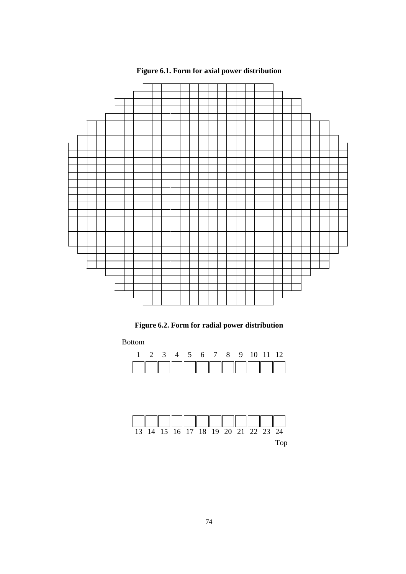

# **Figure 6.1. Form for axial power distribution**

**Figure 6.2. Form for radial power distribution**

Bottom

|  |  |  |  | 4 5 6 7 8 9 10 11 12 |  |
|--|--|--|--|----------------------|--|
|  |  |  |  |                      |  |

| 13 14 15 16 17 18 19 20 21 22 23 24 |  |  |  |  |  |
|-------------------------------------|--|--|--|--|--|
|                                     |  |  |  |  |  |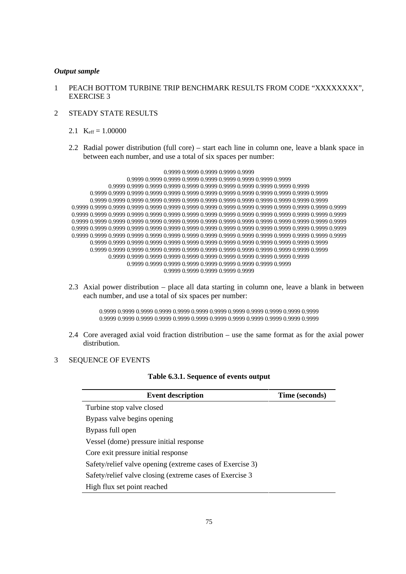#### *Output sample*

- 1 PEACH BOTTOM TURBINE TRIP BENCHMARK RESULTS FROM CODE "XXXXXXXX", EXERCISE 3
- 2 STEADY STATE RESULTS
	- 2.1  $K_{\text{eff}} = 1.00000$
	- 2.2 Radial power distribution (full core) start each line in column one, leave a blank space in between each number, and use a total of six spaces per number:

0.9999 0.9999 0.9999 0.9999 0.9999 0.9999 0.9999 0.9999 0.9999 0.9999 0.9999 0.9999 0.9999 0.9999 0.9999 0.9999 0.9999 0.9999 0.9999 0.9999 0.9999 0.9999 0.9999 0.9999 0.9999 0.9999 0.9999 0.9999 0.9999 0.9999 0.9999 0.9999 0.9999 0.9999 0.9999 0.9999 0.9999 0.9999 0.9999 0.9999 0.9999 0.9999 0.9999 0.9999 0.9999 0.9999 0.9999 0.9999 0.9999 0.9999 0.9999 0.9999 0.9999 0.9999 0.9999 0.9999 0.9999 0.9999 0.9999 0.9999 0.9999 0.9999 0.9999 0.9999 0.9999 0.9999 0.9999 0.9999 0.9999 0.9999 0.9999 0.9999 0.9999 0.9999 0.9999 0.9999 0.9999 0.9999 0.9999 0.9999 0.9999 0.9999 0.9999 0.9999 0.9999 0.9999 0.9999 0.9999 0.9999 0.9999 0.9999 0.9999 0.9999 0.9999 0.9999 0.9999 0.9999 0.9999 0.9999 0.9999 0.9999 0.9999 0.9999 0.9999 0.9999 0.9999 0.9999 0.9999 0.9999 0.9999 0.9999 0.9999 0.9999 0.9999 0.9999 0.9999 0.9999 0.9999 0.9999 0.9999 0.9999 0.9999 0.9999 0.9999 0.9999 0.9999 0.9999 0.9999 0.9999 0.9999 0.9999 0.9999 0.9999 0.9999 0.9999 0.9999 0.9999 0.9999 0.9999 0.9999 0.9999 0.9999 0.9999 0.9999 0.9999 0.9999 0.9999 0.9999 0.9999 0.9999 0.9999 0.9999 0.9999 0.9999 0.9999 0.9999 0.9999 0.9999 0.9999 0.9999 0.9999 0.9999 0.9999 0.9999 0.9999 0.9999 0.9999 0.9999 0.9999 0.9999 0.9999 0.9999 0.9999 0.9999 0.9999 0.9999 0.9999

2.3 Axial power distribution – place all data starting in column one, leave a blank in between each number, and use a total of six spaces per number:

> 0.9999 0.9999 0.9999 0.9999 0.9999 0.9999 0.9999 0.9999 0.9999 0.9999 0.9999 0.9999 0.9999 0.9999 0.9999 0.9999 0.9999 0.9999 0.9999 0.9999 0.9999 0.9999 0.9999 0.9999

2.4 Core averaged axial void fraction distribution – use the same format as for the axial power distribution.

#### 3 SEQUENCE OF EVENTS

| <b>Event description</b>                                  | Time (seconds) |
|-----------------------------------------------------------|----------------|
| Turbine stop valve closed                                 |                |
| Bypass valve begins opening                               |                |
| Bypass full open                                          |                |
| Vessel (dome) pressure initial response                   |                |
| Core exit pressure initial response                       |                |
| Safety/relief valve opening (extreme cases of Exercise 3) |                |
| Safety/relief valve closing (extreme cases of Exercise 3  |                |
| High flux set point reached                               |                |
|                                                           |                |

#### **Table 6.3.1. Sequence of events output**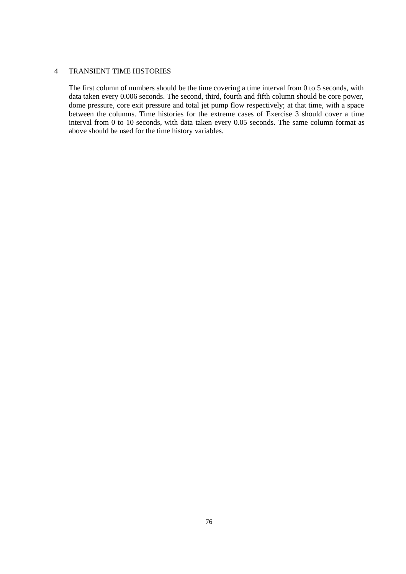#### 4 TRANSIENT TIME HISTORIES

The first column of numbers should be the time covering a time interval from 0 to 5 seconds, with data taken every 0.006 seconds. The second, third, fourth and fifth column should be core power, dome pressure, core exit pressure and total jet pump flow respectively; at that time, with a space between the columns. Time histories for the extreme cases of Exercise 3 should cover a time interval from 0 to 10 seconds, with data taken every 0.05 seconds. The same column format as above should be used for the time history variables.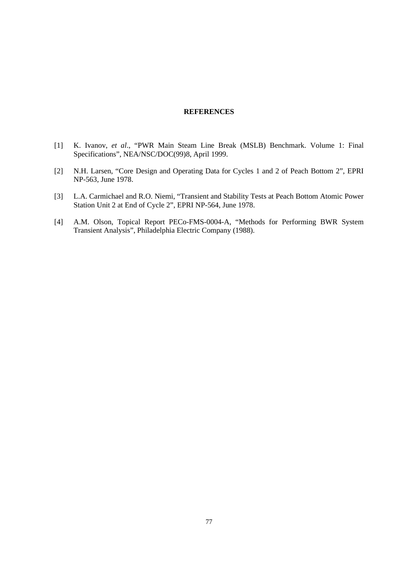#### **REFERENCES**

- [1] K. Ivanov, *et al*., "PWR Main Steam Line Break (MSLB) Benchmark. Volume 1: Final Specifications", NEA/NSC/DOC(99)8, April 1999.
- [2] N.H. Larsen, "Core Design and Operating Data for Cycles 1 and 2 of Peach Bottom 2", EPRI NP-563, June 1978.
- [3] L.A. Carmichael and R.O. Niemi, "Transient and Stability Tests at Peach Bottom Atomic Power Station Unit 2 at End of Cycle 2", EPRI NP-564, June 1978.
- [4] A.M. Olson, Topical Report PECo-FMS-0004-A, "Methods for Performing BWR System Transient Analysis", Philadelphia Electric Company (1988).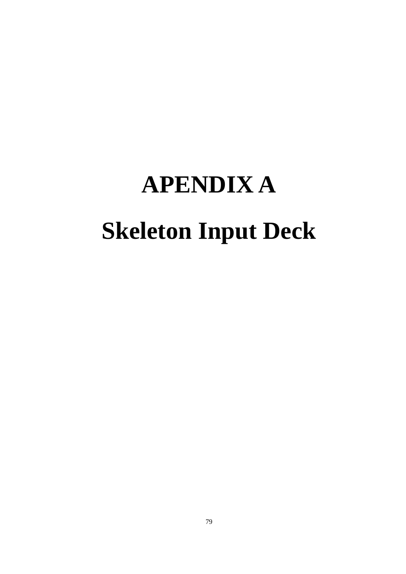# **APENDIX A Skeleton Input Deck**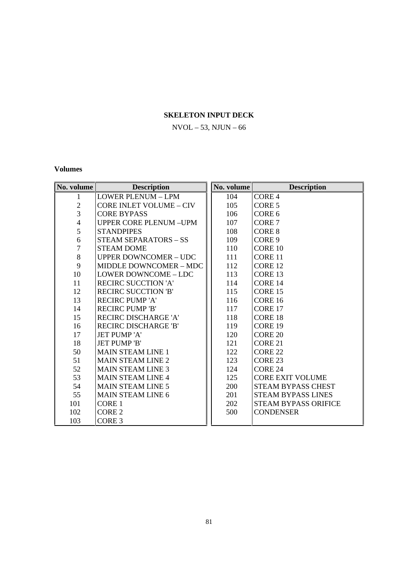## **SKELETON INPUT DECK**

## $NVOL - 53$ ,  $NJUN - 66$

### **Volumes**

| No. volume     | <b>Description</b>             | No. volume | <b>Description</b>          |
|----------------|--------------------------------|------------|-----------------------------|
| 1              | <b>LOWER PLENUM - LPM</b>      | 104        | CORE <sub>4</sub>           |
| $\overline{c}$ | <b>CORE INLET VOLUME - CIV</b> | 105        | CORE <sub>5</sub>           |
| $\overline{3}$ | <b>CORE BYPASS</b>             | 106        | CORE <sub>6</sub>           |
| $\overline{4}$ | <b>UPPER CORE PLENUM -UPM</b>  | 107        | CORE <sub>7</sub>           |
| 5              | <b>STANDPIPES</b>              | 108        | <b>CORE 8</b>               |
| $\epsilon$     | <b>STEAM SEPARATORS - SS</b>   | 109        | CORE 9                      |
| $\overline{7}$ | <b>STEAM DOME</b>              | 110        | <b>CORE 10</b>              |
| $\,8\,$        | <b>UPPER DOWNCOMER - UDC</b>   | 111        | CORE 11                     |
| 9              | MIDDLE DOWNCOMER - MDC         | 112        | CORE 12                     |
| 10             | LOWER DOWNCOME - LDC           | 113        | CORE <sub>13</sub>          |
| 11             | <b>RECIRC SUCCTION 'A'</b>     | 114        | CORE 14                     |
| 12             | <b>RECIRC SUCCTION 'B'</b>     | 115        | CORE 15                     |
| 13             | <b>RECIRC PUMP 'A'</b>         | 116        | CORE 16                     |
| 14             | <b>RECIRC PUMP 'B'</b>         | 117        | CORE <sub>17</sub>          |
| 15             | <b>RECIRC DISCHARGE 'A'</b>    | 118        | CORE 18                     |
| 16             | <b>RECIRC DISCHARGE 'B'</b>    | 119        | CORE <sub>19</sub>          |
| 17             | <b>JET PUMP'A'</b>             | 120        | <b>CORE 20</b>              |
| 18             | <b>JET PUMP 'B'</b>            | 121        | CORE 21                     |
| 50             | <b>MAIN STEAM LINE 1</b>       | 122        | CORE <sub>22</sub>          |
| 51             | <b>MAIN STEAM LINE 2</b>       | 123        | CORE <sub>23</sub>          |
| 52             | <b>MAIN STEAM LINE 3</b>       | 124        | CORE 24                     |
| 53             | <b>MAIN STEAM LINE 4</b>       | 125        | <b>CORE EXIT VOLUME</b>     |
| 54             | <b>MAIN STEAM LINE 5</b>       | 200        | STEAM BYPASS CHEST          |
| 55             | <b>MAIN STEAM LINE 6</b>       | 201        | <b>STEAM BYPASS LINES</b>   |
| 101            | <b>CORE 1</b>                  | 202        | <b>STEAM BYPASS ORIFICE</b> |
| 102            | CORE <sub>2</sub>              | 500        | <b>CONDENSER</b>            |
| 103            | CORE <sub>3</sub>              |            |                             |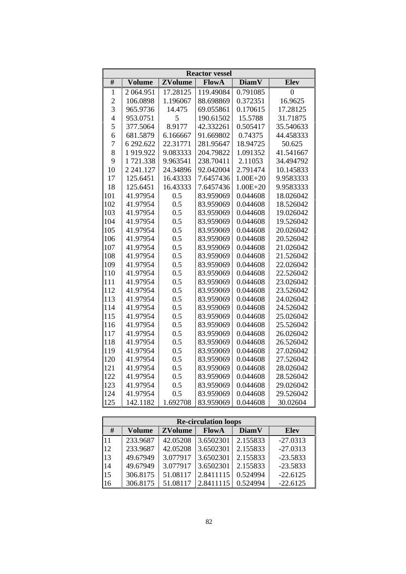|                | <b>Reactor vessel</b> |                |              |              |           |  |  |
|----------------|-----------------------|----------------|--------------|--------------|-----------|--|--|
| #              | <b>Volume</b>         | <b>ZVolume</b> | <b>FlowA</b> | <b>DiamV</b> | Elev      |  |  |
| $\mathbf{1}$   | 2 064.951             | 17.28125       | 119.49084    | 0.791085     | 0         |  |  |
| $\overline{c}$ | 106.0898              | 1.196067       | 88.698869    | 0.372351     | 16.9625   |  |  |
| 3              | 965.9736              | 14.475         | 69.055861    | 0.170615     | 17.28125  |  |  |
| $\overline{4}$ | 953.0751              | 5              | 190.61502    | 15.5788      | 31.71875  |  |  |
| 5              | 377.5064              | 8.9177         | 42.332261    | 0.505417     | 35.540633 |  |  |
| 6              | 681.5879              | 6.166667       | 91.669802    | 0.74375      | 44.458333 |  |  |
| $\overline{7}$ | 6 292.622             | 22.31771       | 281.95647    | 18.94725     | 50.625    |  |  |
| 8              | 1919.922              | 9.083333       | 204.79822    | 1.091352     | 41.541667 |  |  |
| 9              | 1721.338              | 9.963541       | 238.70411    | 2.11053      | 34.494792 |  |  |
| 10             | 2 241.127             | 24.34896       | 92.042004    | 2.791474     | 10.145833 |  |  |
| 17             | 125.6451              | 16.43333       | 7.6457436    | $1.00E + 20$ | 9.9583333 |  |  |
| 18             | 125.6451              | 16.43333       | 7.6457436    | $1.00E + 20$ | 9.9583333 |  |  |
| 101            | 41.97954              | 0.5            | 83.959069    | 0.044608     | 18.026042 |  |  |
| 102            | 41.97954              | 0.5            | 83.959069    | 0.044608     | 18.526042 |  |  |
| 103            | 41.97954              | 0.5            | 83.959069    | 0.044608     | 19.026042 |  |  |
| 104            | 41.97954              | 0.5            | 83.959069    | 0.044608     | 19.526042 |  |  |
| 105            | 41.97954              | 0.5            | 83.959069    | 0.044608     | 20.026042 |  |  |
| 106            | 41.97954              | 0.5            | 83.959069    | 0.044608     | 20.526042 |  |  |
| 107            | 41.97954              | 0.5            | 83.959069    | 0.044608     | 21.026042 |  |  |
| 108            | 41.97954              | 0.5            | 83.959069    | 0.044608     | 21.526042 |  |  |
| 109            | 41.97954              | 0.5            | 83.959069    | 0.044608     | 22.026042 |  |  |
| 110            | 41.97954              | 0.5            | 83.959069    | 0.044608     | 22.526042 |  |  |
| 111            | 41.97954              | 0.5            | 83.959069    | 0.044608     | 23.026042 |  |  |
| 112            | 41.97954              | 0.5            | 83.959069    | 0.044608     | 23.526042 |  |  |
| 113            | 41.97954              | 0.5            | 83.959069    | 0.044608     | 24.026042 |  |  |
| 114            | 41.97954              | 0.5            | 83.959069    | 0.044608     | 24.526042 |  |  |
| 115            | 41.97954              | 0.5            | 83.959069    | 0.044608     | 25.026042 |  |  |
| 116            | 41.97954              | 0.5            | 83.959069    | 0.044608     | 25.526042 |  |  |
| 117            | 41.97954              | 0.5            | 83.959069    | 0.044608     | 26.026042 |  |  |
| 118            | 41.97954              | 0.5            | 83.959069    | 0.044608     | 26.526042 |  |  |
| 119            | 41.97954              | 0.5            | 83.959069    | 0.044608     | 27.026042 |  |  |
| 120            | 41.97954              | 0.5            | 83.959069    | 0.044608     | 27.526042 |  |  |
| 121            | 41.97954              | 0.5            | 83.959069    | 0.044608     | 28.026042 |  |  |
| 122            | 41.97954              | 0.5            | 83.959069    | 0.044608     | 28.526042 |  |  |
| 123            | 41.97954              | 0.5            | 83.959069    | 0.044608     | 29.026042 |  |  |
| 124            | 41.97954              | 0.5            | 83.959069    | 0.044608     | 29.526042 |  |  |
| 125            | 142.1182              | 1.692708       | 83.959069    | 0.044608     | 30.02604  |  |  |

|            | <b>Re-circulation loops</b> |                |           |              |            |  |  |  |  |  |
|------------|-----------------------------|----------------|-----------|--------------|------------|--|--|--|--|--|
| #          | Volume                      | <b>ZVolume</b> | FlowA     | <b>DiamV</b> | Elev       |  |  |  |  |  |
| 11         | 233.9687                    | 42.05208       | 3.6502301 | 2.155833     | $-27.0313$ |  |  |  |  |  |
| 12         | 233.9687                    | 42.05208       | 3.6502301 | 2.155833     | $-27.0313$ |  |  |  |  |  |
| 13         | 49.67949                    | 3.077917       | 3.6502301 | 2.155833     | $-23.5833$ |  |  |  |  |  |
| 14         | 49.67949                    | 3.077917       | 3.6502301 | 2.155833     | $-23.5833$ |  |  |  |  |  |
| $\vert$ 15 | 306.8175                    | 51.08117       | 2.8411115 | 0.524994     | $-22.6125$ |  |  |  |  |  |
| 16         | 306.8175                    | 51.08117       | 2.8411115 | 0.524994     | $-22.6125$ |  |  |  |  |  |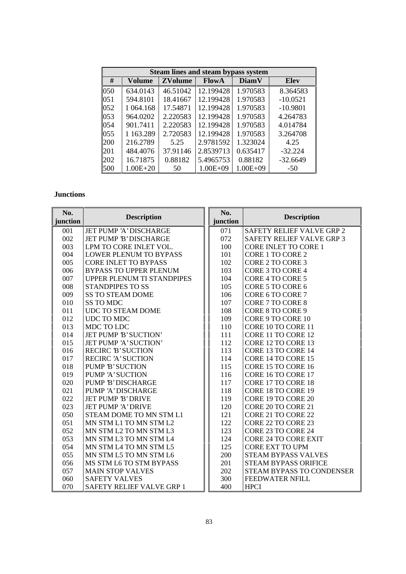|      | <b>Steam lines and steam bypass system</b> |                |              |              |             |  |  |  |  |  |
|------|--------------------------------------------|----------------|--------------|--------------|-------------|--|--|--|--|--|
| #    | Volume                                     | <b>ZVolume</b> | <b>FlowA</b> | <b>DiamV</b> | <b>Elev</b> |  |  |  |  |  |
| 050  | 634.0143                                   | 46.51042       | 12.199428    | 1.970583     | 8.364583    |  |  |  |  |  |
| 051  | 594.8101                                   | 18.41667       | 12.199428    | 1.970583     | $-10.0521$  |  |  |  |  |  |
| 0.52 | 1 064.168                                  | 17.54871       | 12.199428    | 1.970583     | $-10.9801$  |  |  |  |  |  |
| 053  | 964.0202                                   | 2.220583       | 12.199428    | 1.970583     | 4.264783    |  |  |  |  |  |
| 054  | 901.7411                                   | 2.220583       | 12.199428    | 1.970583     | 4.014784    |  |  |  |  |  |
| 055  | 1 1 63.289                                 | 2.720583       | 12.199428    | 1.970583     | 3.264708    |  |  |  |  |  |
| 200  | 216.2789                                   | 5.25           | 2.9781592    | 1.323024     | 4.25        |  |  |  |  |  |
| 201  | 484.4076                                   | 37.91146       | 2.8539713    | 0.635417     | $-32.224$   |  |  |  |  |  |
| 202  | 16.71875                                   | 0.88182        | 5.4965753    | 0.88182      | $-32.6649$  |  |  |  |  |  |
| 500  | $1.00E + 20$                               | 50             | $1.00E + 09$ | $1.00E + 09$ | $-50$       |  |  |  |  |  |

## **Junctions**

| No.<br><b>Description</b> |                                   | No.      | <b>Description</b>          |
|---------------------------|-----------------------------------|----------|-----------------------------|
| junction                  |                                   | junction |                             |
| 001                       | JET PUMP 'A' DISCHARGE            | 071      | SAFETY RELIEF VALVE GRP 2   |
| 002                       | JET PUMP 'B' DISCHARGE            | 072      | SAFETY RELIEF VALVE GRP 3   |
| 003                       | LPM TO CORE INLET VOL.            | 100      | <b>CORE INLET TO CORE 1</b> |
| 004                       | <b>LOWER PLENUM TO BYPASS</b>     | 101      | CORE 1 TO CORE 2            |
| 005                       | <b>CORE INLET TO BYPASS</b>       | 102      | CORE 2 TO CORE 3            |
| 006                       | <b>BYPASS TO UPPER PLENUM</b>     | 103      | CORE 3 TO CORE 4            |
| 007                       | <b>UPPER PLENUM TI STANDPIPES</b> | 104      | CORE 4 TO CORE 5            |
| 008                       | <b>STANDPIPES TO SS</b>           | 105      | CORE 5 TO CORE 6            |
| 009                       | <b>SS TO STEAM DOME</b>           | 106      | CORE 6 TO CORE 7            |
| 010                       | <b>SS TO MDC</b>                  | 107      | CORE 7 TO CORE 8            |
| 011                       | <b>UDC TO STEAM DOME</b>          | 108      | CORE 8 TO CORE 9            |
| 012                       | UDC TO MDC                        | 109      | CORE 9 TO CORE 10           |
| 013                       | MDC TO LDC                        | 110      | CORE 10 TO CORE 11          |
| 014                       | JET PUMP 'B' SUCTION'             | 111      | CORE 11 TO CORE 12          |
| 015                       | JET PUMP 'A' SUCTION'             | 112      | CORE 12 TO CORE 13          |
| 016                       | <b>RECIRC 'B' SUCTION</b>         | 113      | CORE 13 TO CORE 14          |
| 017                       | <b>RECIRC 'A' SUCTION</b>         | 114      | CORE 14 TO CORE 15          |
| 018                       | <b>PUMP 'B' SUCTION</b>           | 115      | CORE 15 TO CORE 16          |
| 019                       | PUMP 'A' SUCTION                  | 116      | CORE 16 TO CORE 17          |
| 020                       | PUMP 'B' DISCHARGE                | 117      | CORE 17 TO CORE 18          |
| 021                       | PUMP 'A' DISCHARGE                | 118      | CORE 18 TO CORE 19          |
| 022                       | JET PUMP 'B' DRIVE                | 119      | CORE 19 TO CORE 20          |
| 023                       | <b>JET PUMP 'A' DRIVE</b>         | 120      | CORE 20 TO CORE 21          |
| 050                       | STEAM DOME TO MN STM L1           | 121      | CORE 21 TO CORE 22          |
| 051                       | MN STM L1 TO MN STM L2            | 122      | CORE 22 TO CORE 23          |
| 052                       | MN STM L2 TO MN STM L3            | 123      | CORE 23 TO CORE 24          |
| 053                       | MN STM L3 TO MN STM L4            | 124      | <b>CORE 24 TO CORE EXIT</b> |
| 054                       | MN STM L4 TO MN STM L5            | 125      | <b>CORE EXT TO UPM</b>      |
| 055                       | MN STM L5 TO MN STM L6            | 200      | <b>STEAM BYPASS VALVES</b>  |
| 056                       | MS STM L6 TO STM BYPASS           | 201      | <b>STEAM BYPASS ORIFICE</b> |
| 057                       | <b>MAIN STOP VALVES</b>           | 202      | STEAM BYPASS TO CONDENSER   |
| 060                       | <b>SAFETY VALVES</b>              | 300      | FEEDWATER NFILL             |
| 070                       | SAFETY RELIEF VALVE GRP 1         | 400      | <b>HPCI</b>                 |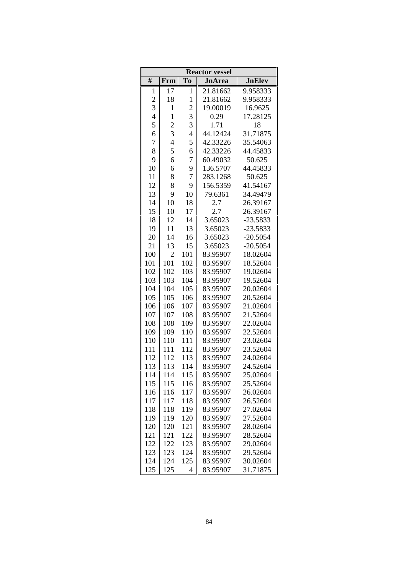| <b>Reactor vessel</b> |                |                         |               |               |  |  |  |
|-----------------------|----------------|-------------------------|---------------|---------------|--|--|--|
| #                     | Frm            | T <sub>o</sub>          | <b>JnArea</b> | <b>JnElev</b> |  |  |  |
| 1                     | 17             | 1                       | 21.81662      | 9.958333      |  |  |  |
| $\overline{c}$        | 18             | 1                       | 21.81662      | 9.958333      |  |  |  |
| 3                     | $\,1$          | $\overline{\mathbf{c}}$ | 19.00019      | 16.9625       |  |  |  |
| $\overline{4}$        | $\mathbf{1}$   | 3                       | 0.29          | 17.28125      |  |  |  |
| 5                     | $\overline{c}$ | 3                       | 1.71          | 18            |  |  |  |
| 6                     | 3              | $\overline{4}$          | 44.12424      | 31.71875      |  |  |  |
| 7                     | $\overline{4}$ | 5                       | 42.33226      | 35.54063      |  |  |  |
| 8                     | 5              | 6                       | 42.33226      | 44.45833      |  |  |  |
| 9                     | 6              | 7                       | 60.49032      | 50.625        |  |  |  |
| 10                    | 6              | 9                       | 136.5707      | 44.45833      |  |  |  |
| 11                    | 8              | 7                       | 283.1268      | 50.625        |  |  |  |
| 12                    | 8              | 9                       | 156.5359      | 41.54167      |  |  |  |
| 13                    | 9              | 10                      | 79.6361       | 34.49479      |  |  |  |
| 14                    | 10             | 18                      | 2.7           | 26.39167      |  |  |  |
| 15                    | 10             | 17                      | 2.7           | 26.39167      |  |  |  |
| 18                    | 12             | 14                      | 3.65023       | $-23.5833$    |  |  |  |
| 19                    | 11             | 13                      | 3.65023       | $-23.5833$    |  |  |  |
| 20                    | 14             | 16                      | 3.65023       | $-20.5054$    |  |  |  |
| 21                    | 13             | 15                      | 3.65023       | $-20.5054$    |  |  |  |
| 100                   | $\overline{2}$ | 101                     | 83.95907      | 18.02604      |  |  |  |
| 101                   | 101            | 102                     | 83.95907      | 18.52604      |  |  |  |
| 102                   | 102            | 103                     | 83.95907      | 19.02604      |  |  |  |
| 103                   | 103            | 104                     | 83.95907      | 19.52604      |  |  |  |
| 104                   | 104            | 105                     | 83.95907      | 20.02604      |  |  |  |
| 105                   | 105            | 106                     | 83.95907      | 20.52604      |  |  |  |
| 106                   | 106            | 107                     | 83.95907      | 21.02604      |  |  |  |
| 107                   | 107            | 108                     | 83.95907      | 21.52604      |  |  |  |
| 108                   | 108            | 109                     | 83.95907      | 22.02604      |  |  |  |
| 109                   | 109            | 110                     | 83.95907      | 22.52604      |  |  |  |
| 110                   | 110            | 111                     | 83.95907      | 23.02604      |  |  |  |
| 111                   | 111            | 112                     | 83.95907      | 23.52604      |  |  |  |
| 112                   | 112            | 113                     | 83.95907      | 24.02604      |  |  |  |
| 113                   | 113            | 114                     | 83.95907      | 24.52604      |  |  |  |
| 114                   | 114            | 115                     | 83.95907      | 25.02604      |  |  |  |
| 115                   | 115            | 116                     | 83.95907      | 25.52604      |  |  |  |
| 116                   | 116            | 117                     | 83.95907      | 26.02604      |  |  |  |
| 117                   | 117            | 118                     | 83.95907      | 26.52604      |  |  |  |
| 118                   | 118            | 119                     | 83.95907      | 27.02604      |  |  |  |
| 119                   | 119            | 120                     | 83.95907      | 27.52604      |  |  |  |
| 120                   | 120            | 121                     | 83.95907      | 28.02604      |  |  |  |
| 121                   | 121            | 122                     | 83.95907      | 28.52604      |  |  |  |
| 122                   | 122            | 123                     | 83.95907      | 29.02604      |  |  |  |
| 123                   | 123            | 124                     | 83.95907      | 29.52604      |  |  |  |
| 124                   | 124            | 125                     | 83.95907      | 30.02604      |  |  |  |
| 125                   | 125            | 4                       | 83.95907      | 31.71875      |  |  |  |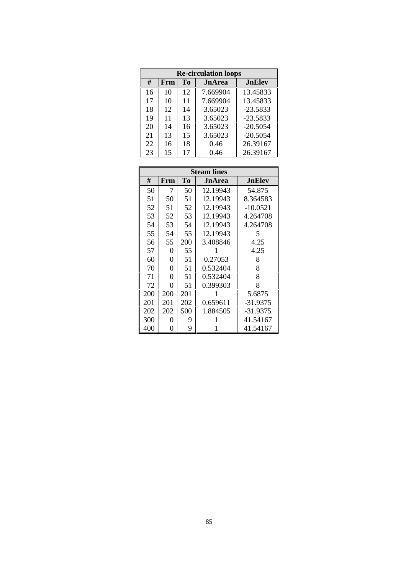|    | <b>Re-circulation loops</b> |                |               |               |  |  |  |  |  |
|----|-----------------------------|----------------|---------------|---------------|--|--|--|--|--|
| #  | Frm                         | T <sub>0</sub> | <b>JnArea</b> | <b>JnElev</b> |  |  |  |  |  |
| 16 | 10                          | 12             | 7.669904      | 13.45833      |  |  |  |  |  |
| 17 | 10                          | 11             | 7.669904      | 13.45833      |  |  |  |  |  |
| 18 | 12                          | 14             | 3.65023       | $-23.5833$    |  |  |  |  |  |
| 19 | 11                          | 13             | 3.65023       | $-23.5833$    |  |  |  |  |  |
| 20 | 14                          | 16             | 3.65023       | $-20.5054$    |  |  |  |  |  |
| 21 | 13                          | 15             | 3.65023       | $-20.5054$    |  |  |  |  |  |
| 22 | 16                          | 18             | 0.46          | 26.39167      |  |  |  |  |  |
| 23 | 15                          | 17             | 0.46          | 26.39167      |  |  |  |  |  |

|     | <b>Steam lines</b> |     |          |               |  |  |  |  |  |  |
|-----|--------------------|-----|----------|---------------|--|--|--|--|--|--|
| #   | Frm                | To  | JnArea   | <b>JnElev</b> |  |  |  |  |  |  |
| 50  | 7                  | 50  | 12.19943 | 54.875        |  |  |  |  |  |  |
| 51  | 50                 | 51  | 12.19943 | 8.364583      |  |  |  |  |  |  |
| 52  | 51                 | 52  | 12.19943 | $-10.0521$    |  |  |  |  |  |  |
| 53  | 52                 | 53  | 12.19943 | 4.264708      |  |  |  |  |  |  |
| 54  | 53                 | 54  | 12.19943 | 4.264708      |  |  |  |  |  |  |
| 55  | 54                 | 55  | 12.19943 | 5             |  |  |  |  |  |  |
| 56  | 55                 | 200 | 3.408846 | 4.25          |  |  |  |  |  |  |
| 57  | 0                  | 55  | 1        | 4.25          |  |  |  |  |  |  |
| 60  | 0                  | 51  | 0.27053  | 8             |  |  |  |  |  |  |
| 70  | 0                  | 51  | 0.532404 | 8             |  |  |  |  |  |  |
| 71  | 0                  | 51  | 0.532404 | 8             |  |  |  |  |  |  |
| 72  | 0                  | 51  | 0.399303 | 8             |  |  |  |  |  |  |
| 200 | 200                | 201 | 1        | 5.6875        |  |  |  |  |  |  |
| 201 | 201                | 202 | 0.659611 | -31.9375      |  |  |  |  |  |  |
| 202 | 202                | 500 | 1.884505 | -31.9375      |  |  |  |  |  |  |
| 300 | 0                  | 9   | 1        | 41.54167      |  |  |  |  |  |  |
| 400 | 0                  | 9   | 1        | 41.54167      |  |  |  |  |  |  |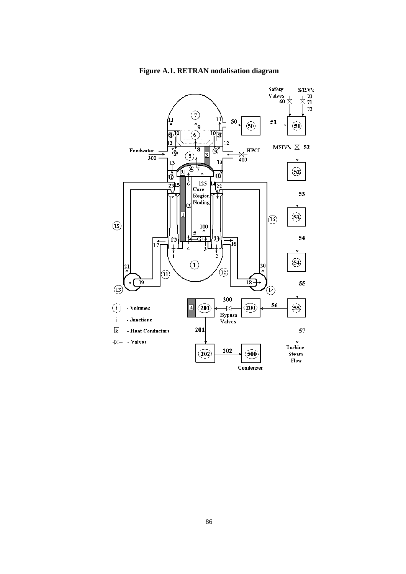

Figure A.1. RETRAN nodalisation diagram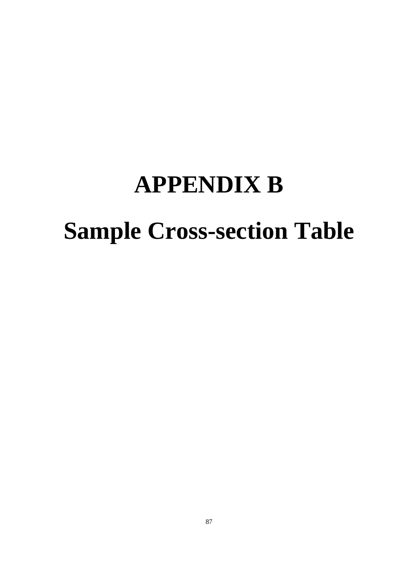# **APPENDIX B Sample Cross-section Table**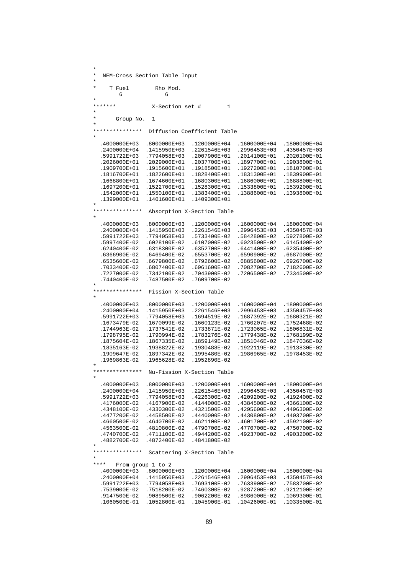| $^\star$<br>T Fuel         | Rho Mod.                          |                             |              |              |
|----------------------------|-----------------------------------|-----------------------------|--------------|--------------|
| 6<br>$^\ast$               | 6                                 |                             |              |              |
| *******                    | X-Section set #                   | 1                           |              |              |
| $^\ast$<br>$^\star$        |                                   |                             |              |              |
| Group No.<br>$\star$       | 1                                 |                             |              |              |
| ***************<br>$\star$ |                                   | Diffusion Coefficient Table |              |              |
| .4000000E+03               | .8000000E+03                      | .1200000E+04                | .1600000E+04 | .1800000E+04 |
| .2400000E+04               | .1415950E+03                      | .2261546E+03                | .2996453E+03 | .4350457E+03 |
| .5991722E+03               | .7794058E+03                      | .2007900E+01                | .2014100E+01 | .2020100E+01 |
| .2026000E+01               | .2029000E+01                      | .2037700E+01                | .1897700E+01 | .1903800E+01 |
| .1909700E+01               | .1915600E+01                      | .1918500E+01                | .1927200E+01 | .1810700E+01 |
| .1816700E+01               | .1822600E+01                      | .1828400E+01                | .1831300E+01 | .1839900E+01 |
| .1668800E+01               | .1674600E+01                      | .1680300E+01                | .1686000E+01 | .1688800E+01 |
| .1697200E+01               | .1522700E+01                      | .1528300E+01                | .1533800E+01 | .1539200E+01 |
| .1542000E+01               | .1550100E+01                      | .1383400E+01                | .1388600E+01 | .1393800E+01 |
| .1399000E+01<br>$^\ast$    | .1401600E+01                      | .1409300E+01                |              |              |
| ***************            |                                   | Absorption X-Section Table  |              |              |
| $^\ast$                    |                                   |                             |              |              |
| .4000000E+03               | .8000000E+03                      | .1200000E+04                | .1600000E+04 | .1800000E+04 |
| .2400000E+04               | .1415950E+03                      | .2261546E+03                | .2996453E+03 | .4350457E+03 |
| .5991722E+03               | .7794058E+03                      | .5733400E-02                | .5842800E-02 | .5927800E-02 |
| .5997400E-02               | .6028100E-02                      | .6107000E-02                | .6023500E-02 | .6145400E-02 |
| .6240400E-02               | .6318300E-02                      | .6352700E-02                | .6441400E-02 | .6235400E-02 |
| .6366900E-02               | .6469400E-02                      | .6553700E-02                | .6590900E-02 | .6687000E-02 |
| .6535600E-02               | .6679800E-02                      | .6792600E-02                | .6885600E-02 | .6926700E-02 |
| .7033400E-02               | .6807400E-02                      | .6961600E-02                | .7082700E-02 | .7182600E-02 |
| .7227000E-02               | .7342100E-02                      | .7043900E-02                | .7206500E-02 | .7334500E-02 |
| .7440400E-02               | .7487500E-02                      | .7609700E-02                |              |              |
| ***************            | Fission X-Section Table           |                             |              |              |
|                            |                                   |                             |              |              |
| .4000000E+03               | .8000000E+03                      | .1200000E+04                | .1600000E+04 | .1800000E+04 |
| .2400000E+04               | .1415950E+03                      | .2261546E+03                | .2996453E+03 | .4350457E+03 |
| .5991722E+03               | .7794058E+03                      | .1694519E-02                | .1687392E-02 | .1680321E-02 |
| .1673479E-02               | .1670099E-02                      | .1660123E-02                | .1760207E-02 | .1752468E-02 |
| .1744963E-02               | .1737541E-02                      | .1733871E-02                | .1723065E-02 | .1806831E-02 |
| .1798795E-02               | .1790994E-02                      | .1783276E-02                | .1779438E-02 | .1768199E-02 |
| .1875604E-02               | .1867335E-02                      | .1859149E-02                | .1851046E-02 | .1847036E-02 |
| .1835163E-02               | .1938822E-02                      | .1930488E-02                | .1922119E-02 | .1913830E-02 |
| .1909647E-02               | .1897342E-02                      | .1995480E-02                | .1986965E-02 | .1978453E-02 |
| .1969863E-02               | .1965628E-02                      | .1952890E-02                |              |              |
| $^\ast$<br>*************** |                                   | Nu-Fission X-Section Table  |              |              |
| $^\star$                   |                                   |                             |              |              |
| .4000000E+03               | .8000000E+03                      | .1200000E+04                | .1600000E+04 | .1800000E+04 |
| .2400000E+04               | .1415950E+03                      | .2261546E+03                | .2996453E+03 | .4350457E+03 |
| .5991722E+03               | .7794058E+03                      | .4226300E-02                | .4209200E-02 | .4192400E-02 |
| .4176000E-02               | .4167900E-02                      | .4144000E-02                | .4384500E-02 | .4366100E-02 |
| .4348100E-02               | .4330300E-02                      | .4321500E-02                | .4295600E-02 | .4496300E-02 |
| .4477200E-02               | .4458500E-02                      | .4440000E-02                | .4430800E-02 | .4403700E-02 |
| .4660500E-02               | .4640700E-02                      | .4621100E-02                | .4601700E-02 | .4592100E-02 |
| .4563500E-02               | .4810800E-02                      | .4790700E-02                | .4770700E-02 | .4750700E-02 |
| .4740700E-02               | .4711100E-02                      | .4944200E-02                | .4923700E-02 | .4903200E-02 |
| .4882700E-02               | .4872400E-02                      | .4841800E-02                |              |              |
| *<br>***************       |                                   | Scattering X-Section Table  |              |              |
| $^\star$                   |                                   |                             |              |              |
| ****<br>.4000000E+03       | From group 1 to 2<br>.8000000E+03 | .1200000E+04                | .1600000E+04 | .1800000E+04 |
|                            |                                   |                             |              |              |
| .2400000E+04               | .1415950E+03                      | .2261546E+03                | .2996453E+03 | .4350457E+03 |
| .5991722E+03               | .7794058E+03                      | .7693100E-02                | .7633900E-02 | .7583700E-02 |
| .7539000E-02               | .7518200E-02                      | .7460300E-02                | .9287200E-02 | .9212100E-02 |
| .9147500E-02               | .9089500E-02                      | .9062200E-02                | .8986000E-02 | .1069300E-01 |
| .1060500E-01               | .1052800E-01                      | .1045900E-01                | .1042600E-01 | .1033500E-01 |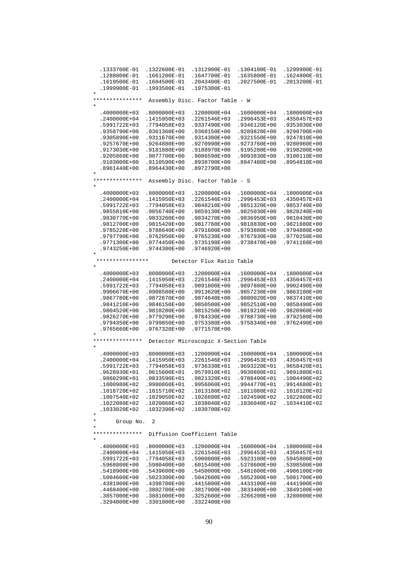| .1333700E-01                    | .1322600E-01 | .1312900E-01                         | .1304100E-01 | .1299900E-01 |
|---------------------------------|--------------|--------------------------------------|--------------|--------------|
| .1288000E-01                    | .1661200E-01 | .1647700E-01                         | .1635800E-01 | .1624800E-01 |
| .1619500E-01                    | .1604500E-01 | .2043400E-01                         | .2027500E-01 | .2013200E-01 |
| .1999900E-01                    | .1993500E-01 | .1975300E-01                         |              |              |
| $\star$                         |              |                                      |              |              |
| ***************                 |              | Assembly Disc. Factor Table - W      |              |              |
|                                 |              |                                      |              |              |
| .4000000E+03                    | .8000000E+03 | .1200000E+04                         | .1600000E+04 | .1800000E+04 |
| .2400000E+04                    | .1415950E+03 | .2261546E+03                         | .2996453E+03 | .4350457E+03 |
| .5991722E+03                    | .7794058E+03 | .9337490E+00                         | .9346120E+00 | .9353030E+00 |
| .9358790E+00                    | .9361360E+00 | .9368150E+00                         | .9289820E+00 | .9298700E+00 |
| .9305890E+00                    | .9311670E+00 | .9314380E+00                         | .9321550E+00 | .9247810E+00 |
| .9257670E+00                    | .9264880E+00 | .9270990E+00                         | .9273760E+00 | .9280960E+00 |
| .9173030E+00                    | .9181880E+00 | .9188970E+00                         | .9195280E+00 | .9198200E+00 |
| .9205860E+00                    | .9077700E+00 | .9086590E+00                         | .9093830E+00 | .9100110E+00 |
| .9103000E+00                    | .9110590E+00 | .8938700E+00                         | .8947480E+00 | .8954810E+00 |
| .8961440E+00                    | .8964430E+00 | .8972790E+00                         |              |              |
| $\star$                         |              |                                      |              |              |
| ***************                 |              | Assembly Disc. Factor Table - S      |              |              |
| *                               |              |                                      |              |              |
|                                 |              |                                      |              |              |
| .4000000E+03                    | .8000000E+03 | .1200000E+04                         | .1600000E+04 | .1800000E+04 |
| .2400000E+04                    | .1415950E+03 | .2261546E+03                         | .2996453E+03 | .4350457E+03 |
| .5991722E+03                    | .7794058E+03 | .9848210E+00                         | .9851320E+00 | .9853740E+00 |
| .9855810E+00                    | .9856740E+00 | .9859130E+00                         | .9825030E+00 | .9828240E+00 |
| .9830770E+00                    | .9833260E+00 | .9834270E+00                         | .9836950E+00 | .9810430E+00 |
| .9812700E+00                    | .9815420E+00 | .9817760E+00                         | .9818830E+00 | .9821880E+00 |
| .9785220E+00                    | .9788640E+00 | .9791600E+00                         | .9793880E+00 | .9794880E+00 |
| .9797790E+00                    | .9762050E+00 | .9765230E+00                         | .9767930E+00 | .9770250E+00 |
| .9771300E+00                    | .9774450E+00 | .9735190E+00                         | .9738470E+00 | .9741160E+00 |
| .9743250E+00                    | .9744300E+00 | .9746920E+00                         |              |              |
| *                               |              |                                      |              |              |
| * * * * * * * * * * * * * * * * |              | Detector Flux Ratio Table            |              |              |
| $^\star$                        |              |                                      |              |              |
| .4000000E+03                    | .8000000E+03 | .1200000E+04                         | .1600000E+04 | .1800000E+04 |
| .2400000E+04                    | .1415950E+03 | .2261546E+03                         | .2996453E+03 | .4350457E+03 |
| .5991722E+03                    | .7794058E+03 | .9891800E+00                         | .9897800E+00 | .9902490E+00 |
| .9906670E+00                    | .9908580E+00 | .9913620E+00                         | .9857230E+00 | .9863100E+00 |
| .9867780E+00                    | .9872670E+00 | .9874640E+00                         | .9880020E+00 | .9837410E+00 |
| .9841210E+00                    | .9846150E+00 | .9850500E+00                         | .9852510E+00 | .9858490E+00 |
| .9804520E+00                    | .9810280E+00 | .9815250E+00                         | .9819210E+00 | .9820960E+00 |
| .9826270E+00                    | .9779290E+00 | .9784330E+00                         | .9788730E+00 | .9792580E+00 |
| .9794350E+00                    | .9799850E+00 | .9753380E+00                         | .9758340E+00 | .9762490E+00 |
| .9765660E+00                    | .9767320E+00 | .9771570E+00                         |              |              |
|                                 |              |                                      |              |              |
| ***************                 |              | Detector Microscopic X-Section Table |              |              |
|                                 |              |                                      |              |              |
| .4000000E+03                    | .8000000E+03 | .1200000E+04                         | .1600000E+04 | .1800000E+04 |
| .2400000E+04                    | .1415950E+03 | .2261546E+03                         | .2996453E+03 | .4350457E+03 |
| .5991722E+03                    | .7794058E+03 | .9736330E+01                         | .9693220E+01 | .9658420E+01 |
| .9628930E+01                    | .9615600E+01 | .9579910E+01                         | .9930880E+01 | .9891880E+01 |
| .9860290E+01                    | .9833590E+01 | .9821320E+01                         | .9788490E+01 | .1004490E+02 |
| .1000980E+02                    | .9980860E+01 | .9956060E+01                         | .9944770E+01 | .9914680E+01 |
| .1018720E+02                    | .1015710E+02 | .1013180E+02                         | .1011080E+02 | .1010120E+02 |
| .1007540E+02                    | .1029050E+02 | .1026600E+02                         | .1024590E+02 | .1022860E+02 |
| .1022080E+02                    | .1020060E+02 | .1038040E+02                         | .1036040E+02 | .1034410E+02 |
| .1033020E+02                    | .1032390E+02 | .1030700E+02                         |              |              |
| *                               |              |                                      |              |              |
| *<br>Group No.                  | 2            |                                      |              |              |
| *                               |              |                                      |              |              |
| ***************                 |              | Diffusion Coefficient Table          |              |              |
| *                               |              |                                      |              |              |
|                                 |              |                                      |              |              |
| .4000000E+03                    | .8000000E+03 | .1200000E+04                         | .1600000E+04 | .1800000E+04 |
| .2400000E+04                    | .1415950E+03 | .2261546E+03                         | .2996453E+03 | .4350457E+03 |
| .5991722E+03                    | .7794058E+03 | .5900800E+00                         | .5923100E+00 | .5945800E+00 |
| .5968800E+00                    | .5980400E+00 | .6015400E+00                         | .5378600E+00 | .5398500E+00 |
| .5418900E+00                    | .5439600E+00 | .5450000E+00                         | .5481600E+00 | .4986100E+00 |
| .5004600E+00                    | .5023300E+00 | .5042600E+00                         | .5052300E+00 | .5081700E+00 |
| .4381900E+00                    | .4398700E+00 | .4415800E+00                         | .4433100E+00 | .4441900E+00 |
| .4468400E+00                    | .3802700E+00 | .3817900E+00                         | .3833400E+00 | .3849100E+00 |
| .3857000E+00                    | .3881000E+00 | .3252600E+00                         | .3266200E+00 | .3280000E+00 |
| .3294000E+00                    | .3301000E+00 | .3322400E+00                         |              |              |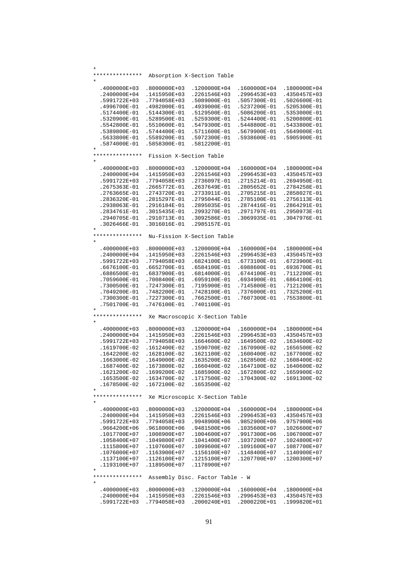| *<br>***************         |                              | Absorption X-Section Table      |              |                              |
|------------------------------|------------------------------|---------------------------------|--------------|------------------------------|
| *                            |                              |                                 |              |                              |
| .4000000E+03                 | .8000000E+03                 | .1200000E+04                    | .1600000E+04 | .1800000E+04                 |
| .2400000E+04                 | .1415950E+03                 | .2261546E+03                    | .2996453E+03 | .4350457E+03                 |
| .5991722E+03                 | .7794058E+03                 | .5089000E-01                    | .5057300E-01 | .5026600E-01                 |
| .4996700E-01                 | .4982000E-01                 | .4939000E-01                    | .5237200E-01 | .5205300E-01                 |
| .5174400E-01                 | .5144300E-01                 | .5129500E-01                    | .5086200E-01 | .5353000E-01                 |
| .5320900E-01                 | .5289500E-01                 | .5259300E-01                    | .5244400E-01 | .5200800E-01                 |
| .5542800E-01                 | .5510600E-01                 | .5479300E-01                    | .5448800E-01 | .5433800E-01                 |
| .5389800E-01                 | .5744400E-01                 | .5711600E-01                    | .5679900E-01 | .5649000E-01                 |
| .5633800E-01                 | .5589200E-01                 | .5972300E-01                    | .5938600E-01 | .5905900E-01                 |
| .5874000E-01                 |                              |                                 |              |                              |
| $^\ast$                      | .5858300E-01                 | .5812200E-01                    |              |                              |
| ***************              | Fission X-Section Table      |                                 |              |                              |
| *                            |                              |                                 |              |                              |
| .4000000E+03                 | .8000000E+03                 | .1200000E+04                    | .1600000E+04 | .1800000E+04                 |
| .2400000E+04                 | .1415950E+03                 | .2261546E+03                    | .2996453E+03 | .4350457E+03                 |
| .5991722E+03                 | .7794058E+03                 | .2736097E-01                    | .2715214E-01 | .2694950E-01                 |
| .2675363E-01                 | .2665772E-01                 | .2637649E-01                    | .2805652E-01 | .2784258E-01                 |
| .2763665E-01                 | .2743720E-01                 | .2733911E-01                    | .2705215E-01 | .2858027E-01                 |
| .2836320E-01                 | .2815297E-01                 | .2795044E-01                    | .2785100E-01 | .2756113E-01                 |
| .2938063E-01                 | .2916184E-01                 | .2895035E-01                    | .2874416E-01 | .2864291E-01                 |
| .2834761E-01                 | .3015435E-01                 | .2993270E-01                    | .2971797E-01 | .2950973E-01                 |
| .2940705E-01                 | .2910713E-01                 | .3092586E-01                    | .3069935E-01 | .3047976E-01                 |
| .3026466E-01                 | .3016016E-01                 | .2985157E-01                    |              |                              |
| *                            |                              |                                 |              |                              |
| ***************<br>$^\star$  |                              | Nu-Fission X-Section Table      |              |                              |
| .4000000E+03                 | .8000000E+03                 | .1200000E+04                    | .1600000E+04 | .1800000E+04                 |
| .2400000E+04                 | .1415950E+03                 | .2261546E+03                    | .2996453E+03 | .4350457E+03                 |
| .5991722E+03                 | .7794058E+03                 | .6824100E-01                    | .6773100E-01 | .6723900E-01                 |
| .6676100E-01                 | .6652700E-01                 | .6584100E-01                    | .6988600E-01 | .6936700E-01                 |
| .6886500E-01                 | .6837900E-01                 | .6814000E-01                    | .6744100E-01 | .7112200E-01                 |
| .7059600E-01                 | .7008400E-01                 | .6959100E-01                    | .6934900E-01 | .6864100E-01                 |
| .7300500E-01                 | .7247300E-01                 | .7195900E-01                    | .7145800E-01 | .7121200E-01                 |
|                              |                              |                                 |              |                              |
| .7049200E-01                 | .7482200E-01                 | .7428100E-01                    | .7376000E-01 | .7325200E-01                 |
| .7300300E-01<br>.7501700E-01 | .7227300E-01<br>.7476100E-01 | .7662500E-01<br>.7401100E-01    | .7607300E-01 | .7553800E-01                 |
| *                            |                              |                                 |              |                              |
| ***************              |                              | Xe Macroscopic X-Section Table  |              |                              |
| *<br>.4000000E+03            | .8000000E+03                 | .1200000E+04                    | .1600000E+04 | .1800000E+04                 |
| .2400000E+04                 | .1415950E+03                 | .2261546E+03                    | .2996453E+03 | .4350457E+03                 |
|                              |                              |                                 |              |                              |
| .5991722E+03                 | .7794058E+03                 | .1664600E-02                    | .1649500E-02 | .1634600E-02                 |
| .1619700E-02                 | .1612400E-02                 | .1590700E-02                    | .1670900E-02 | .1656500E-02                 |
| .1642200E-02                 | .1628100E-02                 | .1621100E-02                    | .1600400E-02 | .1677000E-02                 |
| .1663000E-02                 | .1649000E-02                 | .1635200E-02                    | .1628500E-02 | .1608400E-02                 |
| .1687400E-02                 | .1673800E-02                 | .1660400E-02                    | .1647100E-02 | .1640600E-02                 |
| .1621200E-02                 | .1699200E-02                 | .1685900E-02                    | .1672800E-02 | .1659900E-02                 |
| .1653500E-02                 | .1634700E-02                 | .1717500E-02                    | .1704300E-02 | .1691300E-02                 |
| .1678500E-02                 | .1672100E-02                 | .1653500E-02                    |              |                              |
| *                            |                              |                                 |              |                              |
| ***************              |                              | Xe Microscopic X-Section Table  |              |                              |
| .4000000E+03                 | .8000000E+03                 | .1200000E+04                    | .1600000E+04 | .1800000E+04                 |
| .2400000E+04                 | .1415950E+03                 | .2261546E+03                    | .2996453E+03 | .4350457E+03                 |
| .5991722E+03                 | .7794058E+03                 | .9948900E+06                    | .9852900E+06 | .9757900E+06                 |
| .9664200E+06                 | .9618000E+06                 |                                 |              |                              |
|                              |                              | .9481500E+06                    | .1035600E+07 | .1026600E+07                 |
| .1017700E+07                 | .1008900E+07                 | .1004600E+07                    | .9917300E+06 | .1067000E+07                 |
| .1058400E+07                 | .1049800E+07                 | .1041400E+07                    | .1037200E+07 | .1024800E+07                 |
| .1115800E+07                 | .1107600E+07                 | .1099600E+07                    | .1091600E+07 | .1087700E+07                 |
| .1076000E+07                 | .1163900E+07                 | .1156100E+07                    | .1148400E+07 | .1140900E+07                 |
| .1137100E+07                 | .1126100E+07                 | .1215100E+07                    | .1207700E+07 | .1200300E+07                 |
| .1193100E+07                 | .1189500E+07                 | .1178900E+07                    |              |                              |
| $^\star$<br>***************  |                              |                                 |              |                              |
|                              |                              | Assembly Disc. Factor Table - W |              |                              |
| $^\star$                     |                              |                                 |              |                              |
| .4000000E+03                 | .8000000E+03                 | .1200000E+04                    | .1600000E+04 |                              |
| .2400000E+04                 | .1415950E+03                 | .2261546E+03                    | .2996453E+03 | .1800000E+04<br>.4350457E+03 |
| .5991722E+03                 | .7794058E+03                 | .2000240E+01                    | .2000220E+01 | .1999820E+01                 |